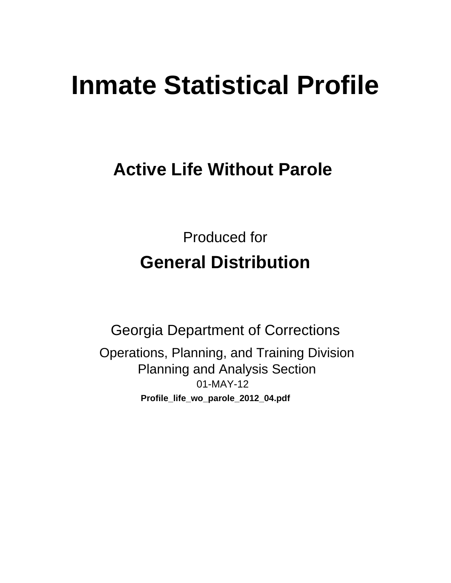# **Inmate Statistical Profile**

# **Active Life Without Parole**

**Produced for General Distribution** 

**Georgia Department of Corrections** Operations, Planning, and Training Division **Planning and Analysis Section** 01-MAY-12 Profile\_life\_wo\_parole\_2012\_04.pdf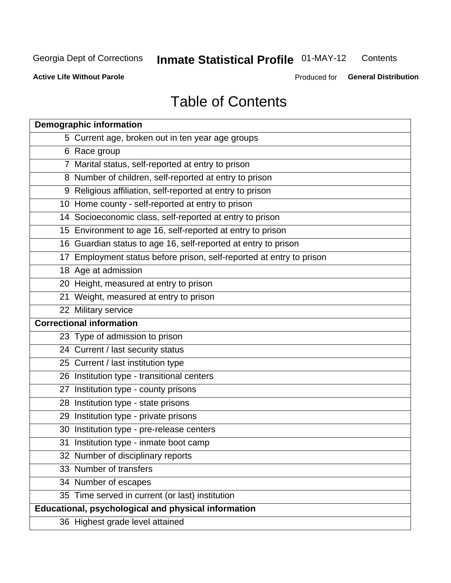#### **Inmate Statistical Profile 01-MAY-12** Contents

**Active Life Without Parole** 

Produced for General Distribution

# **Table of Contents**

| <b>Demographic information</b>                                       |
|----------------------------------------------------------------------|
| 5 Current age, broken out in ten year age groups                     |
| 6 Race group                                                         |
| 7 Marital status, self-reported at entry to prison                   |
| 8 Number of children, self-reported at entry to prison               |
| 9 Religious affiliation, self-reported at entry to prison            |
| 10 Home county - self-reported at entry to prison                    |
| 14 Socioeconomic class, self-reported at entry to prison             |
| 15 Environment to age 16, self-reported at entry to prison           |
| 16 Guardian status to age 16, self-reported at entry to prison       |
| 17 Employment status before prison, self-reported at entry to prison |
| 18 Age at admission                                                  |
| 20 Height, measured at entry to prison                               |
| 21 Weight, measured at entry to prison                               |
| 22 Military service                                                  |
| <b>Correctional information</b>                                      |
| 23 Type of admission to prison                                       |
| 24 Current / last security status                                    |
| 25 Current / last institution type                                   |
| 26 Institution type - transitional centers                           |
| 27 Institution type - county prisons                                 |
| 28 Institution type - state prisons                                  |
| 29 Institution type - private prisons                                |
| 30 Institution type - pre-release centers                            |
| 31 Institution type - inmate boot camp                               |
| 32 Number of disciplinary reports                                    |
| 33 Number of transfers                                               |
| 34 Number of escapes                                                 |
| 35 Time served in current (or last) institution                      |
| Educational, psychological and physical information                  |
| 36 Highest grade level attained                                      |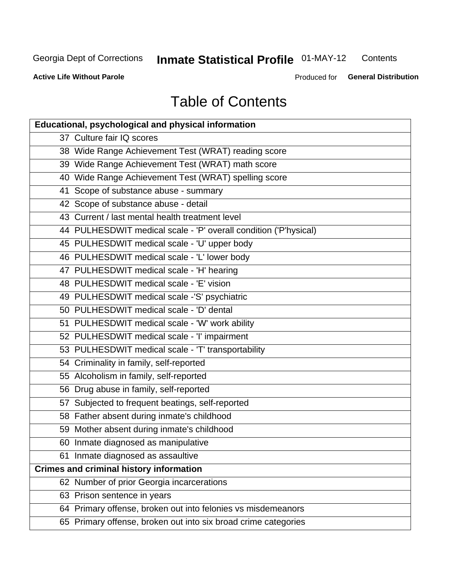#### **Inmate Statistical Profile 01-MAY-12** Contents

**Active Life Without Parole** 

Produced for General Distribution

# **Table of Contents**

| <b>Educational, psychological and physical information</b>       |
|------------------------------------------------------------------|
| 37 Culture fair IQ scores                                        |
| 38 Wide Range Achievement Test (WRAT) reading score              |
| 39 Wide Range Achievement Test (WRAT) math score                 |
| 40 Wide Range Achievement Test (WRAT) spelling score             |
| 41 Scope of substance abuse - summary                            |
| 42 Scope of substance abuse - detail                             |
| 43 Current / last mental health treatment level                  |
| 44 PULHESDWIT medical scale - 'P' overall condition ('P'hysical) |
| 45 PULHESDWIT medical scale - 'U' upper body                     |
| 46 PULHESDWIT medical scale - 'L' lower body                     |
| 47 PULHESDWIT medical scale - 'H' hearing                        |
| 48 PULHESDWIT medical scale - 'E' vision                         |
| 49 PULHESDWIT medical scale -'S' psychiatric                     |
| 50 PULHESDWIT medical scale - 'D' dental                         |
| 51 PULHESDWIT medical scale - 'W' work ability                   |
| 52 PULHESDWIT medical scale - 'I' impairment                     |
| 53 PULHESDWIT medical scale - 'T' transportability               |
| 54 Criminality in family, self-reported                          |
| 55 Alcoholism in family, self-reported                           |
| 56 Drug abuse in family, self-reported                           |
| 57 Subjected to frequent beatings, self-reported                 |
| 58 Father absent during inmate's childhood                       |
| 59 Mother absent during inmate's childhood                       |
| 60 Inmate diagnosed as manipulative                              |
| 61 Inmate diagnosed as assaultive                                |
| <b>Crimes and criminal history information</b>                   |
| 62 Number of prior Georgia incarcerations                        |
| 63 Prison sentence in years                                      |
| 64 Primary offense, broken out into felonies vs misdemeanors     |
| 65 Primary offense, broken out into six broad crime categories   |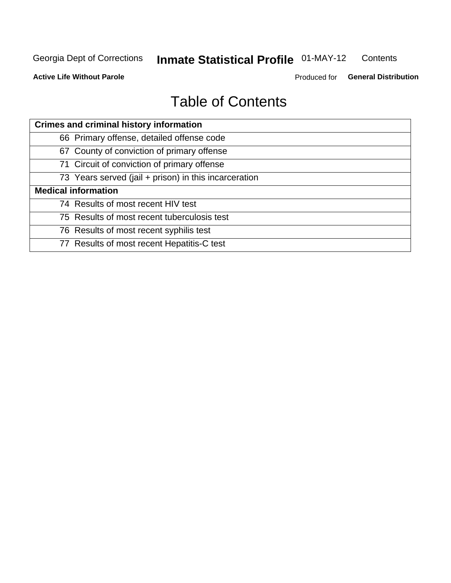#### **Inmate Statistical Profile 01-MAY-12** Contents

**Active Life Without Parole** 

Produced for General Distribution

# **Table of Contents**

| <b>Crimes and criminal history information</b>        |
|-------------------------------------------------------|
| 66 Primary offense, detailed offense code             |
| 67 County of conviction of primary offense            |
| 71 Circuit of conviction of primary offense           |
| 73 Years served (jail + prison) in this incarceration |
| <b>Medical information</b>                            |
| 74 Results of most recent HIV test                    |
| 75 Results of most recent tuberculosis test           |
| 76 Results of most recent syphilis test               |
| 77 Results of most recent Hepatitis-C test            |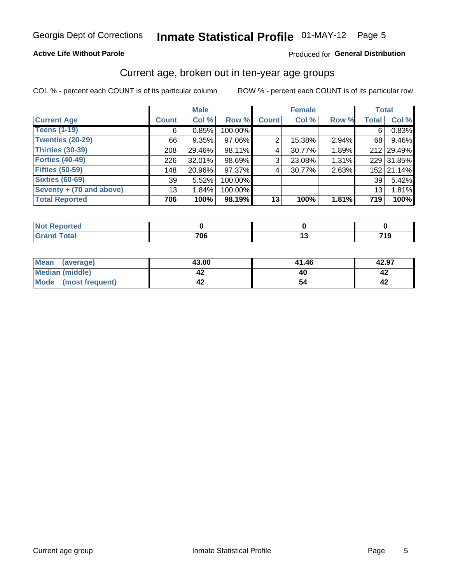# Inmate Statistical Profile 01-MAY-12 Page 5

#### **Active Life Without Parole**

#### Produced for General Distribution

### Current age, broken out in ten-year age groups

COL % - percent each COUNT is of its particular column

|                            |              | <b>Male</b> |         |              | <b>Female</b> |       | <b>Total</b> |            |
|----------------------------|--------------|-------------|---------|--------------|---------------|-------|--------------|------------|
| <b>Current Age</b>         | <b>Count</b> | Col %       | Row %   | <b>Count</b> | Col %         | Row % | <b>Total</b> | Col %      |
| <b>Teens (1-19)</b>        | 6            | 0.85%       | 100.00% |              |               |       | 6            | 0.83%      |
| <b>Twenties (20-29)</b>    | 66           | 9.35%       | 97.06%  | 2            | 15.38%        | 2.94% | 68           | 9.46%      |
| <b>Thirties (30-39)</b>    | 208          | 29.46%      | 98.11%  | 4            | 30.77%        | 1.89% |              | 212 29.49% |
| <b>Forties (40-49)</b>     | 226          | $32.01\%$   | 98.69%  | 3            | 23.08%        | 1.31% |              | 229 31.85% |
| <b>Fifties (50-59)</b>     | 148          | 20.96%      | 97.37%  | 4            | 30.77%        | 2.63% |              | 152 21.14% |
| <b>Sixties (60-69)</b>     | 39           | 5.52%       | 100.00% |              |               |       | 39           | 5.42%      |
| Seventy + $(70$ and above) | 13           | 1.84%       | 100.00% |              |               |       | 13           | 1.81%      |
| <b>Total Reported</b>      | 706          | 100%        | 98.19%  | 13           | 100%          | 1.81% | 719          | 100%       |

| Code <sup>2</sup><br>______ | 700<br>u.<br>__ | $\sim$ | 740<br>.<br>. |
|-----------------------------|-----------------|--------|---------------|

| Mean<br>(average)       | 43.00 | 41.46 | 42.97 |
|-------------------------|-------|-------|-------|
| Median (middle)         |       |       |       |
| Mode<br>(most frequent) |       |       |       |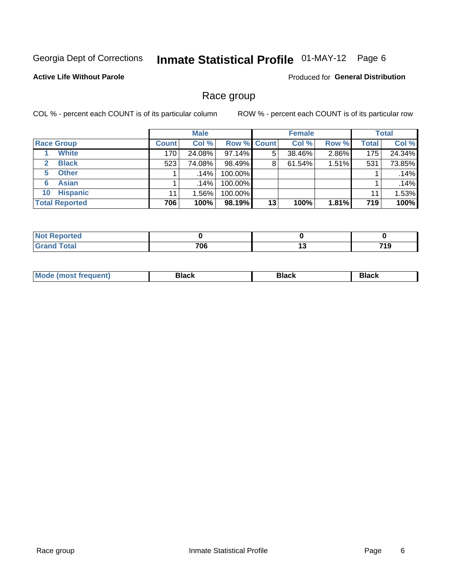# Inmate Statistical Profile 01-MAY-12 Page 6

#### **Active Life Without Parole**

**Produced for General Distribution** 

### Race group

COL % - percent each COUNT is of its particular column

|                              |              | <b>Male</b> |                    |    | <b>Female</b> |       |              | <b>Total</b> |
|------------------------------|--------------|-------------|--------------------|----|---------------|-------|--------------|--------------|
| <b>Race Group</b>            | <b>Count</b> | Col %       | <b>Row % Count</b> |    | Col %         | Row % | <b>Total</b> | Col %        |
| <b>White</b>                 | 170          | 24.08%      | 97.14%             | 5  | 38.46%        | 2.86% | 175          | 24.34%       |
| <b>Black</b><br>$\mathbf{2}$ | 523          | 74.08%      | 98.49%             | 8  | 61.54%        | 1.51% | 531          | 73.85%       |
| <b>Other</b><br>5.           |              | $.14\%$     | 100.00%            |    |               |       |              | .14%         |
| <b>Asian</b><br>6            |              | .14%        | 100.00%            |    |               |       |              | .14%         |
| <b>Hispanic</b><br>10        | 11           | $1.56\%$    | 100.00%            |    |               |       | 11           | 1.53%        |
| <b>Total Reported</b>        | 706          | 100%        | 98.19%             | 13 | 100%          | 1.81% | 719          | 100%         |

| .<br>тео |                 |     |                         |
|----------|-----------------|-----|-------------------------|
|          | 70c<br>υυ<br>__ | 1 V | <b>740</b><br><br>- 1 J |

| M | - - - | Piavn |
|---|-------|-------|
|   |       |       |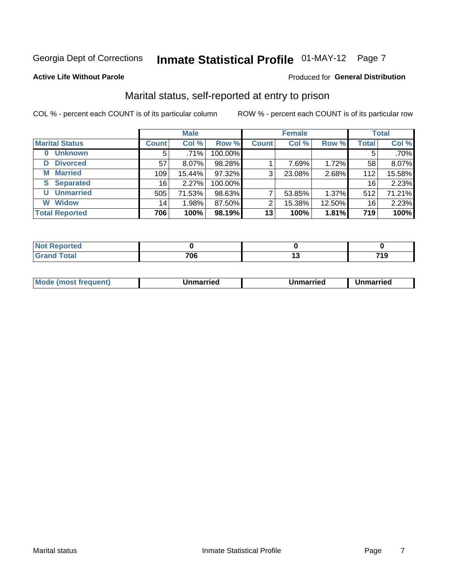# Inmate Statistical Profile 01-MAY-12 Page 7

#### **Active Life Without Parole**

#### **Produced for General Distribution**

### Marital status, self-reported at entry to prison

COL % - percent each COUNT is of its particular column

|                            |              | <b>Male</b> |         |              | <b>Female</b> |        |              | <b>Total</b> |
|----------------------------|--------------|-------------|---------|--------------|---------------|--------|--------------|--------------|
| <b>Marital Status</b>      | <b>Count</b> | Col %       | Row %   | <b>Count</b> | Col %         | Row %  | <b>Total</b> | Col %        |
| <b>Unknown</b><br>$\bf{0}$ | 5            | .71%        | 100.00% |              |               |        | 5            | .70%         |
| <b>Divorced</b><br>D       | 57           | $8.07\%$    | 98.28%  |              | 7.69%         | 1.72%  | 58           | 8.07%        |
| <b>Married</b><br>М        | 109          | 15.44%      | 97.32%  | 3            | 23.08%        | 2.68%  | 112          | 15.58%       |
| <b>Separated</b><br>S      | 16           | 2.27%       | 100.00% |              |               |        | 16           | 2.23%        |
| <b>Unmarried</b><br>U      | 505          | 71.53%      | 98.63%  | ⇁            | 53.85%        | 1.37%  | 512          | 71.21%       |
| <b>Widow</b><br>W          | 14           | 1.98%       | 87.50%  | 2            | 15.38%        | 12.50% | 16           | 2.23%        |
| <b>Total Reported</b>      | 706          | 100%        | 98.19%  | 13           | 100%          | 1.81%  | 719          | 100%         |

| prted<br>NOT<br>. <b>.</b> <u>.</u> |     |          |
|-------------------------------------|-----|----------|
| <b>Total</b>                        | 706 | 710<br>. |

|--|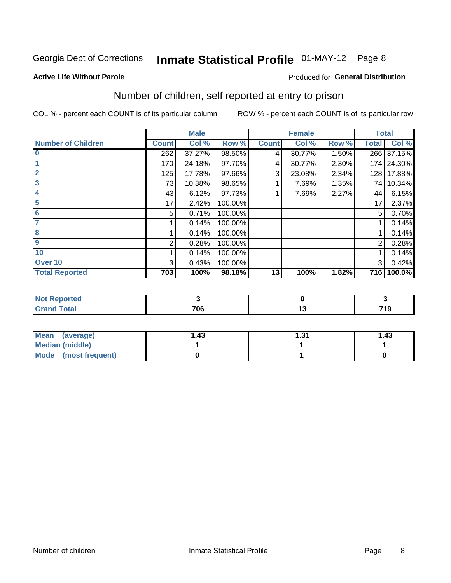# Inmate Statistical Profile 01-MAY-12 Page 8

#### **Active Life Without Parole**

#### **Produced for General Distribution**

### Number of children, self reported at entry to prison

COL % - percent each COUNT is of its particular column

|                           |              | <b>Male</b> |         |              | <b>Female</b> |       | <b>Total</b>   |            |
|---------------------------|--------------|-------------|---------|--------------|---------------|-------|----------------|------------|
| <b>Number of Children</b> | <b>Count</b> | Col %       | Row %   | <b>Count</b> | Col %         | Row % | <b>Total</b>   | Col%       |
| $\bf{0}$                  | 262          | 37.27%      | 98.50%  | 4            | 30.77%        | 1.50% | 266            | 37.15%     |
|                           | 170          | 24.18%      | 97.70%  | 4            | 30.77%        | 2.30% |                | 174 24.30% |
| $\overline{2}$            | 125          | 17.78%      | 97.66%  | 3            | 23.08%        | 2.34% | 128            | 17.88%     |
| 3                         | 73           | 10.38%      | 98.65%  |              | 7.69%         | 1.35% | 74 I           | 10.34%     |
| 4                         | 43           | 6.12%       | 97.73%  |              | 7.69%         | 2.27% | 44             | 6.15%      |
| 5                         | 17           | 2.42%       | 100.00% |              |               |       | 17             | 2.37%      |
| 6                         | 5            | 0.71%       | 100.00% |              |               |       | 5              | 0.70%      |
|                           |              | 0.14%       | 100.00% |              |               |       |                | 0.14%      |
| 8                         |              | 0.14%       | 100.00% |              |               |       |                | 0.14%      |
| 9                         | 2            | 0.28%       | 100.00% |              |               |       | $\overline{2}$ | 0.28%      |
| 10                        |              | 0.14%       | 100.00% |              |               |       |                | 0.14%      |
| Over 10                   | 3            | 0.43%       | 100.00% |              |               |       | 3              | 0.42%      |
| <b>Total Reported</b>     | 703          | 100%        | 98.18%  | 13           | 100%          | 1.82% | 716            | 100.0%     |

| meo<br>N |     |      |
|----------|-----|------|
| υιαι     | 70c | 74 O |
| $\sim$   | 'uu | - 1  |

| Mean<br>(average)       | l.43 | ∣.31 | 1.43 |
|-------------------------|------|------|------|
| Median (middle)         |      |      |      |
| Mode<br>(most frequent) |      |      |      |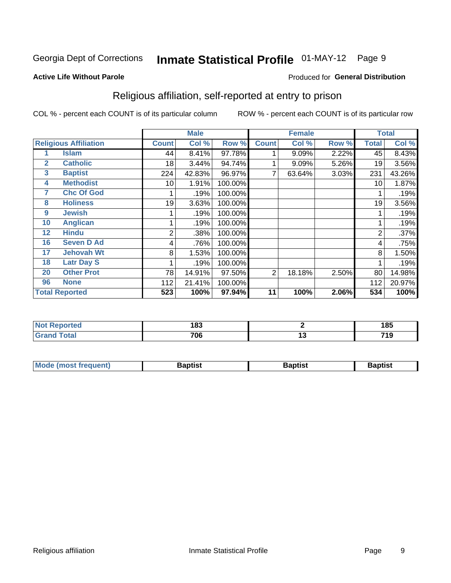# Inmate Statistical Profile 01-MAY-12 Page 9

#### **Active Life Without Parole**

#### Produced for General Distribution

### Religious affiliation, self-reported at entry to prison

COL % - percent each COUNT is of its particular column

|              |                              |              | <b>Male</b> |         |              | <b>Female</b> |       |              | <b>Total</b> |
|--------------|------------------------------|--------------|-------------|---------|--------------|---------------|-------|--------------|--------------|
|              | <b>Religious Affiliation</b> | <b>Count</b> | Col %       | Row %   | <b>Count</b> | Col %         | Row % | <b>Total</b> | Col %        |
|              | <b>Islam</b>                 | 44           | 8.41%       | 97.78%  |              | 9.09%         | 2.22% | 45           | 8.43%        |
| $\mathbf{2}$ | <b>Catholic</b>              | 18           | 3.44%       | 94.74%  |              | 9.09%         | 5.26% | 19           | 3.56%        |
| 3            | <b>Baptist</b>               | 224          | 42.83%      | 96.97%  |              | 63.64%        | 3.03% | 231          | 43.26%       |
| 4            | <b>Methodist</b>             | 10           | 1.91%       | 100.00% |              |               |       | 10           | 1.87%        |
| 7            | <b>Chc Of God</b>            |              | .19%        | 100.00% |              |               |       |              | .19%         |
| 8            | <b>Holiness</b>              | 19           | 3.63%       | 100.00% |              |               |       | 19           | 3.56%        |
| 9            | <b>Jewish</b>                |              | .19%        | 100.00% |              |               |       |              | .19%         |
| 10           | <b>Anglican</b>              |              | .19%        | 100.00% |              |               |       |              | .19%         |
| 12           | <b>Hindu</b>                 | 2            | .38%        | 100.00% |              |               |       | 2            | .37%         |
| 16           | <b>Seven D Ad</b>            | 4            | .76%        | 100.00% |              |               |       | 4            | .75%         |
| 17           | <b>Jehovah Wt</b>            | 8            | 1.53%       | 100.00% |              |               |       | 8            | 1.50%        |
| 18           | <b>Latr Day S</b>            |              | .19%        | 100.00% |              |               |       |              | .19%         |
| 20           | <b>Other Prot</b>            | 78           | 14.91%      | 97.50%  | 2            | 18.18%        | 2.50% | 80           | 14.98%       |
| 96           | <b>None</b>                  | 112          | 21.41%      | 100.00% |              |               |       | 112          | 20.97%       |
|              | <b>Total Reported</b>        | 523          | 100%        | 97.94%  | 11           | 100%          | 2.06% | 534          | 100%         |

| ιеι   | 100<br>טט   | 4 O.E<br>10J |
|-------|-------------|--------------|
| _____ | 70c<br>טט ו | <br>740      |

| <b>Mode (most frequent)</b> | եaptist | 3aptisเ | aptist |
|-----------------------------|---------|---------|--------|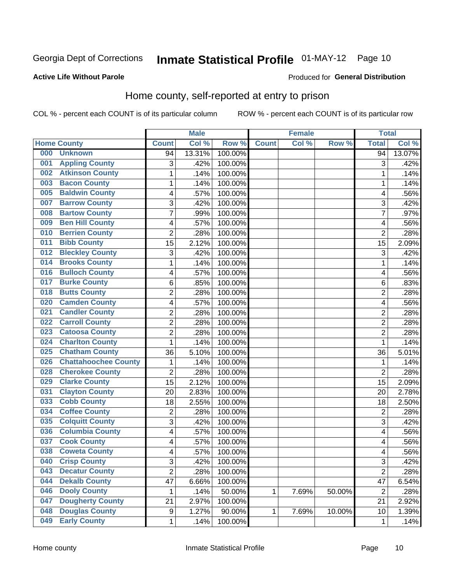# Inmate Statistical Profile 01-MAY-12 Page 10

#### **Active Life Without Parole**

#### Produced for General Distribution

### Home county, self-reported at entry to prison

COL % - percent each COUNT is of its particular column

|                  |                             |                         | <b>Male</b> |         |              | <b>Female</b> |        | <b>Total</b>   |        |
|------------------|-----------------------------|-------------------------|-------------|---------|--------------|---------------|--------|----------------|--------|
|                  | <b>Home County</b>          | <b>Count</b>            | Col %       | Row %   | <b>Count</b> | Col %         | Row %  | <b>Total</b>   | Col %  |
| 000              | <b>Unknown</b>              | 94                      | 13.31%      | 100.00% |              |               |        | 94             | 13.07% |
| 001              | <b>Appling County</b>       | 3                       | .42%        | 100.00% |              |               |        | 3              | .42%   |
| 002              | <b>Atkinson County</b>      | $\mathbf 1$             | .14%        | 100.00% |              |               |        | 1              | .14%   |
| 003              | <b>Bacon County</b>         | $\mathbf 1$             | .14%        | 100.00% |              |               |        | 1              | .14%   |
| 005              | <b>Baldwin County</b>       | 4                       | .57%        | 100.00% |              |               |        | 4              | .56%   |
| 007              | <b>Barrow County</b>        | 3                       | .42%        | 100.00% |              |               |        | 3              | .42%   |
| 008              | <b>Bartow County</b>        | $\overline{7}$          | .99%        | 100.00% |              |               |        | 7              | .97%   |
| 009              | <b>Ben Hill County</b>      | 4                       | .57%        | 100.00% |              |               |        | 4              | .56%   |
| 010              | <b>Berrien County</b>       | $\overline{2}$          | .28%        | 100.00% |              |               |        | $\overline{c}$ | .28%   |
| 011              | <b>Bibb County</b>          | 15                      | 2.12%       | 100.00% |              |               |        | 15             | 2.09%  |
| 012              | <b>Bleckley County</b>      | 3                       | .42%        | 100.00% |              |               |        | 3              | .42%   |
| 014              | <b>Brooks County</b>        | 1                       | .14%        | 100.00% |              |               |        | 1              | .14%   |
| 016              | <b>Bulloch County</b>       | 4                       | .57%        | 100.00% |              |               |        | 4              | .56%   |
| 017              | <b>Burke County</b>         | 6                       | .85%        | 100.00% |              |               |        | 6              | .83%   |
| 018              | <b>Butts County</b>         | $\overline{2}$          | .28%        | 100.00% |              |               |        | $\overline{2}$ | .28%   |
| 020              | <b>Camden County</b>        | 4                       | .57%        | 100.00% |              |               |        | 4              | .56%   |
| 021              | <b>Candler County</b>       | $\overline{\mathbf{c}}$ | .28%        | 100.00% |              |               |        | $\overline{c}$ | .28%   |
| $\overline{022}$ | <b>Carroll County</b>       | $\overline{2}$          | .28%        | 100.00% |              |               |        | $\overline{2}$ | .28%   |
| 023              | <b>Catoosa County</b>       | $\overline{c}$          | .28%        | 100.00% |              |               |        | $\overline{2}$ | .28%   |
| 024              | <b>Charlton County</b>      | 1                       | .14%        | 100.00% |              |               |        | 1              | .14%   |
| 025              | <b>Chatham County</b>       | 36                      | 5.10%       | 100.00% |              |               |        | 36             | 5.01%  |
| 026              | <b>Chattahoochee County</b> | $\mathbf{1}$            | .14%        | 100.00% |              |               |        | 1              | .14%   |
| 028              | <b>Cherokee County</b>      | $\overline{2}$          | .28%        | 100.00% |              |               |        | $\overline{2}$ | .28%   |
| 029              | <b>Clarke County</b>        | 15                      | 2.12%       | 100.00% |              |               |        | 15             | 2.09%  |
| 031              | <b>Clayton County</b>       | 20                      | 2.83%       | 100.00% |              |               |        | 20             | 2.78%  |
| 033              | <b>Cobb County</b>          | 18                      | 2.55%       | 100.00% |              |               |        | 18             | 2.50%  |
| 034              | <b>Coffee County</b>        | $\overline{\mathbf{c}}$ | .28%        | 100.00% |              |               |        | $\overline{c}$ | .28%   |
| 035              | <b>Colquitt County</b>      | 3                       | .42%        | 100.00% |              |               |        | 3              | .42%   |
| 036              | <b>Columbia County</b>      | 4                       | .57%        | 100.00% |              |               |        | 4              | .56%   |
| 037              | <b>Cook County</b>          | 4                       | .57%        | 100.00% |              |               |        | 4              | .56%   |
| 038              | <b>Coweta County</b>        | 4                       | .57%        | 100.00% |              |               |        | 4              | .56%   |
| 040              | <b>Crisp County</b>         | 3                       | .42%        | 100.00% |              |               |        | 3              | .42%   |
| 043              | <b>Decatur County</b>       | $\overline{2}$          | .28%        | 100.00% |              |               |        | $\overline{2}$ | .28%   |
| 044              | <b>Dekalb County</b>        | 47                      | 6.66%       | 100.00% |              |               |        | 47             | 6.54%  |
| 046              | <b>Dooly County</b>         | $\mathbf 1$             | .14%        | 50.00%  | 1            | 7.69%         | 50.00% | $\overline{2}$ | .28%   |
| 047              | <b>Dougherty County</b>     | 21                      | 2.97%       | 100.00% |              |               |        | 21             | 2.92%  |
| 048              | <b>Douglas County</b>       | 9                       | 1.27%       | 90.00%  | 1            | 7.69%         | 10.00% | 10             | 1.39%  |
| 049              | <b>Early County</b>         | $\mathbf 1$             | .14%        | 100.00% |              |               |        | 1              | .14%   |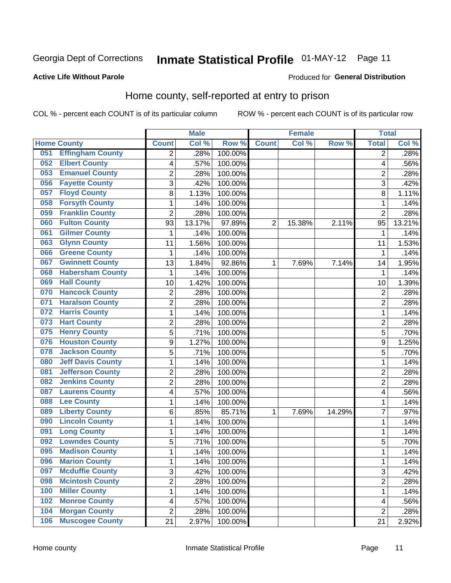# Inmate Statistical Profile 01-MAY-12 Page 11

#### **Active Life Without Parole**

#### Produced for General Distribution

### Home county, self-reported at entry to prison

COL % - percent each COUNT is of its particular column

|     |                          |                         | <b>Male</b> |         |                | <b>Female</b> |        | <b>Total</b>   |        |
|-----|--------------------------|-------------------------|-------------|---------|----------------|---------------|--------|----------------|--------|
|     | <b>Home County</b>       | <b>Count</b>            | Col %       | Row %   | <b>Count</b>   | Col %         | Row %  | <b>Total</b>   | Col %  |
| 051 | <b>Effingham County</b>  | 2                       | .28%        | 100.00% |                |               |        | 2              | .28%   |
| 052 | <b>Elbert County</b>     | 4                       | .57%        | 100.00% |                |               |        | 4              | .56%   |
| 053 | <b>Emanuel County</b>    | $\overline{\mathbf{c}}$ | .28%        | 100.00% |                |               |        | $\overline{c}$ | .28%   |
| 056 | <b>Fayette County</b>    | 3                       | .42%        | 100.00% |                |               |        | 3              | .42%   |
| 057 | <b>Floyd County</b>      | 8                       | 1.13%       | 100.00% |                |               |        | 8              | 1.11%  |
| 058 | <b>Forsyth County</b>    | 1                       | .14%        | 100.00% |                |               |        | 1              | .14%   |
| 059 | <b>Franklin County</b>   | $\overline{2}$          | .28%        | 100.00% |                |               |        | $\overline{2}$ | .28%   |
| 060 | <b>Fulton County</b>     | 93                      | 13.17%      | 97.89%  | $\overline{2}$ | 15.38%        | 2.11%  | 95             | 13.21% |
| 061 | <b>Gilmer County</b>     | $\mathbf{1}$            | .14%        | 100.00% |                |               |        | 1              | .14%   |
| 063 | <b>Glynn County</b>      | 11                      | 1.56%       | 100.00% |                |               |        | 11             | 1.53%  |
| 066 | <b>Greene County</b>     | 1                       | .14%        | 100.00% |                |               |        | 1              | .14%   |
| 067 | <b>Gwinnett County</b>   | 13                      | 1.84%       | 92.86%  | 1              | 7.69%         | 7.14%  | 14             | 1.95%  |
| 068 | <b>Habersham County</b>  | $\mathbf{1}$            | .14%        | 100.00% |                |               |        | 1              | .14%   |
| 069 | <b>Hall County</b>       | 10                      | 1.42%       | 100.00% |                |               |        | 10             | 1.39%  |
| 070 | <b>Hancock County</b>    | $\overline{2}$          | .28%        | 100.00% |                |               |        | $\overline{2}$ | .28%   |
| 071 | <b>Haralson County</b>   | $\overline{2}$          | .28%        | 100.00% |                |               |        | $\overline{2}$ | .28%   |
| 072 | <b>Harris County</b>     | 1                       | .14%        | 100.00% |                |               |        | 1              | .14%   |
| 073 | <b>Hart County</b>       | $\overline{2}$          | .28%        | 100.00% |                |               |        | $\overline{c}$ | .28%   |
| 075 | <b>Henry County</b>      | 5                       | .71%        | 100.00% |                |               |        | 5              | .70%   |
| 076 | <b>Houston County</b>    | 9                       | 1.27%       | 100.00% |                |               |        | 9              | 1.25%  |
| 078 | <b>Jackson County</b>    | 5                       | .71%        | 100.00% |                |               |        | 5              | .70%   |
| 080 | <b>Jeff Davis County</b> | $\mathbf{1}$            | .14%        | 100.00% |                |               |        | 1              | .14%   |
| 081 | <b>Jefferson County</b>  | $\overline{2}$          | .28%        | 100.00% |                |               |        | $\overline{2}$ | .28%   |
| 082 | <b>Jenkins County</b>    | $\overline{2}$          | .28%        | 100.00% |                |               |        | $\overline{2}$ | .28%   |
| 087 | <b>Laurens County</b>    | 4                       | .57%        | 100.00% |                |               |        | 4              | .56%   |
| 088 | <b>Lee County</b>        | 1                       | .14%        | 100.00% |                |               |        | 1              | .14%   |
| 089 | <b>Liberty County</b>    | 6                       | .85%        | 85.71%  | 1              | 7.69%         | 14.29% | 7              | .97%   |
| 090 | <b>Lincoln County</b>    | 1                       | .14%        | 100.00% |                |               |        | 1              | .14%   |
| 091 | <b>Long County</b>       | 1                       | .14%        | 100.00% |                |               |        | 1              | .14%   |
| 092 | <b>Lowndes County</b>    | 5                       | .71%        | 100.00% |                |               |        | 5              | .70%   |
| 095 | <b>Madison County</b>    | $\mathbf{1}$            | .14%        | 100.00% |                |               |        | 1              | .14%   |
| 096 | <b>Marion County</b>     | 1                       | .14%        | 100.00% |                |               |        | 1              | .14%   |
| 097 | <b>Mcduffie County</b>   | 3                       | .42%        | 100.00% |                |               |        | 3              | .42%   |
| 098 | <b>Mcintosh County</b>   | $\overline{c}$          | .28%        | 100.00% |                |               |        | 2              | .28%   |
| 100 | <b>Miller County</b>     | $\mathbf{1}$            | .14%        | 100.00% |                |               |        | 1              | .14%   |
| 102 | <b>Monroe County</b>     | 4                       | .57%        | 100.00% |                |               |        | 4              | .56%   |
| 104 | <b>Morgan County</b>     | $\overline{2}$          | .28%        | 100.00% |                |               |        | 2              | .28%   |
| 106 | <b>Muscogee County</b>   | 21                      | 2.97%       | 100.00% |                |               |        | 21             | 2.92%  |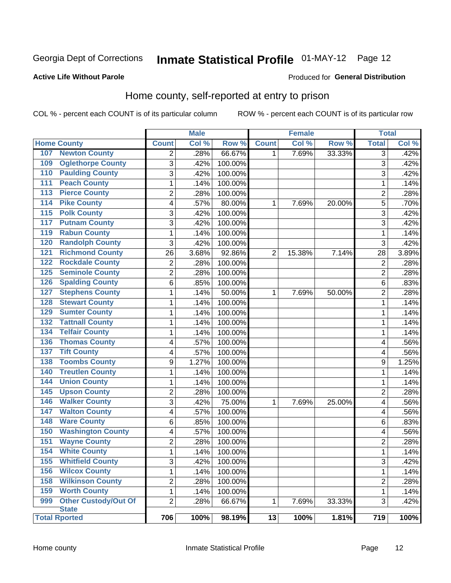## Inmate Statistical Profile 01-MAY-12 Page 12

#### **Active Life Without Parole**

#### Produced for General Distribution

### Home county, self-reported at entry to prison

COL % - percent each COUNT is of its particular column

|                  |                             |                | <b>Male</b> |         |              | <b>Female</b> |        | <b>Total</b>   |       |
|------------------|-----------------------------|----------------|-------------|---------|--------------|---------------|--------|----------------|-------|
|                  | <b>Home County</b>          | <b>Count</b>   | Col %       | Row %   | <b>Count</b> | Col %         | Row %  | <b>Total</b>   | Col % |
| 107              | <b>Newton County</b>        | 2              | .28%        | 66.67%  | 1            | 7.69%         | 33.33% | 3              | .42%  |
| 109              | <b>Oglethorpe County</b>    | 3              | .42%        | 100.00% |              |               |        | 3              | .42%  |
| 110              | <b>Paulding County</b>      | 3              | .42%        | 100.00% |              |               |        | 3              | .42%  |
| 111              | <b>Peach County</b>         | 1              | .14%        | 100.00% |              |               |        | 1              | .14%  |
| 113              | <b>Pierce County</b>        | $\overline{c}$ | .28%        | 100.00% |              |               |        | $\overline{2}$ | .28%  |
| 114              | <b>Pike County</b>          | 4              | .57%        | 80.00%  | 1            | 7.69%         | 20.00% | 5              | .70%  |
| $\overline{115}$ | <b>Polk County</b>          | 3              | .42%        | 100.00% |              |               |        | 3              | .42%  |
| 117              | <b>Putnam County</b>        | 3              | .42%        | 100.00% |              |               |        | 3              | .42%  |
| 119              | <b>Rabun County</b>         | $\mathbf 1$    | .14%        | 100.00% |              |               |        | 1              | .14%  |
| 120              | <b>Randolph County</b>      | 3              | .42%        | 100.00% |              |               |        | 3              | .42%  |
| 121              | <b>Richmond County</b>      | 26             | 3.68%       | 92.86%  | 2            | 15.38%        | 7.14%  | 28             | 3.89% |
| 122              | <b>Rockdale County</b>      | 2              | .28%        | 100.00% |              |               |        | $\overline{2}$ | .28%  |
| 125              | <b>Seminole County</b>      | $\overline{2}$ | .28%        | 100.00% |              |               |        | $\overline{2}$ | .28%  |
| 126              | <b>Spalding County</b>      | 6              | .85%        | 100.00% |              |               |        | 6              | .83%  |
| 127              | <b>Stephens County</b>      | 1              | .14%        | 50.00%  | 1            | 7.69%         | 50.00% | $\overline{2}$ | .28%  |
| 128              | <b>Stewart County</b>       | 1              | .14%        | 100.00% |              |               |        | 1              | .14%  |
| 129              | <b>Sumter County</b>        | $\mathbf 1$    | .14%        | 100.00% |              |               |        | 1              | .14%  |
| 132              | <b>Tattnall County</b>      | $\mathbf 1$    | .14%        | 100.00% |              |               |        | 1              | .14%  |
| 134              | <b>Telfair County</b>       | $\mathbf 1$    | .14%        | 100.00% |              |               |        | 1              | .14%  |
| 136              | <b>Thomas County</b>        | 4              | .57%        | 100.00% |              |               |        | 4              | .56%  |
| 137              | <b>Tift County</b>          | 4              | .57%        | 100.00% |              |               |        | 4              | .56%  |
| 138              | <b>Toombs County</b>        | 9              | 1.27%       | 100.00% |              |               |        | 9              | 1.25% |
| 140              | <b>Treutlen County</b>      | $\mathbf 1$    | .14%        | 100.00% |              |               |        | 1              | .14%  |
| 144              | <b>Union County</b>         | 1              | .14%        | 100.00% |              |               |        | 1              | .14%  |
| 145              | <b>Upson County</b>         | $\overline{2}$ | .28%        | 100.00% |              |               |        | $\overline{2}$ | .28%  |
| 146              | <b>Walker County</b>        | 3              | .42%        | 75.00%  | 1            | 7.69%         | 25.00% | 4              | .56%  |
| 147              | <b>Walton County</b>        | 4              | .57%        | 100.00% |              |               |        | 4              | .56%  |
| 148              | <b>Ware County</b>          | 6              | .85%        | 100.00% |              |               |        | 6              | .83%  |
| 150              | <b>Washington County</b>    | 4              | .57%        | 100.00% |              |               |        | 4              | .56%  |
| 151              | <b>Wayne County</b>         | $\overline{c}$ | .28%        | 100.00% |              |               |        | $\overline{2}$ | .28%  |
| 154              | <b>White County</b>         | $\mathbf 1$    | .14%        | 100.00% |              |               |        | 1              | .14%  |
| 155              | <b>Whitfield County</b>     | 3              | .42%        | 100.00% |              |               |        | 3              | .42%  |
| 156              | <b>Wilcox County</b>        | $\mathbf{1}$   | .14%        | 100.00% |              |               |        | 1              | .14%  |
| 158              | <b>Wilkinson County</b>     | $\overline{c}$ | .28%        | 100.00% |              |               |        | 2              | .28%  |
| 159              | <b>Worth County</b>         | $\mathbf{1}$   | .14%        | 100.00% |              |               |        | $\mathbf 1$    | .14%  |
| 999              | <b>Other Custody/Out Of</b> | $\overline{2}$ | .28%        | 66.67%  | 1            | 7.69%         | 33.33% | 3              | .42%  |
|                  | <b>State</b>                |                |             |         |              |               |        |                |       |
|                  | <b>Total Rported</b>        | 706            | 100%        | 98.19%  | 13           | 100%          | 1.81%  | 719            | 100%  |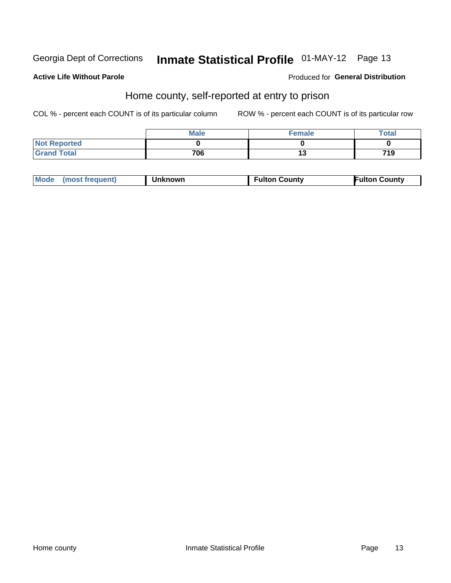# Inmate Statistical Profile 01-MAY-12 Page 13

#### **Active Life Without Parole**

#### Produced for General Distribution

### Home county, self-reported at entry to prison

COL % - percent each COUNT is of its particular column

|                     | <b>Male</b> | <b>Female</b> | <b>Total</b> |
|---------------------|-------------|---------------|--------------|
| <b>Not Reported</b> |             |               |              |
| <b>Grand Total</b>  | 706         | יי            | 719          |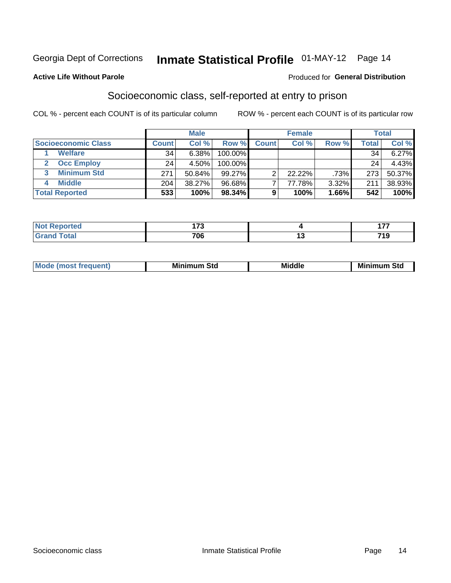### Inmate Statistical Profile 01-MAY-12 Page 14

#### **Active Life Without Parole**

#### Produced for General Distribution

### Socioeconomic class, self-reported at entry to prison

COL % - percent each COUNT is of its particular column

|                       | <b>Male</b><br><b>Female</b> |        |           |              | <b>Total</b> |       |        |          |
|-----------------------|------------------------------|--------|-----------|--------------|--------------|-------|--------|----------|
| Socioeconomic Class   | <b>Count</b>                 | Col %  | Row %     | <b>Count</b> | Col %        | Row % | Total, | Col %    |
| <b>Welfare</b>        | 34                           | 6.38%  | 100.00%   |              |              |       | 34     | $6.27\%$ |
| <b>Occ Employ</b>     | 24                           | 4.50%  | 100.00%   |              |              |       | 24     | 4.43%    |
| <b>Minimum Std</b>    | 271                          | 50.84% | $99.27\%$ |              | 22.22%       | .73%  | 273    | 50.37%   |
| <b>Middle</b><br>4    | 204                          | 38.27% | 96.68%    |              | 77.78%       | 3.32% | 211    | 38.93%   |
| <b>Total Reported</b> | 533                          | 100%   | 98.34%    | 9            | 100%         | 1.66% | 542    | 100%     |

| m.    | $\overline{\phantom{a}}$<br>-<br>__ |        | ---         |
|-------|-------------------------------------|--------|-------------|
| _____ | 706<br>__                           | $\sim$ | 74 O<br>719 |

|  | Mo | Minin<br>Std<br>$- - - -$ | <b>Middle</b> | Min<br>Std<br>. |
|--|----|---------------------------|---------------|-----------------|
|--|----|---------------------------|---------------|-----------------|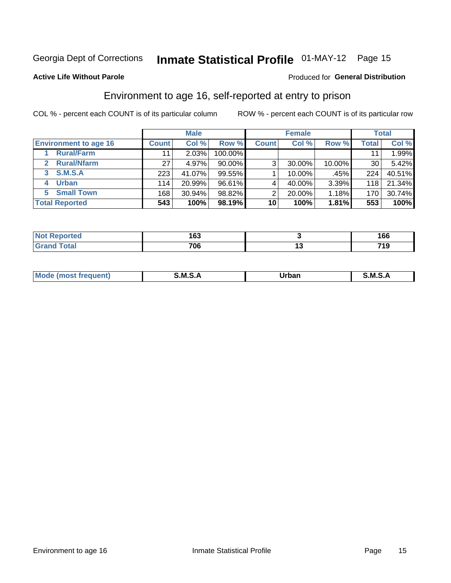### Inmate Statistical Profile 01-MAY-12 Page 15

#### **Active Life Without Parole**

#### Produced for General Distribution

### Environment to age 16, self-reported at entry to prison

COL % - percent each COUNT is of its particular column

|                                    |              | <b>Male</b> |           |              | <b>Female</b> |        |       | <b>Total</b> |
|------------------------------------|--------------|-------------|-----------|--------------|---------------|--------|-------|--------------|
| <b>Environment to age 16</b>       | <b>Count</b> | Col %       | Row %     | <b>Count</b> | Col %         | Row %  | Total | Col %        |
| <b>Rural/Farm</b>                  | 11           | 2.03%       | 100.00%   |              |               |        |       | 1.99%        |
| <b>Rural/Nfarm</b><br>$\mathbf{2}$ | 27           | 4.97%       | $90.00\%$ | 3            | 30.00%        | 10.00% | 30    | 5.42%        |
| 3 S.M.S.A                          | 223          | 41.07%      | 99.55%    |              | 10.00%        | .45%   | 224   | 40.51%       |
| <b>Urban</b><br>4                  | 114          | 20.99%      | 96.61%    |              | 40.00%        | 3.39%  | 118   | 21.34%       |
| 5 Small Town                       | 168          | 30.94%      | 98.82%    | 2            | 20.00%        | 1.18%  | 170   | 30.74%       |
| <b>Total Reported</b>              | 543          | 100%        | 98.19%    | 10           | 100%          | 1.81%  | 553   | 100%         |

| <b>Not Reported</b> | ィピク<br>ט ו |    | 1 C C<br>סט |
|---------------------|------------|----|-------------|
| <b>Total</b>        | 706        | '' | 719         |

| Mo | M      | ----- | M |
|----|--------|-------|---|
|    | ______ | _____ |   |
|    |        |       |   |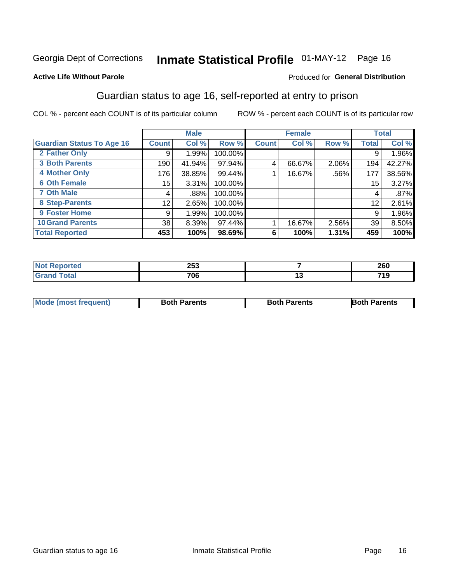# Inmate Statistical Profile 01-MAY-12 Page 16

#### **Active Life Without Parole**

#### Produced for General Distribution

### Guardian status to age 16, self-reported at entry to prison

COL % - percent each COUNT is of its particular column

|                                  |               | <b>Male</b> |         |              | <b>Female</b> |       |       | <b>Total</b> |
|----------------------------------|---------------|-------------|---------|--------------|---------------|-------|-------|--------------|
| <b>Guardian Status To Age 16</b> | <b>Count!</b> | Col %       | Row %   | <b>Count</b> | Col %         | Row % | Total | Col %        |
| 2 Father Only                    | 9             | 1.99%       | 100.00% |              |               |       | 9     | 1.96%        |
| <b>3 Both Parents</b>            | 190           | 41.94%      | 97.94%  |              | 66.67%        | 2.06% | 194   | 42.27%       |
| <b>4 Mother Only</b>             | 176           | 38.85%      | 99.44%  |              | 16.67%        | .56%  | 177   | 38.56%       |
| <b>6 Oth Female</b>              | 15            | 3.31%       | 100.00% |              |               |       | 15    | 3.27%        |
| <b>7 Oth Male</b>                | 4             | .88%        | 100.00% |              |               |       | 4     | .87%         |
| 8 Step-Parents                   | 12            | 2.65%       | 100.00% |              |               |       | 12    | 2.61%        |
| 9 Foster Home                    | 9             | 1.99%       | 100.00% |              |               |       | 9     | 1.96%        |
| <b>10 Grand Parents</b>          | 38            | 8.39%       | 97.44%  |              | 16.67%        | 2.56% | 39    | 8.50%        |
| <b>Total Reported</b>            | 453           | 100%        | 98.69%  | 6            | 100%          | 1.31% | 459   | 100%         |

| a e | <b>OEQ</b><br>∠JJ | 260          |
|-----|-------------------|--------------|
|     | 706               | 71 O<br>- 10 |

| <b>Mode (most frequent)</b> | <b>Both Parents</b> | <b>Both Parents</b> | <b>Both Parents</b> |
|-----------------------------|---------------------|---------------------|---------------------|
|                             |                     |                     |                     |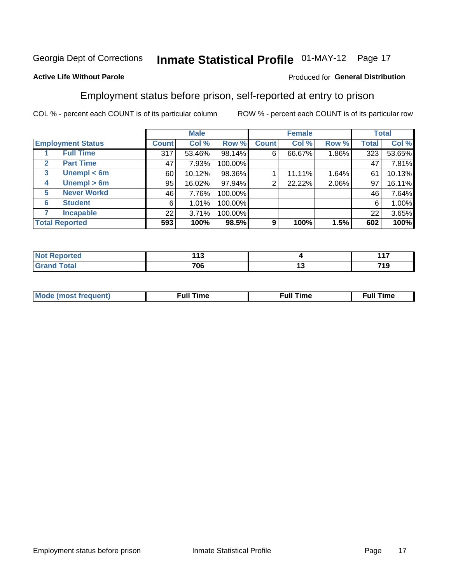# Inmate Statistical Profile 01-MAY-12 Page 17

#### **Active Life Without Parole**

#### Produced for General Distribution

### Employment status before prison, self-reported at entry to prison

COL % - percent each COUNT is of its particular column

|   |                          |              | <b>Male</b> |         |              | <b>Female</b> |       |              | <b>Total</b> |
|---|--------------------------|--------------|-------------|---------|--------------|---------------|-------|--------------|--------------|
|   | <b>Employment Status</b> | <b>Count</b> | Col %       | Row %   | <b>Count</b> | Col %         | Row % | <b>Total</b> | Col %        |
|   | <b>Full Time</b>         | 317          | 53.46%      | 98.14%  | 6            | 66.67%        | 1.86% | 323          | 53.65%       |
| 2 | <b>Part Time</b>         | 47           | 7.93%       | 100.00% |              |               |       | 47           | 7.81%        |
| 3 | Unempl $<$ 6m            | 60           | 10.12%      | 98.36%  |              | 11.11%        | 1.64% | 61           | 10.13%       |
| 4 | Unempl > 6m              | 95           | 16.02%      | 97.94%  | າ            | 22.22%        | 2.06% | 97           | 16.11%       |
| 5 | <b>Never Workd</b>       | 46           | 7.76%       | 100.00% |              |               |       | 46           | 7.64%        |
| 6 | <b>Student</b>           | 6            | 1.01%       | 100.00% |              |               |       | 6            | 1.00%        |
| 7 | <b>Incapable</b>         | 22           | 3.71%       | 100.00% |              |               |       | 22           | 3.65%        |
|   | <b>Total Reported</b>    | 593          | 100%        | 98.5%   | 9            | 100%          | 1.5%  | 602          | 100%         |

| тео.         | I 4 5<br>.<br>$\sim$ |       | $44 -$       |
|--------------|----------------------|-------|--------------|
| <b>Total</b> | 706                  | . I v | 71 O<br>- 19 |

| Mc | ∴ul! | ----<br>ıme<br>w |
|----|------|------------------|
|    |      |                  |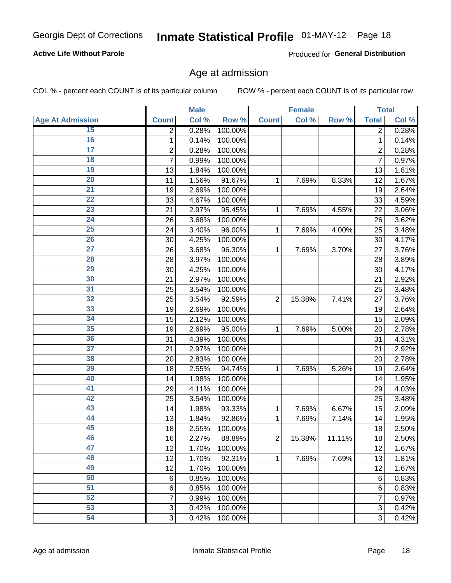# Inmate Statistical Profile 01-MAY-12 Page 18

#### **Active Life Without Parole**

Produced for General Distribution

### Age at admission

COL % - percent each COUNT is of its particular column

|                         |                 | <b>Male</b> |         |                | <b>Female</b> |        |                | <b>Total</b> |
|-------------------------|-----------------|-------------|---------|----------------|---------------|--------|----------------|--------------|
| <b>Age At Admission</b> | <b>Count</b>    | Col %       | Row %   | <b>Count</b>   | Col %         | Row %  | <b>Total</b>   | Col %        |
| 15                      | 2               | 0.28%       | 100.00% |                |               |        | 2              | 0.28%        |
| 16                      | 1               | 0.14%       | 100.00% |                |               |        | $\mathbf{1}$   | 0.14%        |
| $\overline{17}$         | 2               | 0.28%       | 100.00% |                |               |        | $\overline{2}$ | 0.28%        |
| 18                      | 7               | 0.99%       | 100.00% |                |               |        | 7              | 0.97%        |
| 19                      | 13              | 1.84%       | 100.00% |                |               |        | 13             | 1.81%        |
| $\overline{20}$         | 11              | 1.56%       | 91.67%  | 1              | 7.69%         | 8.33%  | 12             | 1.67%        |
| 21                      | 19              | 2.69%       | 100.00% |                |               |        | 19             | 2.64%        |
| 22                      | 33              | 4.67%       | 100.00% |                |               |        | 33             | 4.59%        |
| 23                      | 21              | 2.97%       | 95.45%  | 1              | 7.69%         | 4.55%  | 22             | 3.06%        |
| 24                      | 26              | 3.68%       | 100.00% |                |               |        | 26             | 3.62%        |
| $\overline{25}$         | 24              | 3.40%       | 96.00%  | 1              | 7.69%         | 4.00%  | 25             | 3.48%        |
| 26                      | 30              | 4.25%       | 100.00% |                |               |        | 30             | 4.17%        |
| $\overline{27}$         | 26              | 3.68%       | 96.30%  | 1              | 7.69%         | 3.70%  | 27             | 3.76%        |
| 28                      | 28              | 3.97%       | 100.00% |                |               |        | 28             | 3.89%        |
| 29                      | 30              | 4.25%       | 100.00% |                |               |        | 30             | 4.17%        |
| 30                      | 21              | 2.97%       | 100.00% |                |               |        | 21             | 2.92%        |
| $\overline{31}$         | 25              | 3.54%       | 100.00% |                |               |        | 25             | 3.48%        |
| 32                      | 25              | 3.54%       | 92.59%  | $\overline{2}$ | 15.38%        | 7.41%  | 27             | 3.76%        |
| 33                      | 19              | 2.69%       | 100.00% |                |               |        | 19             | 2.64%        |
| 34                      | 15              | 2.12%       | 100.00% |                |               |        | 15             | 2.09%        |
| 35                      | 19              | 2.69%       | 95.00%  | 1              | 7.69%         | 5.00%  | 20             | 2.78%        |
| 36                      | 31              | 4.39%       | 100.00% |                |               |        | 31             | 4.31%        |
| $\overline{37}$         | 21              | 2.97%       | 100.00% |                |               |        | 21             | 2.92%        |
| 38                      | 20              | 2.83%       | 100.00% |                |               |        | 20             | 2.78%        |
| 39                      | 18              | 2.55%       | 94.74%  | 1              | 7.69%         | 5.26%  | 19             | 2.64%        |
| 40                      | 14              | 1.98%       | 100.00% |                |               |        | 14             | 1.95%        |
| 41                      | 29              | 4.11%       | 100.00% |                |               |        | 29             | 4.03%        |
| 42                      | 25              | 3.54%       | 100.00% |                |               |        | 25             | 3.48%        |
| 43                      | 14              | 1.98%       | 93.33%  | 1              | 7.69%         | 6.67%  | 15             | 2.09%        |
| 44                      | 13              | 1.84%       | 92.86%  | 1              | 7.69%         | 7.14%  | 14             | 1.95%        |
| 45                      | 18              | 2.55%       | 100.00% |                |               |        | 18             | 2.50%        |
| 46                      | 16              | 2.27%       | 88.89%  | $\overline{2}$ | 15.38%        | 11.11% | 18             | 2.50%        |
| 47                      | 12              | 1.70%       | 100.00% |                |               |        | 12             | 1.67%        |
| 48                      | 12              | 1.70%       | 92.31%  | 1              | 7.69%         | 7.69%  | 13             | 1.81%        |
| 49                      | 12              | 1.70%       | 100.00% |                |               |        | 12             | 1.67%        |
| 50                      | 6               | 0.85%       | 100.00% |                |               |        | 6              | 0.83%        |
| $\overline{51}$         | $6\phantom{1}6$ | 0.85%       | 100.00% |                |               |        | 6              | 0.83%        |
| 52                      | 7               | 0.99%       | 100.00% |                |               |        | 7              | 0.97%        |
| 53                      | 3               | 0.42%       | 100.00% |                |               |        | 3              | 0.42%        |
| 54                      | 3               | 0.42%       | 100.00% |                |               |        | 3              | 0.42%        |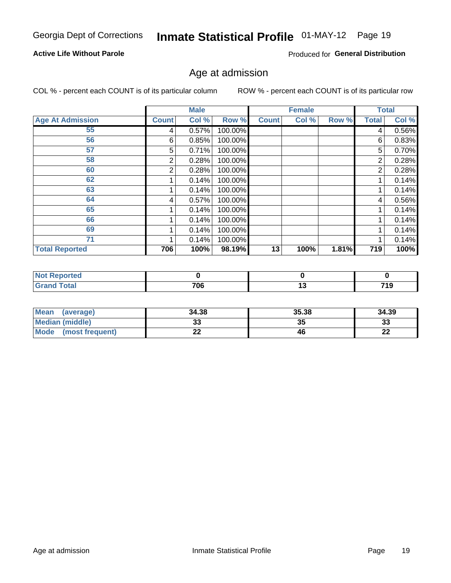# Inmate Statistical Profile 01-MAY-12 Page 19

#### **Active Life Without Parole**

Produced for General Distribution

### Age at admission

COL % - percent each COUNT is of its particular column

|                         |                | <b>Male</b> |         |              | <b>Female</b> |       |              | <b>Total</b> |
|-------------------------|----------------|-------------|---------|--------------|---------------|-------|--------------|--------------|
| <b>Age At Admission</b> | <b>Count</b>   | Col %       | Row %   | <b>Count</b> | Col %         | Row % | <b>Total</b> | Col %        |
| 55                      | 4              | 0.57%       | 100.00% |              |               |       | 4            | 0.56%        |
| 56                      | 6              | 0.85%       | 100.00% |              |               |       | 6            | 0.83%        |
| 57                      | 5              | 0.71%       | 100.00% |              |               |       | 5            | 0.70%        |
| 58                      | 2              | 0.28%       | 100.00% |              |               |       | 2            | 0.28%        |
| 60                      | $\overline{2}$ | 0.28%       | 100.00% |              |               |       | 2            | 0.28%        |
| 62                      |                | 0.14%       | 100.00% |              |               |       |              | 0.14%        |
| 63                      |                | 0.14%       | 100.00% |              |               |       |              | 0.14%        |
| 64                      | 4              | 0.57%       | 100.00% |              |               |       | 4            | 0.56%        |
| 65                      |                | 0.14%       | 100.00% |              |               |       |              | 0.14%        |
| 66                      |                | 0.14%       | 100.00% |              |               |       |              | 0.14%        |
| 69                      |                | 0.14%       | 100.00% |              |               |       |              | 0.14%        |
| 71                      |                | 0.14%       | 100.00% |              |               |       |              | 0.14%        |
| <b>Total Reported</b>   | 706            | 100%        | 98.19%  | 13           | 100%          | 1.81% | 719          | 100%         |

| rted<br>NOI     |     |    |                      |
|-----------------|-----|----|----------------------|
| $int^{\bullet}$ | 706 | יי | 71 Q<br>ıJ<br>$\sim$ |

| Mean<br>(average)              | 34.38 | 35.38 | 34.39    |
|--------------------------------|-------|-------|----------|
| <b>Median (middle)</b>         | ົ     | 35    | n.<br>ند |
| <b>Mode</b><br>(most frequent) | --    | 46    | n,<br>LL |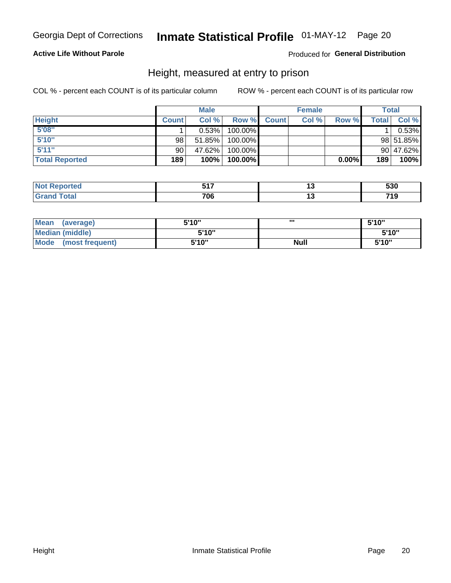# Inmate Statistical Profile 01-MAY-12 Page 20

#### **Active Life Without Parole**

#### Produced for General Distribution

### Height, measured at entry to prison

COL % - percent each COUNT is of its particular column

|                       |              | <b>Male</b> |         |              | <b>Female</b> |          |              | Total     |
|-----------------------|--------------|-------------|---------|--------------|---------------|----------|--------------|-----------|
| <b>Height</b>         | <b>Count</b> | Col %       | Row %   | <b>Count</b> | Col %         | Row %    | <b>Total</b> | Col %     |
| 5'08''                |              | 0.53%       | 100.00% |              |               |          |              | 0.53%     |
| 5'10''                | 98           | 51.85%      | 100.00% |              |               |          |              | 98 51.85% |
| 5'11''                | 90           | 47.62%      | 100.00% |              |               |          |              | 90 47.62% |
| <b>Total Reported</b> | 189          | 100%        | 100.00% |              |               | $0.00\%$ | 189          | 100%      |

| <b>Not</b><br><b>orted</b><br>reno | --- | cnn<br>ววบ   |
|------------------------------------|-----|--------------|
| <b>Total</b><br>' Grand            | 706 | 74 0<br>- 19 |

| Mean<br>(average)              | 5'10" | ш           | 5'10" |
|--------------------------------|-------|-------------|-------|
| Median (middle)                | 5'10" |             | 5'10" |
| <b>Mode</b><br>(most frequent) | 5'10" | <b>Null</b> | 5'10" |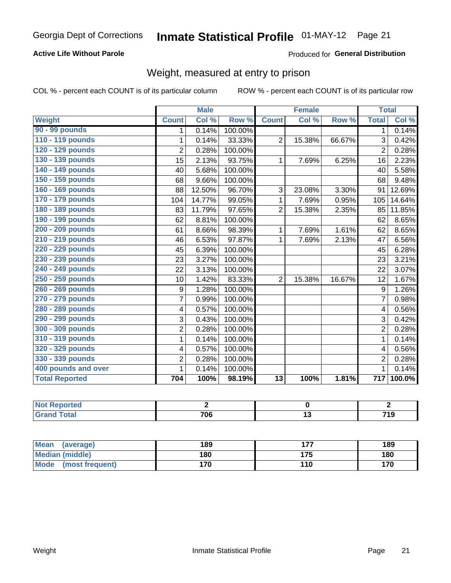# Inmate Statistical Profile 01-MAY-12 Page 21

#### **Active Life Without Parole**

#### Produced for General Distribution

### Weight, measured at entry to prison

COL % - percent each COUNT is of its particular column

|                       |                | <b>Male</b> |         |                 | <b>Female</b> |        | <b>Total</b>   |        |
|-----------------------|----------------|-------------|---------|-----------------|---------------|--------|----------------|--------|
| Weight                | <b>Count</b>   | Col %       | Row %   | <b>Count</b>    | Col %         | Row %  | <b>Total</b>   | Col %  |
| 90 - 99 pounds        | 1              | 0.14%       | 100.00% |                 |               |        | 1.             | 0.14%  |
| 110 - 119 pounds      | 1              | 0.14%       | 33.33%  | $\overline{2}$  | 15.38%        | 66.67% | 3              | 0.42%  |
| 120 - 129 pounds      | $\overline{2}$ | 0.28%       | 100.00% |                 |               |        | 2              | 0.28%  |
| 130 - 139 pounds      | 15             | 2.13%       | 93.75%  | 1               | 7.69%         | 6.25%  | 16             | 2.23%  |
| 140 - 149 pounds      | 40             | 5.68%       | 100.00% |                 |               |        | 40             | 5.58%  |
| 150 - 159 pounds      | 68             | 9.66%       | 100.00% |                 |               |        | 68             | 9.48%  |
| 160 - 169 pounds      | 88             | 12.50%      | 96.70%  | 3               | 23.08%        | 3.30%  | 91             | 12.69% |
| 170 - 179 pounds      | 104            | 14.77%      | 99.05%  | 1               | 7.69%         | 0.95%  | 105            | 14.64% |
| 180 - 189 pounds      | 83             | 11.79%      | 97.65%  | $\overline{2}$  | 15.38%        | 2.35%  | 85             | 11.85% |
| 190 - 199 pounds      | 62             | 8.81%       | 100.00% |                 |               |        | 62             | 8.65%  |
| 200 - 209 pounds      | 61             | 8.66%       | 98.39%  | 1               | 7.69%         | 1.61%  | 62             | 8.65%  |
| 210 - 219 pounds      | 46             | 6.53%       | 97.87%  | 1               | 7.69%         | 2.13%  | 47             | 6.56%  |
| 220 - 229 pounds      | 45             | 6.39%       | 100.00% |                 |               |        | 45             | 6.28%  |
| 230 - 239 pounds      | 23             | 3.27%       | 100.00% |                 |               |        | 23             | 3.21%  |
| 240 - 249 pounds      | 22             | 3.13%       | 100.00% |                 |               |        | 22             | 3.07%  |
| 250 - 259 pounds      | 10             | 1.42%       | 83.33%  | $\overline{2}$  | 15.38%        | 16.67% | 12             | 1.67%  |
| 260 - 269 pounds      | 9              | 1.28%       | 100.00% |                 |               |        | 9              | 1.26%  |
| 270 - 279 pounds      | $\overline{7}$ | 0.99%       | 100.00% |                 |               |        | 7              | 0.98%  |
| 280 - 289 pounds      | 4              | 0.57%       | 100.00% |                 |               |        | 4              | 0.56%  |
| 290 - 299 pounds      | 3              | 0.43%       | 100.00% |                 |               |        | 3              | 0.42%  |
| 300 - 309 pounds      | $\overline{2}$ | 0.28%       | 100.00% |                 |               |        | $\overline{2}$ | 0.28%  |
| 310 - 319 pounds      | 1              | 0.14%       | 100.00% |                 |               |        | $\mathbf{1}$   | 0.14%  |
| 320 - 329 pounds      | 4              | 0.57%       | 100.00% |                 |               |        | 4              | 0.56%  |
| 330 - 339 pounds      | $\overline{2}$ | 0.28%       | 100.00% |                 |               |        | $\overline{2}$ | 0.28%  |
| 400 pounds and over   | $\mathbf{1}$   | 0.14%       | 100.00% |                 |               |        | 1              | 0.14%  |
| <b>Total Reported</b> | 704            | 100%        | 98.19%  | $\overline{13}$ | 100%          | 1.81%  | 717            | 100.0% |

| <b>Reported</b><br>N<br>$\sim$ |     |        |     |
|--------------------------------|-----|--------|-----|
| <b>otal</b>                    | 706 | $\sim$ | 719 |

| <b>Mean</b><br>(average) | 189 | --- | 189 |
|--------------------------|-----|-----|-----|
| <b>Median (middle)</b>   | 180 | 175 | 180 |
| Mode<br>(most frequent)  | 170 | 110 | 170 |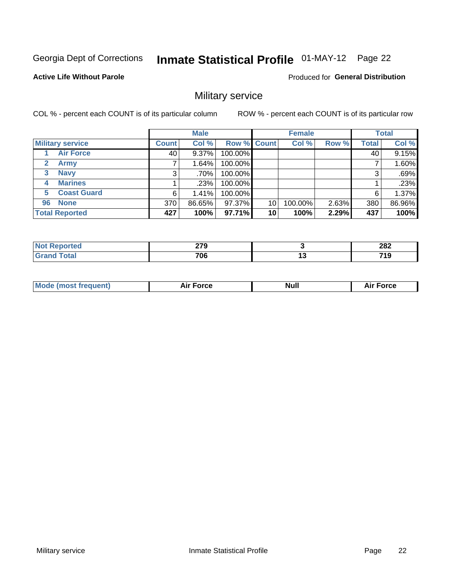# Inmate Statistical Profile 01-MAY-12 Page 22

#### **Active Life Without Parole**

Produced for General Distribution

### Military service

COL % - percent each COUNT is of its particular column

|                             |              | <b>Male</b> |         |                    | <b>Female</b> |       |              | <b>Total</b> |
|-----------------------------|--------------|-------------|---------|--------------------|---------------|-------|--------------|--------------|
| <b>Military service</b>     | <b>Count</b> | Col %       |         | <b>Row % Count</b> | Col %         | Row % | <b>Total</b> | Col %        |
| <b>Air Force</b>            | 40           | $9.37\%$    | 100.00% |                    |               |       | 40           | 9.15%        |
| $\mathbf{2}$<br><b>Army</b> |              | 1.64%       | 100.00% |                    |               |       |              | 1.60%        |
| <b>Navy</b><br>3            | 3            | ا %70.      | 100.00% |                    |               |       | 3            | .69%         |
| <b>Marines</b><br>4         |              | .23%        | 100.00% |                    |               |       |              | .23%         |
| <b>Coast Guard</b><br>5     | 6            | 1.41%       | 100.00% |                    |               |       | 6            | 1.37%        |
| <b>None</b><br>96           | 370          | 86.65%      | 97.37%  | 10                 | 100.00%       | 2.63% | 380          | 86.96%       |
| <b>Total Reported</b>       | 427          | 100%        | 97.71%  | 10                 | 100%          | 2.29% | 437          | 100%         |

| <b>rted</b>                    | 270<br>41 V<br>$\sim$ | 282              |
|--------------------------------|-----------------------|------------------|
| $f \wedge f \wedge f'$<br>υιαι | 706                   | <br>74 O<br>- 15 |

|  |  | <b>Mode</b><br>uent)<br>most tren | Force<br>Aır | <b>Null</b> | orce |
|--|--|-----------------------------------|--------------|-------------|------|
|--|--|-----------------------------------|--------------|-------------|------|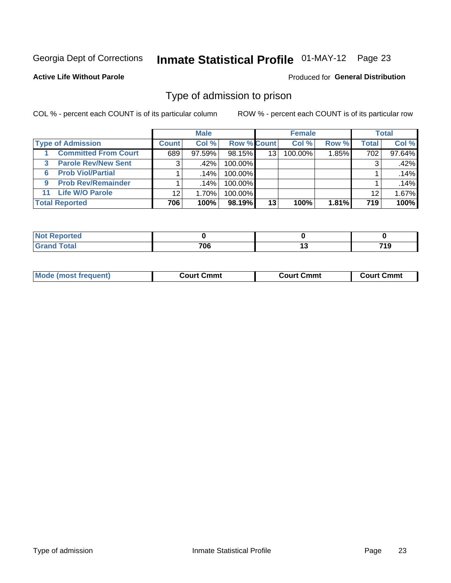# Inmate Statistical Profile 01-MAY-12 Page 23

#### **Active Life Without Parole**

#### Produced for General Distribution

### Type of admission to prison

COL % - percent each COUNT is of its particular column

|                                 |                 | <b>Male</b> |                    |    | <b>Female</b> |       |       | <b>Total</b> |
|---------------------------------|-----------------|-------------|--------------------|----|---------------|-------|-------|--------------|
| <b>Type of Admission</b>        | <b>Count</b>    | Col%        | <b>Row % Count</b> |    | Col %         | Row % | Total | Col %        |
| <b>Committed From Court</b>     | 689             | $97.59\%$   | 98.15%             | 13 | 100.00%       | 1.85% | 702   | 97.64%       |
| <b>Parole Rev/New Sent</b><br>3 | 3               | .42%        | 100.00%            |    |               |       | 3     | .42%         |
| <b>Prob Viol/Partial</b><br>6   |                 | .14%        | 100.00%            |    |               |       |       | .14%         |
| <b>Prob Rev/Remainder</b><br>9  |                 | ا 14%.      | 100.00%            |    |               |       |       | .14%         |
| <b>Life W/O Parole</b><br>11    | 12 <sup>°</sup> | $1.70\%$    | 100.00%            |    |               |       | 12    | 1.67%        |
| <b>Total Reported</b>           | 706             | 100%        | 98.19%             | 13 | 100%          | 1.81% | 719   | 100%         |

| <b>norted</b><br>NOT F |     |                    |
|------------------------|-----|--------------------|
| <b>Total</b>           | 706 | <b>710</b><br>- 15 |

| Mod<br>frequent)<br><b>TA IMOST 1.</b> | Court Cmmt<br>$\sim$ $\sim$ | วmmt<br>∴ourt | ∶ Cmmt<br>∴∩⊔rt∴ |
|----------------------------------------|-----------------------------|---------------|------------------|
|                                        |                             |               |                  |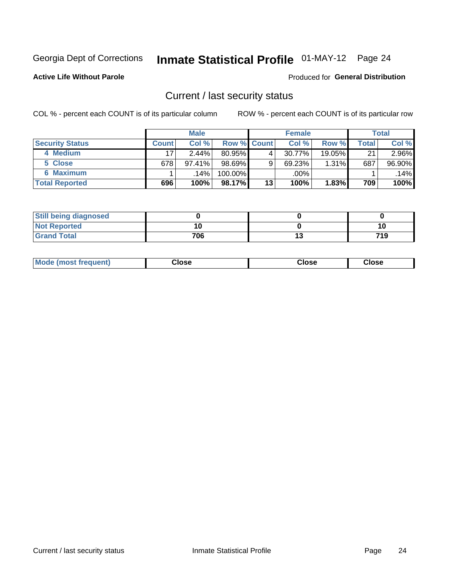# Inmate Statistical Profile 01-MAY-12 Page 24

**Active Life Without Parole** 

#### Produced for General Distribution

### Current / last security status

COL % - percent each COUNT is of its particular column

|                        | <b>Male</b>  |           |                    | <b>Female</b> |           |          | <b>Total</b> |        |
|------------------------|--------------|-----------|--------------------|---------------|-----------|----------|--------------|--------|
| <b>Security Status</b> | <b>Count</b> | Col %     | <b>Row % Count</b> |               | Col %     | Row %    | Total        | Col %  |
| 4 Medium               | 17           | $2.44\%$  | 80.95%             | 4             | $30.77\%$ | 19.05%   | 21           | 2.96%  |
| 5 Close                | 678          | $97.41\%$ | 98.69%             | 9             | 69.23%    | $1.31\%$ | 687          | 96.90% |
| 6 Maximum              |              | .14% l    | $100.00\%$         |               | .00%      |          |              | .14%   |
| <b>Total Reported</b>  | 696          | 100%      | 98.17%             | 13            | 100%      | $1.83\%$ | 709          | 100%   |

| <b>Still being diagnosed</b> |     |     |
|------------------------------|-----|-----|
| <b>Not Reported</b>          |     | 10  |
| <b>Grand Total</b>           | 706 | 719 |

| <b>Mode (most frequent)</b> | Close | Close | <b>Close</b> |
|-----------------------------|-------|-------|--------------|
|                             |       |       |              |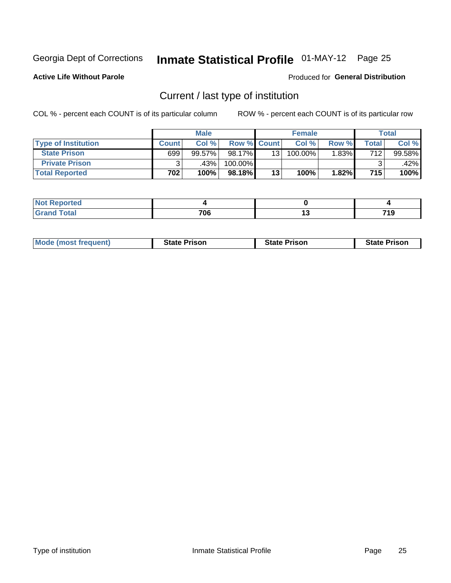# Inmate Statistical Profile 01-MAY-12 Page 25

**Active Life Without Parole** 

#### Produced for General Distribution

### Current / last type of institution

COL % - percent each COUNT is of its particular column

|                            |              | <b>Male</b> |                    |                 | <b>Female</b> |          |       | Total  |
|----------------------------|--------------|-------------|--------------------|-----------------|---------------|----------|-------|--------|
| <b>Type of Institution</b> | <b>Count</b> | $Col \%$    | <b>Row % Count</b> |                 | Col %         | Row %    | Total | Col %  |
| <b>State Prison</b>        | 699          | $99.57\%$   | 98.17%             | 13 <sub>1</sub> | 100.00%       | $1.83\%$ | 712   | 99.58% |
| <b>Private Prison</b>      |              | .43%        | 100.00%            |                 |               |          |       | .42%   |
| <b>Total Reported</b>      | 702          | 100%        | 98.18%             | 13              | 100%          | 1.82%    | 715   | 100%   |

| orted              |     |              |
|--------------------|-----|--------------|
| <b>otal</b><br>--- | 706 | - - -<br>. . |

| <b>Mode (most frequent)</b> | <b>State Prison</b> | <b>State Prison</b> | <b>State Prison</b> |
|-----------------------------|---------------------|---------------------|---------------------|
|                             |                     |                     |                     |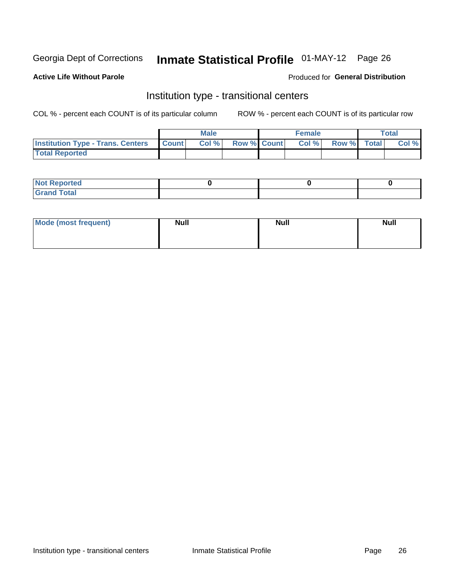# Inmate Statistical Profile 01-MAY-12 Page 26

#### **Active Life Without Parole**

#### Produced for General Distribution

### Institution type - transitional centers

COL % - percent each COUNT is of its particular column

|                                          |                | <b>Male</b> |                    | <b>Female</b> |             | <b>Total</b> |
|------------------------------------------|----------------|-------------|--------------------|---------------|-------------|--------------|
| <b>Institution Type - Trans. Centers</b> | <b>I</b> Count | CoI%        | <b>Row % Count</b> | Col %         | Row % Total | Col %        |
| <b>Total Reported</b>                    |                |             |                    |               |             |              |

| <b>Reported</b><br><b>NOT</b>   |  |  |
|---------------------------------|--|--|
| $\sim$<br>C <sub>r</sub><br>--- |  |  |

| Mode (most frequent) | <b>Null</b> | <b>Null</b> | <b>Null</b> |
|----------------------|-------------|-------------|-------------|
|                      |             |             |             |
|                      |             |             |             |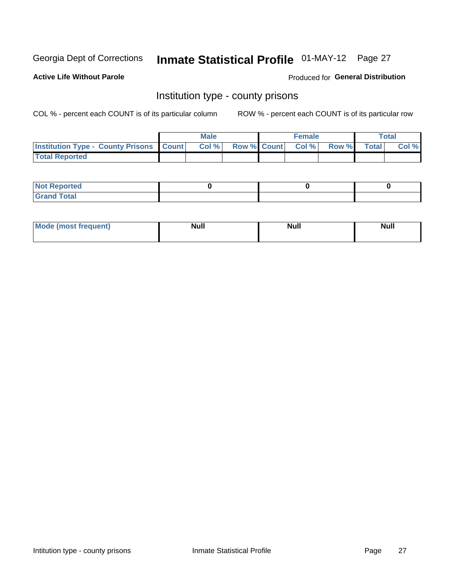# Inmate Statistical Profile 01-MAY-12 Page 27

**Active Life Without Parole** 

**Produced for General Distribution** 

### Institution type - county prisons

COL % - percent each COUNT is of its particular column

|                                                    | <b>Male</b> |  | <b>Female</b>            |             | <b>Total</b> |
|----------------------------------------------------|-------------|--|--------------------------|-------------|--------------|
| <b>Institution Type - County Prisons   Count  </b> | Col %       |  | <b>Row % Count Col %</b> | Row % Total | Col %        |
| <b>Total Reported</b>                              |             |  |                          |             |              |

| <b>Not Reported</b>   |  |  |
|-----------------------|--|--|
| <b>Total</b><br>Granc |  |  |

| <b>Mode</b>      | <b>Null</b> | <b>Null</b> | <b>Null</b> |
|------------------|-------------|-------------|-------------|
| (most freauent). |             |             |             |
|                  |             |             |             |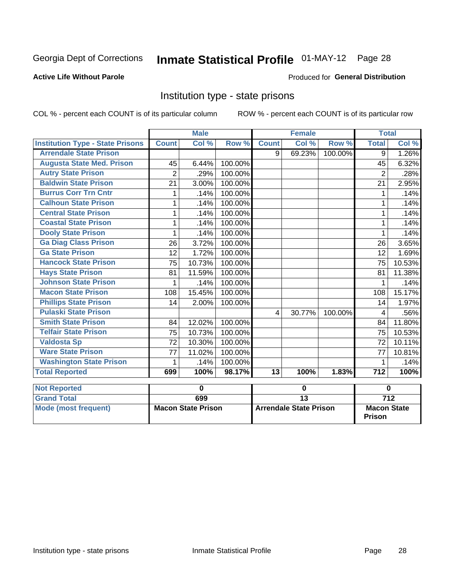# Inmate Statistical Profile 01-MAY-12 Page 28

#### **Active Life Without Parole**

#### **Produced for General Distribution**

### Institution type - state prisons

COL % - percent each COUNT is of its particular column ROW % - percent each COUNT is of its particular row

|                                         |                | <b>Male</b>               |         |                 | <b>Female</b>                 |         | <b>Total</b>                        |                  |
|-----------------------------------------|----------------|---------------------------|---------|-----------------|-------------------------------|---------|-------------------------------------|------------------|
| <b>Institution Type - State Prisons</b> | <b>Count</b>   | Col %                     | Row %   | <b>Count</b>    | Col %                         | Row %   | <b>Total</b>                        | Col %            |
| <b>Arrendale State Prison</b>           |                |                           |         | 9               | 69.23%                        | 100.00% | 9                                   | 1.26%            |
| <b>Augusta State Med. Prison</b>        | 45             | 6.44%                     | 100.00% |                 |                               |         | 45                                  | 6.32%            |
| <b>Autry State Prison</b>               | $\overline{2}$ | .29%                      | 100.00% |                 |                               |         | $\overline{2}$                      | .28%             |
| <b>Baldwin State Prison</b>             | 21             | 3.00%                     | 100.00% |                 |                               |         | 21                                  | 2.95%            |
| <b>Burrus Corr Trn Cntr</b>             | 1              | .14%                      | 100.00% |                 |                               |         | 1                                   | .14%             |
| <b>Calhoun State Prison</b>             | 1              | .14%                      | 100.00% |                 |                               |         | 1                                   | .14%             |
| <b>Central State Prison</b>             | 1              | .14%                      | 100.00% |                 |                               |         | 1                                   | .14%             |
| <b>Coastal State Prison</b>             | 1              | .14%                      | 100.00% |                 |                               |         | 1                                   | .14%             |
| <b>Dooly State Prison</b>               | 1              | .14%                      | 100.00% |                 |                               |         | 1                                   | .14%             |
| <b>Ga Diag Class Prison</b>             | 26             | 3.72%                     | 100.00% |                 |                               |         | 26                                  | 3.65%            |
| <b>Ga State Prison</b>                  | 12             | 1.72%                     | 100.00% |                 |                               |         | 12                                  | 1.69%            |
| <b>Hancock State Prison</b>             | 75             | 10.73%                    | 100.00% |                 |                               |         | 75                                  | 10.53%           |
| <b>Hays State Prison</b>                | 81             | 11.59%                    | 100.00% |                 |                               |         | 81                                  | 11.38%           |
| <b>Johnson State Prison</b>             | 1              | .14%                      | 100.00% |                 |                               |         | 1                                   | .14%             |
| <b>Macon State Prison</b>               | 108            | 15.45%                    | 100.00% |                 |                               |         | 108                                 | 15.17%           |
| <b>Phillips State Prison</b>            | 14             | 2.00%                     | 100.00% |                 |                               |         | 14                                  | 1.97%            |
| <b>Pulaski State Prison</b>             |                |                           |         | 4               | 30.77%                        | 100.00% | 4                                   | .56%             |
| <b>Smith State Prison</b>               | 84             | 12.02%                    | 100.00% |                 |                               |         | 84                                  | 11.80%           |
| <b>Telfair State Prison</b>             | 75             | 10.73%                    | 100.00% |                 |                               |         | 75                                  | 10.53%           |
| <b>Valdosta Sp</b>                      | 72             | 10.30%                    | 100.00% |                 |                               |         | 72                                  | 10.11%           |
| <b>Ware State Prison</b>                | 77             | 11.02%                    | 100.00% |                 |                               |         | 77                                  | 10.81%           |
| <b>Washington State Prison</b>          | 1              | .14%                      | 100.00% |                 |                               |         | 1                                   | .14%             |
| <b>Total Reported</b>                   | 699            | 100%                      | 98.17%  | $\overline{13}$ | 100%                          | 1.83%   | $\overline{712}$                    | 100%             |
| <b>Not Reported</b>                     |                | $\mathbf 0$               |         |                 | 0                             |         |                                     | $\mathbf 0$      |
| <b>Grand Total</b>                      |                | 699                       |         | $\overline{13}$ |                               |         |                                     | $\overline{712}$ |
| <b>Mode (most frequent)</b>             |                | <b>Macon State Prison</b> |         |                 | <b>Arrendale State Prison</b> |         | <b>Macon State</b><br><b>Prison</b> |                  |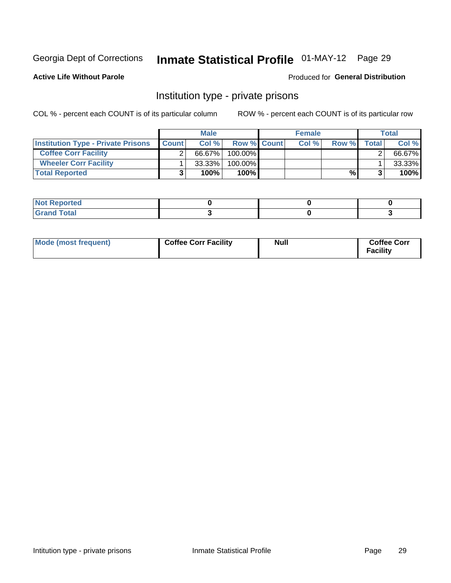# Inmate Statistical Profile 01-MAY-12 Page 29

Produced for General Distribution

#### **Active Life Without Parole**

### Institution type - private prisons

COL % - percent each COUNT is of its particular column

|                                           |              | <b>Male</b> |                    | <b>Female</b> |       |       | <b>Total</b> |
|-------------------------------------------|--------------|-------------|--------------------|---------------|-------|-------|--------------|
| <b>Institution Type - Private Prisons</b> | <b>Count</b> | Col $%$     | <b>Row % Count</b> | Col%          | Row % | Total | Col %        |
| <b>Coffee Corr Facility</b>               |              | 66.67%      | $100.00\%$         |               |       |       | 66.67%       |
| <b>Wheeler Corr Facility</b>              |              | $33.33\%$   | $100.00\%$         |               |       |       | 33.33%       |
| <b>Total Reported</b>                     |              | 100%        | 100%               |               | %।    |       | 100%         |

| <b>Not Reported</b>     |  |  |
|-------------------------|--|--|
| <u>i Utal</u><br>------ |  |  |

| Mode (most frequent) | <b>Coffee Corr Facility</b> | <b>Null</b> | <b>Coffee Corr</b><br><b>Facility</b> |
|----------------------|-----------------------------|-------------|---------------------------------------|
|----------------------|-----------------------------|-------------|---------------------------------------|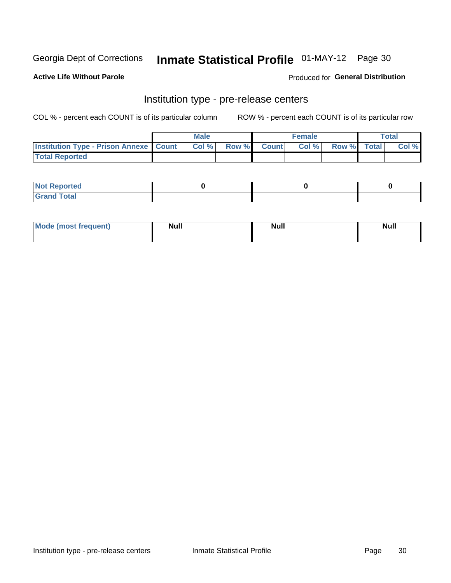## Inmate Statistical Profile 01-MAY-12 Page 30

**Active Life Without Parole** 

Produced for General Distribution

# Institution type - pre-release centers

COL % - percent each COUNT is of its particular column

|                                                   | <b>Male</b> |              |       | <b>Female</b> |                    | <b>Total</b> |
|---------------------------------------------------|-------------|--------------|-------|---------------|--------------------|--------------|
| <b>Institution Type - Prison Annexe   Count  </b> | Col %       | <b>Row %</b> | Count | Col %         | <b>Row %</b> Total | Col %        |
| <b>Total Reported</b>                             |             |              |       |               |                    |              |

| <b>Reported</b><br>I NOT |  |  |
|--------------------------|--|--|
| <b>Total</b><br>$C$ ren  |  |  |

| $^{\prime}$ Mo <sub>t</sub><br>frequent)<br>⊥(mos* | <b>Null</b> | Noll<br><b>vull</b> | <b>Null</b> |
|----------------------------------------------------|-------------|---------------------|-------------|
|                                                    |             |                     |             |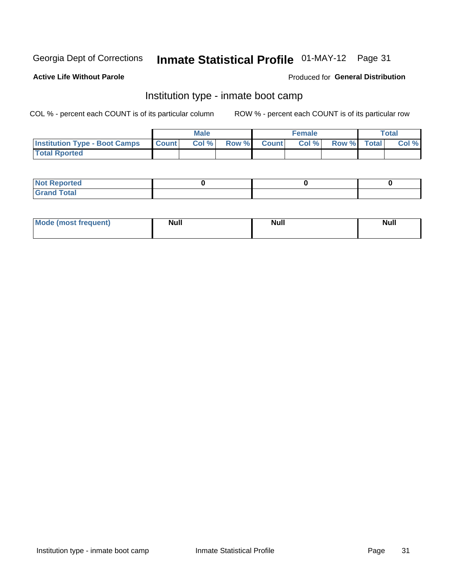# Inmate Statistical Profile 01-MAY-12 Page 31

#### **Active Life Without Parole**

#### **Produced for General Distribution**

### Institution type - inmate boot camp

COL % - percent each COUNT is of its particular column

|                                      |              | <b>Male</b> |               |              | <b>Female</b> |             | <b>Total</b> |
|--------------------------------------|--------------|-------------|---------------|--------------|---------------|-------------|--------------|
| <b>Institution Type - Boot Camps</b> | <b>Count</b> | Col %       | <b>Row %I</b> | <b>Count</b> | Col %         | Row % Total | Col %        |
| <b>Total Rported</b>                 |              |             |               |              |               |             |              |

| <b>Not Reported</b> |  |  |
|---------------------|--|--|
| <b>Total</b><br>Cro |  |  |

| <b>I Mode (most frequent)</b> | <b>Null</b> | <b>Null</b> | <b>Null</b> |
|-------------------------------|-------------|-------------|-------------|
|                               |             |             |             |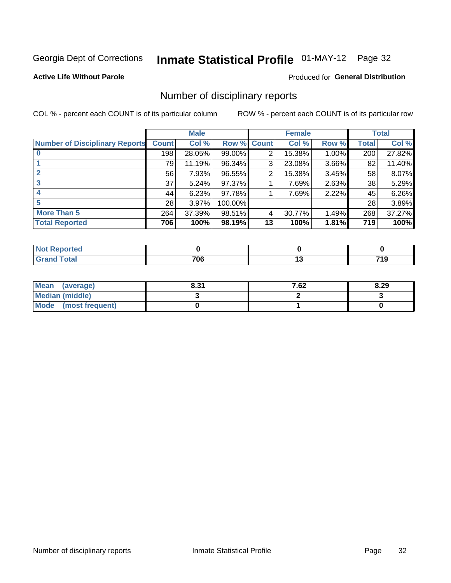# Inmate Statistical Profile 01-MAY-12 Page 32

#### **Active Life Without Parole**

#### **Produced for General Distribution**

### Number of disciplinary reports

COL % - percent each COUNT is of its particular column

|                                       |              | <b>Male</b> |         |              | <b>Female</b> |          |              | <b>Total</b> |
|---------------------------------------|--------------|-------------|---------|--------------|---------------|----------|--------------|--------------|
| <b>Number of Disciplinary Reports</b> | <b>Count</b> | Col %       | Row %   | <b>Count</b> | Col %         | Row %    | <b>Total</b> | Col %        |
|                                       | 198          | 28.05%      | 99.00%  | 2            | 15.38%        | 1.00%    | 200          | 27.82%       |
|                                       | 79           | 11.19%      | 96.34%  | 3            | 23.08%        | 3.66%    | 82           | 11.40%       |
|                                       | 56           | 7.93%       | 96.55%  | 2            | 15.38%        | 3.45%    | 58           | 8.07%        |
| 3                                     | 37           | 5.24%       | 97.37%  |              | 7.69%         | $2.63\%$ | 38           | 5.29%        |
|                                       | 44           | 6.23%       | 97.78%  |              | 7.69%         | 2.22%    | 45           | 6.26%        |
| 5                                     | 28           | 3.97%       | 100.00% |              |               |          | 28           | 3.89%        |
| <b>More Than 5</b>                    | 264          | 37.39%      | 98.51%  | 4            | 30.77%        | 1.49%    | 268          | 37.27%       |
| <b>Total Reported</b>                 | 706          | 100%        | 98.19%  | 13           | 100%          | 1.81%    | 719          | 100%         |

| NO<br>τeο |     |        |       |
|-----------|-----|--------|-------|
| Total     | 706 | $\sim$ | 7 I J |

| Mean (average)         | 0.21<br>0.31 | 7.62 | 8.29 |
|------------------------|--------------|------|------|
| <b>Median (middle)</b> |              |      |      |
| Mode (most frequent)   |              |      |      |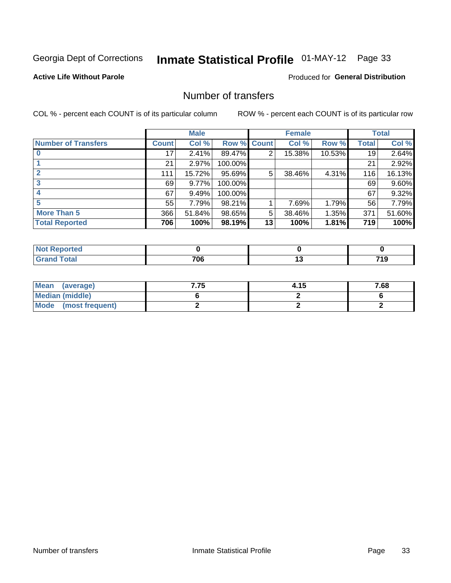# Inmate Statistical Profile 01-MAY-12 Page 33

#### **Active Life Without Parole**

#### **Produced for General Distribution**

### Number of transfers

COL % - percent each COUNT is of its particular column

|                            |              | <b>Male</b> |             |    | <b>Female</b> |           |              | <b>Total</b> |
|----------------------------|--------------|-------------|-------------|----|---------------|-----------|--------------|--------------|
| <b>Number of Transfers</b> | <b>Count</b> | Col %       | Row % Count |    | Col %         | Row %     | <b>Total</b> | Col %        |
|                            | 17           | 2.41%       | 89.47%      | 2  | 15.38%        | $10.53\%$ | 19           | 2.64%        |
|                            | 21           | 2.97%       | 100.00%     |    |               |           | 21           | 2.92%        |
| $\mathbf{2}$               | 111          | 15.72%      | 95.69%      | 5  | 38.46%        | 4.31%     | 116          | 16.13%       |
| 3                          | 69           | 9.77%       | 100.00%     |    |               |           | 69           | 9.60%        |
|                            | 67           | 9.49%       | 100.00%     |    |               |           | 67           | 9.32%        |
| 5                          | 55           | 7.79%       | 98.21%      |    | 7.69%         | 1.79%     | 56           | 7.79%        |
| <b>More Than 5</b>         | 366          | 51.84%      | 98.65%      | 5  | 38.46%        | 1.35%     | 371          | 51.60%       |
| <b>Total Reported</b>      | 706          | 100%        | 98.19%      | 13 | 100%          | 1.81%     | 719          | 100%         |

| prted<br>NOT F |     |  |
|----------------|-----|--|
| Total          | 706 |  |

| Mean (average)       | 7.75 | 4.15 | 7.68 |
|----------------------|------|------|------|
| Median (middle)      |      |      |      |
| Mode (most frequent) |      |      |      |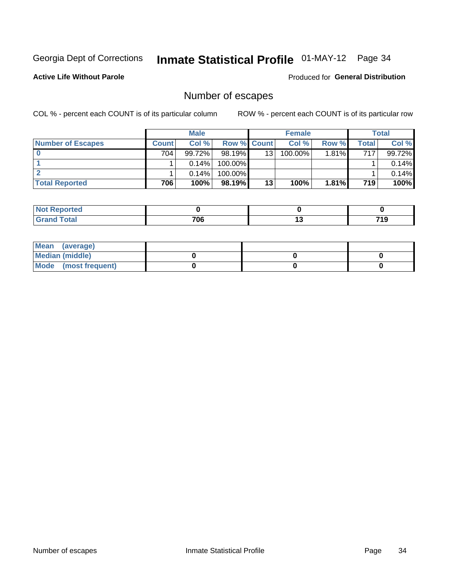# Inmate Statistical Profile 01-MAY-12 Page 34

**Active Life Without Parole** 

**Produced for General Distribution** 

### Number of escapes

COL % - percent each COUNT is of its particular column

|                          |              | <b>Male</b> |                    |    | <b>Female</b> |       |       | Total  |
|--------------------------|--------------|-------------|--------------------|----|---------------|-------|-------|--------|
| <b>Number of Escapes</b> | <b>Count</b> | Col %       | <b>Row % Count</b> |    | Col %         | Row % | Total | Col %  |
|                          | 704          | $99.72\%$   | $98.19\%$          | 13 | 100.00%       | 1.81% | 717   | 99.72% |
|                          |              | $0.14\%$    | 100.00%            |    |               |       |       | 0.14%  |
|                          |              | $0.14\%$    | 100.00%            |    |               |       |       | 0.14%  |
| <b>Total Reported</b>    | 706          | 100%        | 98.19%             | 13 | 100%          | 1.81% | 719   | 100%   |

| <b>Not Reported</b> |     |      |
|---------------------|-----|------|
| <b>fotal</b>        | 700 | 74 0 |
| Grand               | ט י | .    |

| Mean (average)       |  |  |
|----------------------|--|--|
| Median (middle)      |  |  |
| Mode (most frequent) |  |  |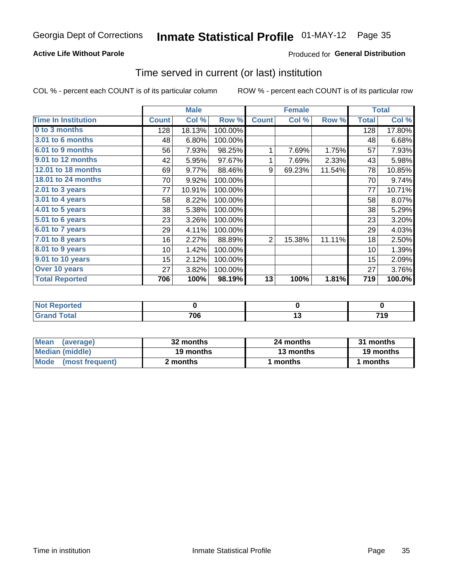# Inmate Statistical Profile 01-MAY-12 Page 35

#### **Active Life Without Parole**

#### **Produced for General Distribution**

### Time served in current (or last) institution

COL % - percent each COUNT is of its particular column

|                            |              | <b>Male</b> |         |                | <b>Female</b> |        |              | <b>Total</b> |
|----------------------------|--------------|-------------|---------|----------------|---------------|--------|--------------|--------------|
| <b>Time In Institution</b> | <b>Count</b> | Col %       | Row %   | <b>Count</b>   | Col %         | Row %  | <b>Total</b> | Col %        |
| 0 to 3 months              | 128          | 18.13%      | 100.00% |                |               |        | 128          | 17.80%       |
| <b>3.01 to 6 months</b>    | 48           | 6.80%       | 100.00% |                |               |        | 48           | 6.68%        |
| 6.01 to 9 months           | 56           | 7.93%       | 98.25%  | 1              | 7.69%         | 1.75%  | 57           | 7.93%        |
| 9.01 to 12 months          | 42           | 5.95%       | 97.67%  | 1              | 7.69%         | 2.33%  | 43           | 5.98%        |
| 12.01 to 18 months         | 69           | 9.77%       | 88.46%  | 9              | 69.23%        | 11.54% | 78           | 10.85%       |
| 18.01 to 24 months         | 70           | 9.92%       | 100.00% |                |               |        | 70           | 9.74%        |
| $2.01$ to 3 years          | 77           | 10.91%      | 100.00% |                |               |        | 77           | 10.71%       |
| 3.01 to 4 years            | 58           | 8.22%       | 100.00% |                |               |        | 58           | 8.07%        |
| 4.01 to 5 years            | 38           | 5.38%       | 100.00% |                |               |        | 38           | 5.29%        |
| 5.01 to 6 years            | 23           | 3.26%       | 100.00% |                |               |        | 23           | 3.20%        |
| 6.01 to 7 years            | 29           | 4.11%       | 100.00% |                |               |        | 29           | 4.03%        |
| 7.01 to 8 years            | 16           | 2.27%       | 88.89%  | $\overline{2}$ | 15.38%        | 11.11% | 18           | 2.50%        |
| 8.01 to 9 years            | 10           | 1.42%       | 100.00% |                |               |        | 10           | 1.39%        |
| 9.01 to 10 years           | 15           | 2.12%       | 100.00% |                |               |        | 15           | 2.09%        |
| Over 10 years              | 27           | 3.82%       | 100.00% |                |               |        | 27           | 3.76%        |
| <b>Total Reported</b>      | 706          | 100%        | 98.19%  | 13             | 100%          | 1.81%  | 719          | 100.0%       |

| Reported<br><b>NOT</b> |     |     |
|------------------------|-----|-----|
| <i>i</i> otal          | 706 | . . |

| <b>Mean</b><br>(average) | 32 months | 24 months | 31 months |  |
|--------------------------|-----------|-----------|-----------|--|
| Median (middle)          | 19 months | 13 months | 19 months |  |
| Mode (most frequent)     | 2 months  | 1 months  | 1 months  |  |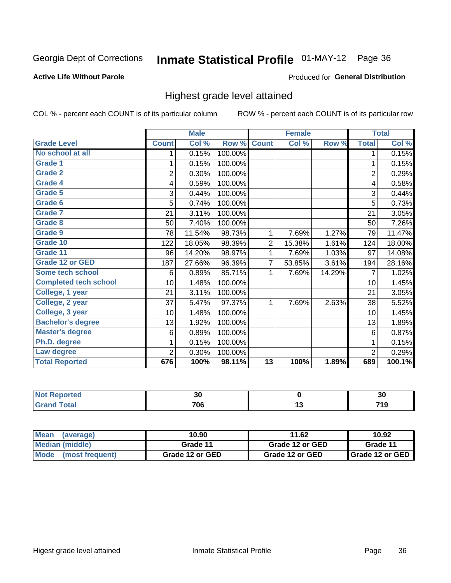# Inmate Statistical Profile 01-MAY-12 Page 36

#### **Active Life Without Parole**

#### Produced for General Distribution

### Highest grade level attained

COL % - percent each COUNT is of its particular column

|                              |                 | <b>Male</b> |         |                 | <b>Female</b> |        |                | <b>Total</b> |
|------------------------------|-----------------|-------------|---------|-----------------|---------------|--------|----------------|--------------|
| <b>Grade Level</b>           | <b>Count</b>    | Col %       | Row %   | <b>Count</b>    | Col %         | Row %  | <b>Total</b>   | Col %        |
| No school at all             | 1               | 0.15%       | 100.00% |                 |               |        | 1              | 0.15%        |
| <b>Grade 1</b>               |                 | 0.15%       | 100.00% |                 |               |        | 1              | 0.15%        |
| <b>Grade 2</b>               | $\overline{2}$  | 0.30%       | 100.00% |                 |               |        | $\overline{c}$ | 0.29%        |
| Grade 4                      | 4               | 0.59%       | 100.00% |                 |               |        | 4              | 0.58%        |
| Grade 5                      | 3               | 0.44%       | 100.00% |                 |               |        | 3              | 0.44%        |
| Grade 6                      | 5               | 0.74%       | 100.00% |                 |               |        | 5              | 0.73%        |
| <b>Grade 7</b>               | 21              | 3.11%       | 100.00% |                 |               |        | 21             | 3.05%        |
| <b>Grade 8</b>               | 50              | 7.40%       | 100.00% |                 |               |        | 50             | 7.26%        |
| <b>Grade 9</b>               | 78              | 11.54%      | 98.73%  | 1               | 7.69%         | 1.27%  | 79             | 11.47%       |
| Grade 10                     | 122             | 18.05%      | 98.39%  | $\overline{c}$  | 15.38%        | 1.61%  | 124            | 18.00%       |
| Grade 11                     | 96              | 14.20%      | 98.97%  | 1               | 7.69%         | 1.03%  | 97             | 14.08%       |
| <b>Grade 12 or GED</b>       | 187             | 27.66%      | 96.39%  | 7               | 53.85%        | 3.61%  | 194            | 28.16%       |
| <b>Some tech school</b>      | 6               | 0.89%       | 85.71%  | 1               | 7.69%         | 14.29% | 7              | 1.02%        |
| <b>Completed tech school</b> | 10 <sup>1</sup> | 1.48%       | 100.00% |                 |               |        | 10             | 1.45%        |
| College, 1 year              | 21              | 3.11%       | 100.00% |                 |               |        | 21             | 3.05%        |
| College, 2 year              | 37              | 5.47%       | 97.37%  | 1               | 7.69%         | 2.63%  | 38             | 5.52%        |
| College, 3 year              | 10              | 1.48%       | 100.00% |                 |               |        | 10             | 1.45%        |
| <b>Bachelor's degree</b>     | 13              | 1.92%       | 100.00% |                 |               |        | 13             | 1.89%        |
| <b>Master's degree</b>       | 6               | 0.89%       | 100.00% |                 |               |        | 6              | 0.87%        |
| Ph.D. degree                 | 1               | 0.15%       | 100.00% |                 |               |        | 1              | 0.15%        |
| Law degree                   | 2               | 0.30%       | 100.00% |                 |               |        | $\overline{2}$ | 0.29%        |
| <b>Total Reported</b>        | 676             | 100%        | 98.11%  | $\overline{13}$ | 100%          | 1.89%  | 689            | 100.1%       |

| Reported | n r<br>u |   | 00<br>ึงบ |
|----------|----------|---|-----------|
| otal     | 706      | ⊶ | .         |

| l Mean<br>(average)            | 10.90           | 11.62           | 10.92                    |
|--------------------------------|-----------------|-----------------|--------------------------|
| Median (middle)                | Grade 11        | Grade 12 or GED | Grade 11                 |
| <b>Mode</b><br>(most frequent) | Grade 12 or GED | Grade 12 or GED | <b>I</b> Grade 12 or GED |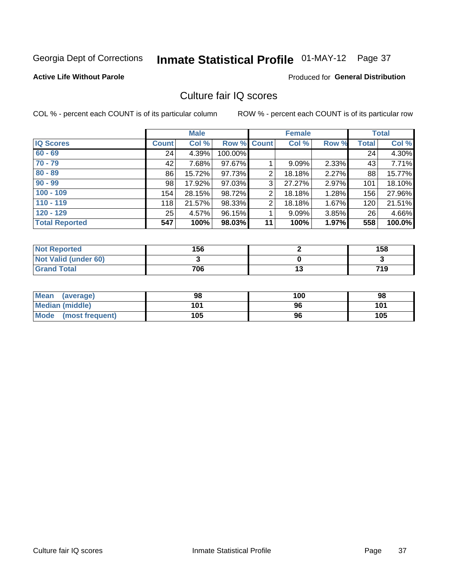# Inmate Statistical Profile 01-MAY-12 Page 37

## **Active Life Without Parole**

# **Produced for General Distribution**

# Culture fair IQ scores

COL % - percent each COUNT is of its particular column

|                       |              | <b>Male</b> |             |                | <b>Female</b> |          |              | <b>Total</b> |
|-----------------------|--------------|-------------|-------------|----------------|---------------|----------|--------------|--------------|
| <b>IQ Scores</b>      | <b>Count</b> | Col %       | Row % Count |                | Col %         | Row %    | <b>Total</b> | Col %        |
| $60 - 69$             | 24           | 4.39%       | 100.00%     |                |               |          | 24           | 4.30%        |
| $70 - 79$             | 42           | 7.68%       | 97.67%      |                | 9.09%         | 2.33%    | 43           | 7.71%        |
| $80 - 89$             | 86           | 15.72%      | 97.73%      | 2              | 18.18%        | 2.27%    | 88           | 15.77%       |
| $90 - 99$             | 98           | 17.92%      | 97.03%      | 3              | 27.27%        | 2.97%    | 101          | 18.10%       |
| $100 - 109$           | 154          | 28.15%      | 98.72%      | $\overline{2}$ | 18.18%        | 1.28%    | 156          | 27.96%       |
| $110 - 119$           | 118          | 21.57%      | 98.33%      | 2              | 18.18%        | 1.67%    | 120          | 21.51%       |
| $120 - 129$           | 25           | 4.57%       | 96.15%      |                | 9.09%         | $3.85\%$ | 26           | 4.66%        |
| <b>Total Reported</b> | 547          | 100%        | 98.03%      | 11             | 100%          | 1.97%    | 558          | 100.0%       |

| <b>Not Reported</b>         | 156 |     | 158 |
|-----------------------------|-----|-----|-----|
| <b>Not Valid (under 60)</b> |     |     |     |
| <b>Grand Total</b>          | 706 | ויי | 719 |

| Mean (average)       | 98  | 100 | 98  |
|----------------------|-----|-----|-----|
| Median (middle)      | 101 | 96  | 101 |
| Mode (most frequent) | 105 | 96  | 105 |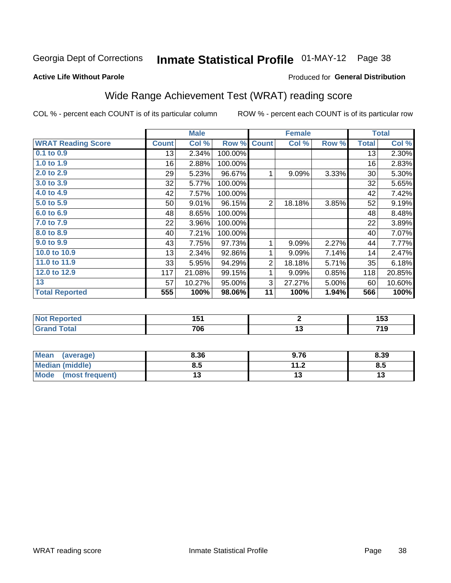#### **Inmate Statistical Profile 01-MAY-12** Page 38

#### **Active Life Without Parole**

# Produced for General Distribution

# Wide Range Achievement Test (WRAT) reading score

COL % - percent each COUNT is of its particular column

|                           |              | <b>Male</b> |         |                | <b>Female</b>   |       |              | <b>Total</b>               |
|---------------------------|--------------|-------------|---------|----------------|-----------------|-------|--------------|----------------------------|
| <b>WRAT Reading Score</b> | <b>Count</b> | Col %       | Row %   | <b>Count</b>   | Col %           | Row % | <b>Total</b> | $\overline{\text{Col }^9}$ |
| 0.1 to 0.9                | 13           | 2.34%       | 100.00% |                |                 |       | 13           | 2.30%                      |
| 1.0 to 1.9                | 16           | 2.88%       | 100.00% |                |                 |       | 16           | 2.83%                      |
| 2.0 to 2.9                | 29           | 5.23%       | 96.67%  | 1              | 9.09%           | 3.33% | 30           | 5.30%                      |
| 3.0 to 3.9                | 32           | 5.77%       | 100.00% |                |                 |       | 32           | 5.65%                      |
| 4.0 to 4.9                | 42           | 7.57%       | 100.00% |                |                 |       | 42           | 7.42%                      |
| 5.0 to 5.9                | 50           | 9.01%       | 96.15%  | $\overline{2}$ | 18.18%          | 3.85% | 52           | 9.19%                      |
| 6.0 to 6.9                | 48           | 8.65%       | 100.00% |                |                 |       | 48           | 8.48%                      |
| 7.0 to 7.9                | 22           | 3.96%       | 100.00% |                |                 |       | 22           | 3.89%                      |
| 8.0 to 8.9                | 40           | 7.21%       | 100.00% |                |                 |       | 40           | 7.07%                      |
| 9.0 to 9.9                | 43           | 7.75%       | 97.73%  | 1              | 9.09%           | 2.27% | 44           | 7.77%                      |
| 10.0 to 10.9              | 13           | 2.34%       | 92.86%  | 1              | 9.09%           | 7.14% | 14           | 2.47%                      |
| 11.0 to $11.9$            | 33           | 5.95%       | 94.29%  | $\overline{2}$ | 18.18%          | 5.71% | 35           | 6.18%                      |
| 12.0 to 12.9              | 117          | 21.08%      | 99.15%  | 1              | 9.09%           | 0.85% | 118          | 20.85%                     |
| 13                        | 57           | 10.27%      | 95.00%  | 3              | 27.27%          | 5.00% | 60           | 10.60%                     |
| <b>Total Reported</b>     | 555          | 100%        | 98.06%  | 11             | 100%            | 1.94% | 566          | 100%                       |
|                           |              |             |         |                |                 |       |              |                            |
| <b>Not Reported</b>       |              | 151         |         |                | $\mathbf{2}$    |       |              | 153                        |
| <b>Grand Total</b>        |              | 706         |         |                | $\overline{13}$ |       |              | 719                        |

| <b>Mean</b><br>(average)       | 8.36 | 9.76                | 8.39 |
|--------------------------------|------|---------------------|------|
| Median (middle)                | 0.J  | 112<br>. . <u>.</u> | Ծ.J  |
| <b>Mode</b><br>(most frequent) |      | . J                 | יי   |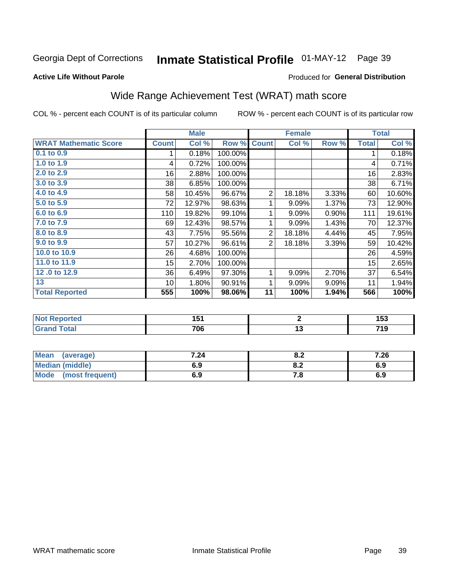# Inmate Statistical Profile 01-MAY-12 Page 39

#### **Active Life Without Parole**

# **Produced for General Distribution**

# Wide Range Achievement Test (WRAT) math score

COL % - percent each COUNT is of its particular column

|                              |              | <b>Male</b> |         |                | <b>Female</b>   |       |              | <b>Total</b> |
|------------------------------|--------------|-------------|---------|----------------|-----------------|-------|--------------|--------------|
| <b>WRAT Mathematic Score</b> | <b>Count</b> | Col %       | Row %   | <b>Count</b>   | Col %           | Row % | <b>Total</b> | Col %        |
| $0.1$ to $0.9$               | 1            | 0.18%       | 100.00% |                |                 |       | 1            | 0.18%        |
| 1.0 to 1.9                   | 4            | 0.72%       | 100.00% |                |                 |       | 4            | 0.71%        |
| 2.0 to 2.9                   | 16           | 2.88%       | 100.00% |                |                 |       | 16           | 2.83%        |
| 3.0 to 3.9                   | 38           | 6.85%       | 100.00% |                |                 |       | 38           | 6.71%        |
| 4.0 to 4.9                   | 58           | 10.45%      | 96.67%  | $\overline{2}$ | 18.18%          | 3.33% | 60           | 10.60%       |
| 5.0 to 5.9                   | 72           | 12.97%      | 98.63%  | 1              | 9.09%           | 1.37% | 73           | 12.90%       |
| 6.0 to 6.9                   | 110          | 19.82%      | 99.10%  | 1              | 9.09%           | 0.90% | 111          | 19.61%       |
| 7.0 to 7.9                   | 69           | 12.43%      | 98.57%  | 1              | 9.09%           | 1.43% | 70           | 12.37%       |
| 8.0 to 8.9                   | 43           | 7.75%       | 95.56%  | $\mathbf 2$    | 18.18%          | 4.44% | 45           | 7.95%        |
| 9.0 to 9.9                   | 57           | 10.27%      | 96.61%  | $\overline{2}$ | 18.18%          | 3.39% | 59           | 10.42%       |
| 10.0 to 10.9                 | 26           | 4.68%       | 100.00% |                |                 |       | 26           | 4.59%        |
| 11.0 to $11.9$               | 15           | 2.70%       | 100.00% |                |                 |       | 15           | 2.65%        |
| 12.0 to 12.9                 | 36           | 6.49%       | 97.30%  | 1              | 9.09%           | 2.70% | 37           | 6.54%        |
| 13                           | 10           | 1.80%       | 90.91%  | 1              | 9.09%           | 9.09% | 11           | 1.94%        |
| <b>Total Reported</b>        | 555          | 100%        | 98.06%  | 11             | 100%            | 1.94% | 566          | 100%         |
|                              |              |             |         |                |                 |       |              |              |
| <b>Not Reported</b>          |              | 151         |         |                | $\mathbf{2}$    |       |              | 153          |
| <b>Grand Total</b>           |              | 706         |         |                | $\overline{13}$ |       |              | 719          |
|                              |              |             |         |                |                 |       |              |              |

| <b>Mean</b><br>(average)       | 7.24 | י ה<br>0.Z | 7.26 |
|--------------------------------|------|------------|------|
| <b>Median (middle)</b>         | 6.9  | o.z        | 6.9  |
| <b>Mode</b><br>(most frequent) | 6.9  | 7. a       | 6.9  |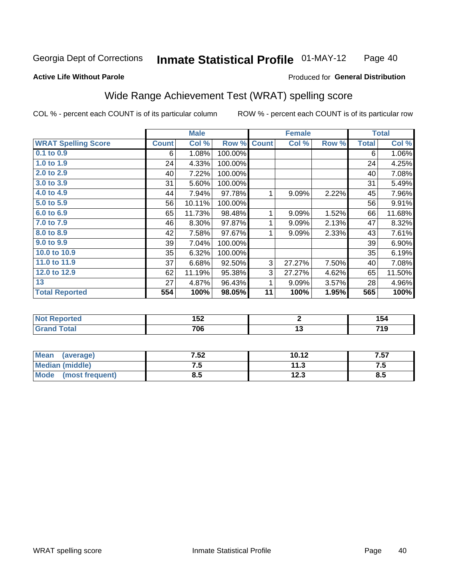#### Inmate Statistical Profile 01-MAY-12 Page 40

#### **Active Life Without Parole**

#### Produced for General Distribution

# Wide Range Achievement Test (WRAT) spelling score

COL % - percent each COUNT is of its particular column

| <b>WRAT Spelling Score</b><br><b>Count</b><br>Col %<br>Row %<br>Col %<br><b>Total</b><br>Row %<br><b>Count</b><br>0.1 to 0.9<br>1.08%<br>100.00%<br>6<br>6<br>1.0 to 1.9<br>24<br>4.33%<br>24<br>100.00%<br>2.0 to 2.9<br>7.22%<br>100.00%<br>40<br>40<br>3.0 to 3.9<br>31<br>5.60%<br>100.00%<br>31<br>4.0 to 4.9<br>7.94%<br>2.22%<br>97.78%<br>9.09%<br>45<br>44<br>1<br>5.0 to 5.9<br>56<br>10.11%<br>100.00%<br>56<br>6.0 to 6.9<br>11.73%<br>9.09%<br>1.52%<br>65<br>98.48%<br>1<br>66<br>7.0 to 7.9<br>8.30%<br>97.87%<br>2.13%<br>47<br>46<br>1<br>9.09%<br>8.0 to 8.9<br>7.58%<br>97.67%<br>2.33%<br>42<br>1<br>9.09%<br>43<br>9.0 to 9.9<br>39<br>7.04%<br>100.00%<br>39<br>10.0 to 10.9<br>35<br>6.32%<br>100.00%<br>35<br>11.0 to 11.9<br>37<br>3<br>7.50%<br>6.68%<br>92.50%<br>27.27%<br>40<br>12.0 to 12.9<br>3<br>11.19%<br>62<br>95.38%<br>27.27%<br>4.62%<br>65<br>13<br>27<br>4.87%<br>9.09%<br>3.57%<br>1<br>28 | <b>Total</b>       |  | <b>Female</b> |        | <b>Male</b> |  |
|-------------------------------------------------------------------------------------------------------------------------------------------------------------------------------------------------------------------------------------------------------------------------------------------------------------------------------------------------------------------------------------------------------------------------------------------------------------------------------------------------------------------------------------------------------------------------------------------------------------------------------------------------------------------------------------------------------------------------------------------------------------------------------------------------------------------------------------------------------------------------------------------------------------------------------------|--------------------|--|---------------|--------|-------------|--|
|                                                                                                                                                                                                                                                                                                                                                                                                                                                                                                                                                                                                                                                                                                                                                                                                                                                                                                                                     | Col %              |  |               |        |             |  |
|                                                                                                                                                                                                                                                                                                                                                                                                                                                                                                                                                                                                                                                                                                                                                                                                                                                                                                                                     | 1.06%              |  |               |        |             |  |
|                                                                                                                                                                                                                                                                                                                                                                                                                                                                                                                                                                                                                                                                                                                                                                                                                                                                                                                                     | 4.25%              |  |               |        |             |  |
|                                                                                                                                                                                                                                                                                                                                                                                                                                                                                                                                                                                                                                                                                                                                                                                                                                                                                                                                     | 7.08%              |  |               |        |             |  |
|                                                                                                                                                                                                                                                                                                                                                                                                                                                                                                                                                                                                                                                                                                                                                                                                                                                                                                                                     | 5.49%              |  |               |        |             |  |
|                                                                                                                                                                                                                                                                                                                                                                                                                                                                                                                                                                                                                                                                                                                                                                                                                                                                                                                                     | 7.96%              |  |               |        |             |  |
|                                                                                                                                                                                                                                                                                                                                                                                                                                                                                                                                                                                                                                                                                                                                                                                                                                                                                                                                     | 9.91%              |  |               |        |             |  |
|                                                                                                                                                                                                                                                                                                                                                                                                                                                                                                                                                                                                                                                                                                                                                                                                                                                                                                                                     | 11.68%             |  |               |        |             |  |
|                                                                                                                                                                                                                                                                                                                                                                                                                                                                                                                                                                                                                                                                                                                                                                                                                                                                                                                                     | 8.32%              |  |               |        |             |  |
|                                                                                                                                                                                                                                                                                                                                                                                                                                                                                                                                                                                                                                                                                                                                                                                                                                                                                                                                     | 7.61%              |  |               |        |             |  |
|                                                                                                                                                                                                                                                                                                                                                                                                                                                                                                                                                                                                                                                                                                                                                                                                                                                                                                                                     | 6.90%              |  |               |        |             |  |
|                                                                                                                                                                                                                                                                                                                                                                                                                                                                                                                                                                                                                                                                                                                                                                                                                                                                                                                                     | 6.19%              |  |               |        |             |  |
|                                                                                                                                                                                                                                                                                                                                                                                                                                                                                                                                                                                                                                                                                                                                                                                                                                                                                                                                     | 7.08%              |  |               |        |             |  |
|                                                                                                                                                                                                                                                                                                                                                                                                                                                                                                                                                                                                                                                                                                                                                                                                                                                                                                                                     | 11.50%             |  |               |        |             |  |
|                                                                                                                                                                                                                                                                                                                                                                                                                                                                                                                                                                                                                                                                                                                                                                                                                                                                                                                                     | 4.96%              |  |               | 96.43% |             |  |
| <b>Total Reported</b><br>11<br>100%<br>565<br>100%<br>98.05%<br>1.95%<br>554                                                                                                                                                                                                                                                                                                                                                                                                                                                                                                                                                                                                                                                                                                                                                                                                                                                        | $\overline{100\%}$ |  |               |        |             |  |
|                                                                                                                                                                                                                                                                                                                                                                                                                                                                                                                                                                                                                                                                                                                                                                                                                                                                                                                                     |                    |  |               |        |             |  |
| <b>Not Reported</b><br>152<br>$\mathbf{2}$                                                                                                                                                                                                                                                                                                                                                                                                                                                                                                                                                                                                                                                                                                                                                                                                                                                                                          | 154                |  |               |        |             |  |
| <b>Grand Total</b><br>706<br>13                                                                                                                                                                                                                                                                                                                                                                                                                                                                                                                                                                                                                                                                                                                                                                                                                                                                                                     | 719                |  |               |        |             |  |

| Mean (average)       | 7.52 | 10.12 | 7.57 |
|----------------------|------|-------|------|
| Median (middle)      | ں ،  | 11.3  | ن. ا |
| Mode (most frequent) | ช.ว  | 12.3  | 8.5  |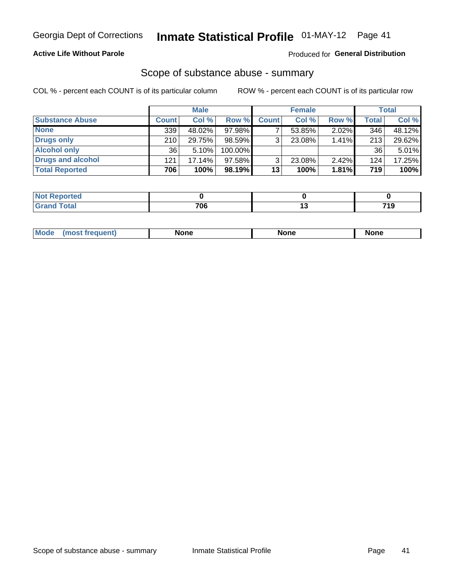# **Active Life Without Parole**

# **Produced for General Distribution**

# Scope of substance abuse - summary

COL % - percent each COUNT is of its particular column

|                        |                 | <b>Male</b> |           |              | <b>Female</b> |          |              | Total    |
|------------------------|-----------------|-------------|-----------|--------------|---------------|----------|--------------|----------|
| <b>Substance Abuse</b> | <b>Count</b>    | Col %       | Row %     | <b>Count</b> | Col %         | Row %    | <b>Total</b> | Col %    |
| <b>None</b>            | 339             | 48.02%      | 97.98%    |              | 53.85%        | $2.02\%$ | 346          | 48.12%   |
| <b>Drugs only</b>      | 210             | 29.75%      | $98.59\%$ | 3            | 23.08%        | 1.41%    | 213          | 29.62%   |
| <b>Alcohol only</b>    | 36 <sup>1</sup> | 5.10%       | 100.00%   |              |               |          | 36           | $5.01\%$ |
| Drugs and alcohol      | 121             | 17.14%      | 97.58%    | 3            | 23.08%        | 2.42%    | 124          | 17.25%   |
| <b>Total Reported</b>  | 706             | 100%        | 98.19%    | 13           | 100%          | 1.81%    | 719          | 100%     |

| <b>Reported</b>         |     |          |
|-------------------------|-----|----------|
| <b>c</b> otal<br>$\sim$ | 706 | 74C<br>. |

|  | Mode | None | <b>None</b> | None |
|--|------|------|-------------|------|
|--|------|------|-------------|------|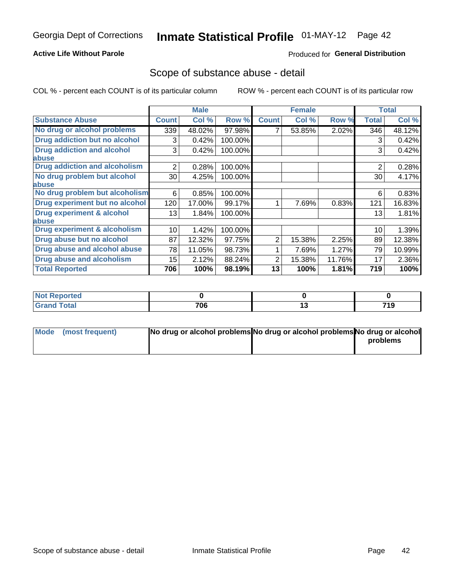## **Active Life Without Parole**

# **Produced for General Distribution**

# Scope of substance abuse - detail

COL % - percent each COUNT is of its particular column

|                                         |              | <b>Male</b> |         |              | <b>Female</b> |        |                | <b>Total</b> |
|-----------------------------------------|--------------|-------------|---------|--------------|---------------|--------|----------------|--------------|
| <b>Substance Abuse</b>                  | <b>Count</b> | Col %       | Row %   | <b>Count</b> | Col %         | Row %  | <b>Total</b>   | Col %        |
| No drug or alcohol problems             | 339          | 48.02%      | 97.98%  |              | 53.85%        | 2.02%  | 346            | 48.12%       |
| Drug addiction but no alcohol           | 3            | 0.42%       | 100.00% |              |               |        | 3              | 0.42%        |
| <b>Drug addiction and alcohol</b>       | 3            | 0.42%       | 100.00% |              |               |        | 3              | 0.42%        |
| <b>labuse</b>                           |              |             |         |              |               |        |                |              |
| <b>Drug addiction and alcoholism</b>    | 2            | 0.28%       | 100.00% |              |               |        | $\overline{2}$ | 0.28%        |
| No drug problem but alcohol             | 30           | 4.25%       | 100.00% |              |               |        | 30             | 4.17%        |
| abuse                                   |              |             |         |              |               |        |                |              |
| No drug problem but alcoholism          | 6            | 0.85%       | 100.00% |              |               |        | 6              | 0.83%        |
| Drug experiment but no alcohol          | 120          | 17.00%      | 99.17%  |              | 7.69%         | 0.83%  | 121            | 16.83%       |
| <b>Drug experiment &amp; alcohol</b>    | 13           | 1.84%       | 100.00% |              |               |        | 13             | 1.81%        |
| abuse                                   |              |             |         |              |               |        |                |              |
| <b>Drug experiment &amp; alcoholism</b> | 10           | 1.42%       | 100.00% |              |               |        | 10             | 1.39%        |
| Drug abuse but no alcohol               | 87           | 12.32%      | 97.75%  | 2            | 15.38%        | 2.25%  | 89             | 12.38%       |
| Drug abuse and alcohol abuse            | 78           | 11.05%      | 98.73%  |              | 7.69%         | 1.27%  | 79             | 10.99%       |
| <b>Drug abuse and alcoholism</b>        | 15           | 2.12%       | 88.24%  | 2            | 15.38%        | 11.76% | 17             | 2.36%        |
| <b>Total Reported</b>                   | 706          | 100%        | 98.19%  | 13           | 100%          | 1.81%  | 719            | 100%         |

| ported<br><b>NOT</b>   |     |    |                      |
|------------------------|-----|----|----------------------|
| $\sim$ $\sim$<br>_____ | 706 | יי | 71 O<br><i>1</i> 1 J |

| Mode (most frequent) | No drug or alcohol problems No drug or alcohol problems No drug or alcohol |          |
|----------------------|----------------------------------------------------------------------------|----------|
|                      |                                                                            | problems |
|                      |                                                                            |          |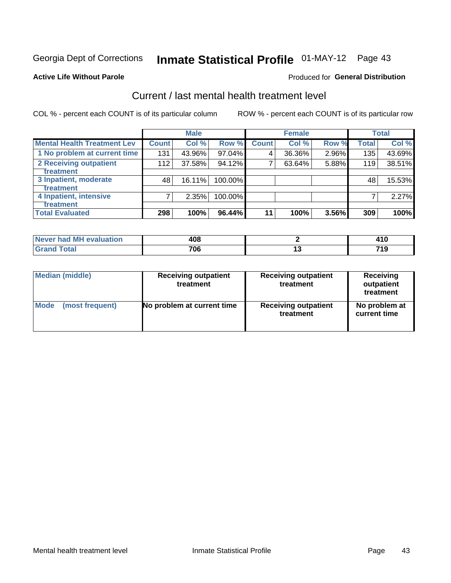# Inmate Statistical Profile 01-MAY-12 Page 43

#### **Active Life Without Parole**

## **Produced for General Distribution**

# Current / last mental health treatment level

COL % - percent each COUNT is of its particular column

|                                    |              | <b>Male</b> |            |              | <b>Female</b> |       |              | <b>Total</b> |
|------------------------------------|--------------|-------------|------------|--------------|---------------|-------|--------------|--------------|
| <b>Mental Health Treatment Lev</b> | <b>Count</b> | Col %       | Row %      | <b>Count</b> | Col %         | Row % | <b>Total</b> | Col %        |
| 1 No problem at current time       | 131          | 43.96%      | 97.04%     | 4            | 36.36%        | 2.96% | 135          | 43.69%       |
| 2 Receiving outpatient             | 112          | 37.58%      | 94.12%     | 7            | 63.64%        | 5.88% | 119          | 38.51%       |
| <b>Treatment</b>                   |              |             |            |              |               |       |              |              |
| 3 Inpatient, moderate              | 48           | 16.11%      | $100.00\%$ |              |               |       | 48           | 15.53%       |
| <b>Treatment</b>                   |              |             |            |              |               |       |              |              |
| 4 Inpatient, intensive             | 7            | 2.35%       | 100.00%    |              |               |       |              | 2.27%        |
| <b>Treatment</b>                   |              |             |            |              |               |       |              |              |
| <b>Total Evaluated</b>             | 298          | 100%        | 96.44%     | 11           | 100%          | 3.56% | 309          | 100%         |

| Never had MH evaluation | 408 |     |
|-------------------------|-----|-----|
| $T \cap f \cap$         | 706 | 740 |

| <b>Median (middle)</b> | <b>Receiving outpatient</b><br>treatment | <b>Receiving outpatient</b><br>treatment | <b>Receiving</b><br>outpatient<br>treatment |
|------------------------|------------------------------------------|------------------------------------------|---------------------------------------------|
| <b>Mode</b>            | No problem at current time               | <b>Receiving outpatient</b>              | No problem at                               |
| (most frequent)        |                                          | treatment                                | current time                                |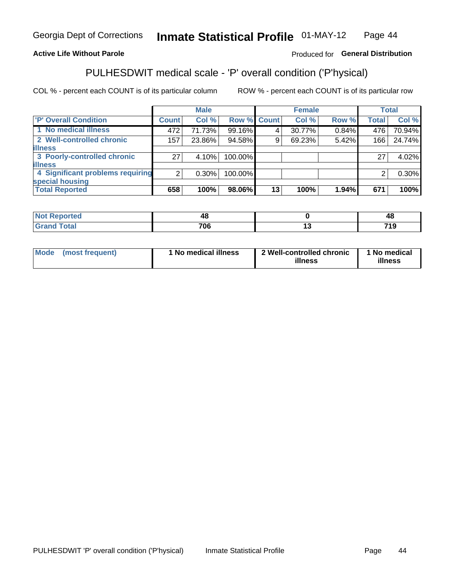#### Inmate Statistical Profile 01-MAY-12 Page 44

# **Active Life Without Parole**

## Produced for General Distribution

# PULHESDWIT medical scale - 'P' overall condition ('P'hysical)

COL % - percent each COUNT is of its particular column

|                                  |                 | <b>Male</b> |         |             | <b>Female</b> |       |              | <b>Total</b> |
|----------------------------------|-----------------|-------------|---------|-------------|---------------|-------|--------------|--------------|
| 'P' Overall Condition            | <b>Count</b>    | Col %       |         | Row % Count | Col %         | Row % | <b>Total</b> | Col %        |
| 1 No medical illness             | 472             | 71.73%      | 99.16%  |             | 30.77%        | 0.84% | 476          | 70.94%       |
| 2 Well-controlled chronic        | 157             | 23.86%      | 94.58%  | 9           | 69.23%        | 5.42% | 166          | 24.74%       |
| <b>illness</b>                   |                 |             |         |             |               |       |              |              |
| 3 Poorly-controlled chronic      | 27 <sub>1</sub> | 4.10%       | 100.00% |             |               |       | 27           | 4.02%        |
| <b>illness</b>                   |                 |             |         |             |               |       |              |              |
| 4 Significant problems requiring | 2 <sub>1</sub>  | $0.30\%$    | 100.00% |             |               |       | 2            | $0.30\%$     |
| special housing                  |                 |             |         |             |               |       |              |              |
| <b>Total Reported</b>            | 658             | 100%        | 98.06%  | 13          | 100%          | 1.94% | 671          | 100%         |

| rero          | --               | - 74              |
|---------------|------------------|-------------------|
| <u>i vtar</u> | <b>70C</b><br>'u | <b>710</b><br>1 O |

| <b>Mode</b> | (most frequent) | 1 No medical illness | 2 Well-controlled chronic<br>illness | 1 No medical<br>illness |
|-------------|-----------------|----------------------|--------------------------------------|-------------------------|
|-------------|-----------------|----------------------|--------------------------------------|-------------------------|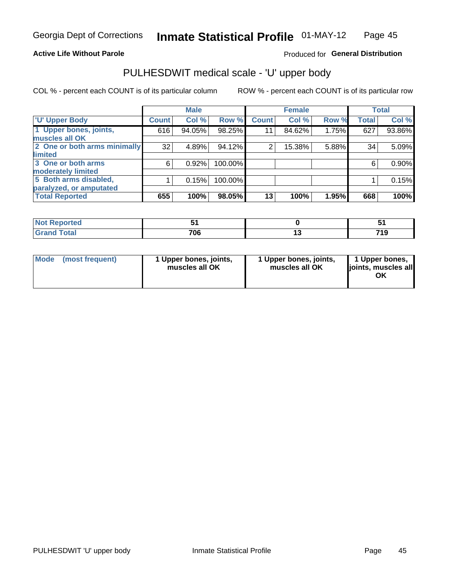### **Active Life Without Parole**

## Produced for General Distribution

# PULHESDWIT medical scale - 'U' upper body

COL % - percent each COUNT is of its particular column

|                              |               | <b>Male</b> |         |              | <b>Female</b> |       |              | <b>Total</b> |
|------------------------------|---------------|-------------|---------|--------------|---------------|-------|--------------|--------------|
| <b>U' Upper Body</b>         | <b>Count!</b> | Col %       | Row %   | <b>Count</b> | Col %         | Row % | <b>Total</b> | Col %        |
| 1 Upper bones, joints,       | 616           | 94.05%      | 98.25%  | 11           | 84.62%        | 1.75% | 627          | 93.86%       |
| muscles all OK               |               |             |         |              |               |       |              |              |
| 2 One or both arms minimally | 32            | 4.89%       | 94.12%  | 2            | 15.38%        | 5.88% | 34           | 5.09%        |
| limited                      |               |             |         |              |               |       |              |              |
| 3 One or both arms           | 6             | 0.92%       | 100.00% |              |               |       | 6            | 0.90%        |
| <b>moderately limited</b>    |               |             |         |              |               |       |              |              |
| 5 Both arms disabled,        |               | 0.15%       | 100.00% |              |               |       |              | 0.15%        |
| paralyzed, or amputated      |               |             |         |              |               |       |              |              |
| <b>Total Reported</b>        | 655           | 100%        | 98.05%  | 13           | 100%          | 1.95% | 668          | 100%         |

| <b>Not Reported</b> |     | . .         |
|---------------------|-----|-------------|
| <b>Grand Total</b>  | 706 | 74 0<br>. . |

| Mode | (most frequent) | 1 Upper bones, joints,<br>muscles all OK | 1 Upper bones, joints,<br>muscles all OK | 1 Upper bones,<br>ljoints, muscles all<br>ΟK |
|------|-----------------|------------------------------------------|------------------------------------------|----------------------------------------------|
|------|-----------------|------------------------------------------|------------------------------------------|----------------------------------------------|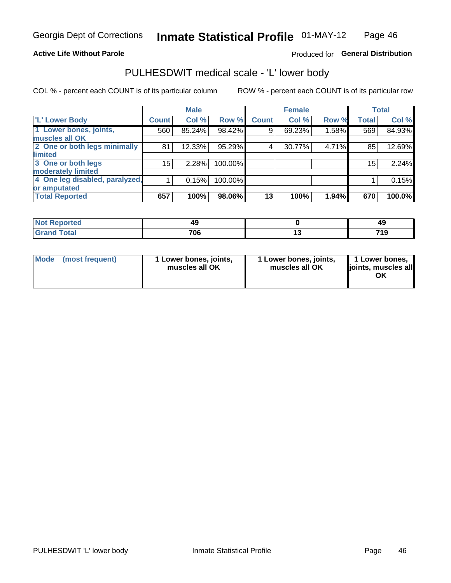### **Active Life Without Parole**

# Produced for General Distribution

# PULHESDWIT medical scale - 'L' lower body

COL % - percent each COUNT is of its particular column

|                                |                 | <b>Male</b> |           |              | <b>Female</b> |       |                 | <b>Total</b> |
|--------------------------------|-----------------|-------------|-----------|--------------|---------------|-------|-----------------|--------------|
| 'L' Lower Body                 | <b>Count</b>    | Col %       | Row %     | <b>Count</b> | Col %         | Row % | <b>Total</b>    | Col %        |
| 1 Lower bones, joints,         | 560             | 85.24%      | $98.42\%$ | 9            | 69.23%        | 1.58% | 569             | 84.93%       |
| muscles all OK                 |                 |             |           |              |               |       |                 |              |
| 2 One or both legs minimally   | 81              | 12.33%      | 95.29%    | 4            | 30.77%        | 4.71% | 85              | 12.69%       |
| limited                        |                 |             |           |              |               |       |                 |              |
| 3 One or both legs             | 15 <sub>2</sub> | 2.28%       | 100.00%   |              |               |       | 15 <sub>1</sub> | 2.24%        |
| moderately limited             |                 |             |           |              |               |       |                 |              |
| 4 One leg disabled, paralyzed, |                 | 0.15%       | 100.00%   |              |               |       |                 | 0.15%        |
| or amputated                   |                 |             |           |              |               |       |                 |              |
| <b>Total Reported</b>          | 657             | 100%        | 98.06%    | 13           | 100%          | 1.94% | 670             | 100.0%       |

| <b>Not Reported</b>        |     | 49          |
|----------------------------|-----|-------------|
| <b>Grand Total</b><br>Grar | 706 | 74 0<br>. . |

| Mode | (most frequent) | 1 Lower bones, joints,<br>muscles all OK | 1 Lower bones, joints,<br>muscles all OK | 1 Lower bones,<br>ljoints, muscles all<br>ΟK |
|------|-----------------|------------------------------------------|------------------------------------------|----------------------------------------------|
|------|-----------------|------------------------------------------|------------------------------------------|----------------------------------------------|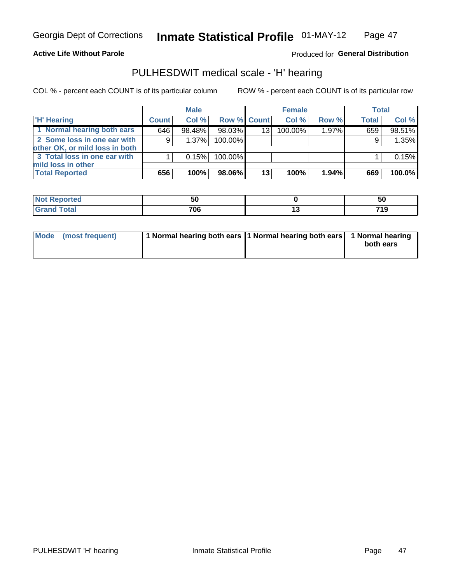#### **Active Life Without Parole**

## Produced for General Distribution

# PULHESDWIT medical scale - 'H' hearing

COL % - percent each COUNT is of its particular column

|                                                               |              | <b>Male</b> |                    |    | <b>Female</b> |          | <b>Total</b> |        |
|---------------------------------------------------------------|--------------|-------------|--------------------|----|---------------|----------|--------------|--------|
| <b>H' Hearing</b>                                             | <b>Count</b> | Col%        | <b>Row % Count</b> |    | Col %         | Row %    | <b>Total</b> | Col %  |
| 1 Normal hearing both ears                                    | 646          | 98.48%      | 98.03%             | 13 | 100.00%       | $1.97\%$ | 659          | 98.51% |
| 2 Some loss in one ear with<br>other OK, or mild loss in both | 9            | $1.37\%$    | 100.00%            |    |               |          | 9            | 1.35%  |
| 3 Total loss in one ear with<br>mild loss in other            |              | 0.15%       | 100.00%            |    |               |          |              | 0.15%  |
| <b>Total Reported</b>                                         | 656          | 100%        | 98.06%             | 13 | 100%          | 1.94%    | 669          | 100.0% |

| ported<br><b>NOT</b> | วบ  | --<br>ູບບ   |
|----------------------|-----|-------------|
| <b>otal</b>          | 706 | 710<br>- 19 |

| Mode (most frequent) | 1 Normal hearing both ears 1 Normal hearing both ears 1 Normal hearing | both ears |
|----------------------|------------------------------------------------------------------------|-----------|
|                      |                                                                        |           |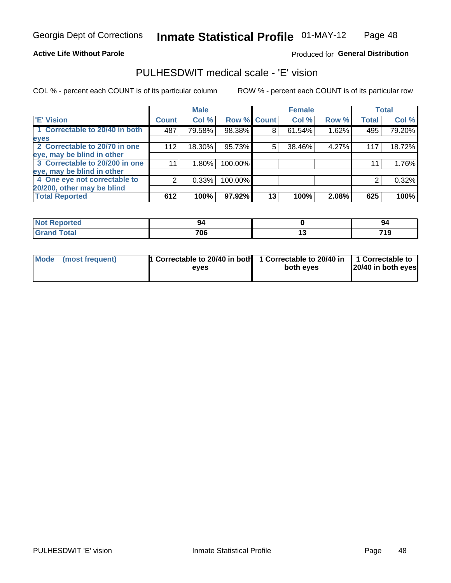### **Active Life Without Parole**

### Produced for General Distribution

# PULHESDWIT medical scale - 'E' vision

COL % - percent each COUNT is of its particular column

|                                |              | <b>Male</b> |             |    | <b>Female</b> |       |              | <b>Total</b> |
|--------------------------------|--------------|-------------|-------------|----|---------------|-------|--------------|--------------|
| <b>E' Vision</b>               | <b>Count</b> | Col %       | Row % Count |    | Col %         | Row % | <b>Total</b> | Col %        |
| 1 Correctable to 20/40 in both | 487          | 79.58%      | 98.38%      | 8  | 61.54%        | 1.62% | 495          | 79.20%       |
| eyes                           |              |             |             |    |               |       |              |              |
| 2 Correctable to 20/70 in one  | 112          | 18.30%      | 95.73%      | 5  | 38.46%        | 4.27% | 117          | 18.72%       |
| eye, may be blind in other     |              |             |             |    |               |       |              |              |
| 3 Correctable to 20/200 in one | 11           | $1.80\%$    | 100.00%     |    |               |       | 11           | 1.76%        |
| eye, may be blind in other     |              |             |             |    |               |       |              |              |
| 4 One eye not correctable to   | 2            | 0.33%       | 100.00%     |    |               |       | 2            | 0.32%        |
| 20/200, other may be blind     |              |             |             |    |               |       |              |              |
| <b>Total Reported</b>          | 612          | 100%        | 97.92%      | 13 | 100%          | 2.08% | 625          | 100%         |

| <b>Not Reported</b> |                  | -94        |
|---------------------|------------------|------------|
| <b>Total</b>        | <b>706</b><br>wo | 710<br>719 |

| Mode (most frequent) | 1 Correctable to 20/40 in both<br>eves | 1 Correctable to 20/40 in   1 Correctable to<br>both eyes | 20/40 in both eyes |  |
|----------------------|----------------------------------------|-----------------------------------------------------------|--------------------|--|
|                      |                                        |                                                           |                    |  |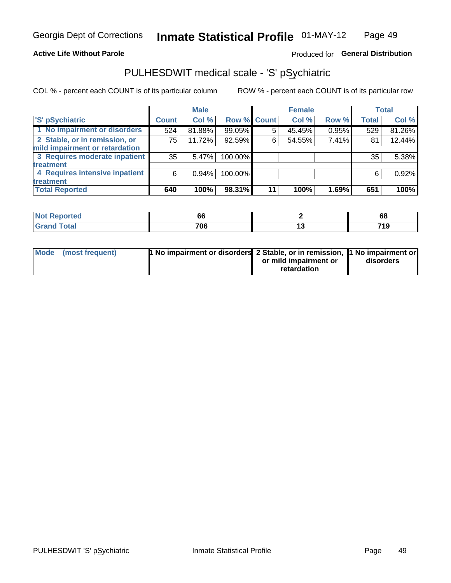#### **Active Life Without Parole**

# Produced for General Distribution

# PULHESDWIT medical scale - 'S' pSychiatric

COL % - percent each COUNT is of its particular column

|                                |              | <b>Male</b> |                    |    | <b>Female</b> |       |              | Total  |
|--------------------------------|--------------|-------------|--------------------|----|---------------|-------|--------------|--------|
| 'S' pSychiatric                | <b>Count</b> | Col %       | <b>Row % Count</b> |    | Col %         | Row % | <b>Total</b> | Col %  |
| 1 No impairment or disorders   | 524          | 81.88%      | 99.05%             | 5  | 45.45%        | 0.95% | 529          | 81.26% |
| 2 Stable, or in remission, or  | 75           | 11.72%      | 92.59%             | 6  | 54.55%        | 7.41% | 81           | 12.44% |
| mild impairment or retardation |              |             |                    |    |               |       |              |        |
| 3 Requires moderate inpatient  | 35           | 5.47%       | 100.00%            |    |               |       | 35           | 5.38%  |
| treatment                      |              |             |                    |    |               |       |              |        |
| 4 Requires intensive inpatient | 6            | 0.94%       | 100.00%            |    |               |       | 6            | 0.92%  |
| treatment                      |              |             |                    |    |               |       |              |        |
| <b>Total Reported</b>          | 640          | 100%        | 98.31%             | 11 | 100%          | 1.69% | 651          | 100%   |

| w teu - | 66        | oc                  |
|---------|-----------|---------------------|
|         | 706<br>__ | 710<br>៲៵<br>$\sim$ |

| Mode (most frequent) | <sup>1</sup> No impairment or disorders 2 Stable, or in remission, <sup>1</sup> No impairment or |                       |           |
|----------------------|--------------------------------------------------------------------------------------------------|-----------------------|-----------|
|                      |                                                                                                  | or mild impairment or | disorders |
|                      |                                                                                                  | retardation           |           |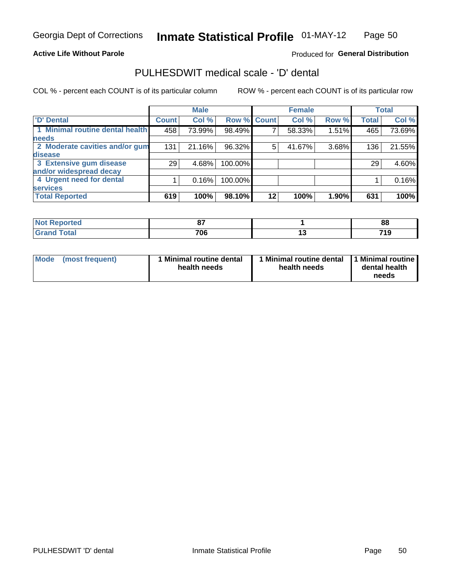### **Active Life Without Parole**

## Produced for General Distribution

# PULHESDWIT medical scale - 'D' dental

COL % - percent each COUNT is of its particular column

|                                 |                 | <b>Male</b> |           |             | <b>Female</b> |       |              | <b>Total</b> |
|---------------------------------|-----------------|-------------|-----------|-------------|---------------|-------|--------------|--------------|
| <b>D'</b> Dental                | <b>Count</b>    | Col %       |           | Row % Count | Col %         | Row % | <b>Total</b> | Col %        |
| 1 Minimal routine dental health | 458             | 73.99%      | 98.49%    |             | 58.33%        | 1.51% | 465          | 73.69%       |
| <b>needs</b>                    |                 |             |           |             |               |       |              |              |
| 2 Moderate cavities and/or gum  | 131             | 21.16%      | 96.32%    | 5.          | 41.67%        | 3.68% | 136          | 21.55%       |
| disease                         |                 |             |           |             |               |       |              |              |
| 3 Extensive gum disease         | 29 <sub>1</sub> | 4.68%       | 100.00%   |             |               |       | 29           | 4.60%        |
| and/or widespread decay         |                 |             |           |             |               |       |              |              |
| 4 Urgent need for dental        |                 | 0.16%       | 100.00%   |             |               |       |              | 0.16%        |
| <b>services</b>                 |                 |             |           |             |               |       |              |              |
| <b>Total Reported</b>           | 619             | 100%        | $98.10\%$ | $12 \,$     | 100%          | 1.90% | 631          | 100%         |

| <b>Not Reported</b> | $\sim$ | 88       |
|---------------------|--------|----------|
| <b>Total</b>        | 706    | 710<br>. |

| <b>Mode</b> | (most frequent) | <b>Minimal routine dental</b><br>health needs | 1 Minimal routine dental<br>health needs | <b>11 Minimal routine I</b><br>dental health<br>needs |
|-------------|-----------------|-----------------------------------------------|------------------------------------------|-------------------------------------------------------|
|-------------|-----------------|-----------------------------------------------|------------------------------------------|-------------------------------------------------------|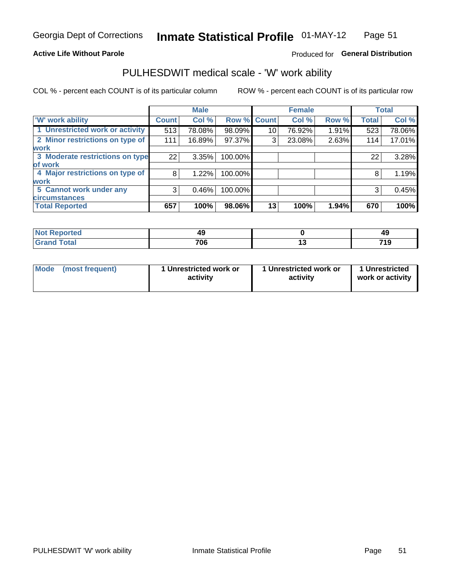### **Active Life Without Parole**

# Produced for General Distribution

# PULHESDWIT medical scale - 'W' work ability

COL % - percent each COUNT is of its particular column

|                                 |              | <b>Male</b> |         |             | <b>Female</b> |       |              | <b>Total</b> |
|---------------------------------|--------------|-------------|---------|-------------|---------------|-------|--------------|--------------|
| <b>W' work ability</b>          | <b>Count</b> | Col %       |         | Row % Count | Col %         | Row % | <b>Total</b> | Col %        |
| 1 Unrestricted work or activity | 513          | 78.08%      | 98.09%  | 10          | 76.92%        | 1.91% | 523          | 78.06%       |
| 2 Minor restrictions on type of | 111          | 16.89%      | 97.37%  | 3           | 23.08%        | 2.63% | 114          | 17.01%       |
| <b>work</b>                     |              |             |         |             |               |       |              |              |
| 3 Moderate restrictions on type | 22           | 3.35%       | 100.00% |             |               |       | 22           | 3.28%        |
| of work                         |              |             |         |             |               |       |              |              |
| 4 Major restrictions on type of | 8            | 1.22%       | 100.00% |             |               |       | 8            | 1.19%        |
| <b>work</b>                     |              |             |         |             |               |       |              |              |
| 5 Cannot work under any         | 3            | 0.46%       | 100.00% |             |               |       | 3            | 0.45%        |
| <b>circumstances</b>            |              |             |         |             |               |       |              |              |
| <b>Total Reported</b>           | 657          | 100%        | 98.06%  | 13          | 100%          | 1.94% | 670          | 100%         |

| <b>Not Reported</b> | 49                | ЛC<br>᠇៶ |
|---------------------|-------------------|----------|
| <b>Grand Total</b>  | <b>706</b><br>'uu | 740<br>. |

| <b>Mode</b>     | 1 Unrestricted work or | 1 Unrestricted work or | 1 Unrestricted   |
|-----------------|------------------------|------------------------|------------------|
| (most frequent) | activity               | activity               | work or activity |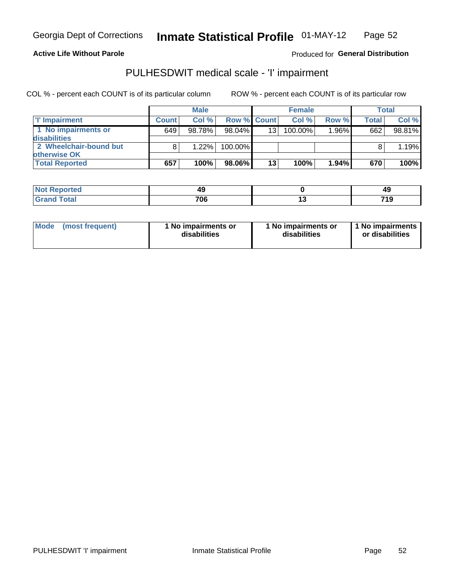**Active Life Without Parole** 

Produced for General Distribution

# PULHESDWIT medical scale - 'I' impairment

COL % - percent each COUNT is of its particular column

|                        |              | <b>Male</b> |                    |    | <b>Female</b> |          |              | Total  |
|------------------------|--------------|-------------|--------------------|----|---------------|----------|--------------|--------|
| <b>T' Impairment</b>   | <b>Count</b> | Col%        | <b>Row % Count</b> |    | Col%          | Row %    | <b>Total</b> | Col %  |
| 1 No impairments or    | 649          | 98.78%      | 98.04%             | 13 | 100.00%       | $1.96\%$ | 662          | 98.81% |
| <b>disabilities</b>    |              |             |                    |    |               |          |              |        |
| 2 Wheelchair-bound but |              | 1.22%       | 100.00%            |    |               |          |              | 1.19%  |
| otherwise OK           |              |             |                    |    |               |          |              |        |
| <b>Total Reported</b>  | 657          | 100%        | 98.06%             | 13 | 100%          | $1.94\%$ | 670          | 100%   |

| Reported     | 49  | 49         |
|--------------|-----|------------|
| <b>Total</b> | 706 | <b>740</b> |

| Mode | (most frequent) | 1 No impairments or<br>disabilities | 1 No impairments or<br>disabilities | 1 No impairments<br>or disabilities |
|------|-----------------|-------------------------------------|-------------------------------------|-------------------------------------|
|------|-----------------|-------------------------------------|-------------------------------------|-------------------------------------|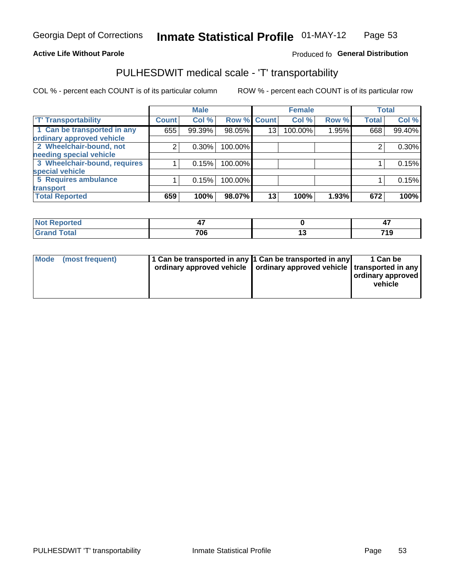### **Active Life Without Parole**

## Produced fo General Distribution

# PULHESDWIT medical scale - 'T' transportability

COL % - percent each COUNT is of its particular column

|                                                          |              | <b>Male</b> |         |             | <b>Female</b> |       |              | <b>Total</b> |
|----------------------------------------------------------|--------------|-------------|---------|-------------|---------------|-------|--------------|--------------|
| <b>T' Transportability</b>                               | <b>Count</b> | Col %       |         | Row % Count | Col %         | Row % | <b>Total</b> | Col %        |
| 1 Can be transported in any<br>ordinary approved vehicle | 655          | 99.39%      | 98.05%  | 13          | 100.00%       | 1.95% | 668          | 99.40%       |
| 2 Wheelchair-bound, not                                  | 2            | 0.30%       | 100.00% |             |               |       |              | $0.30\%$     |
| needing special vehicle                                  |              |             |         |             |               |       |              |              |
| 3 Wheelchair-bound, requires                             |              | 0.15%       | 100.00% |             |               |       |              | 0.15%        |
| special vehicle                                          |              |             |         |             |               |       |              |              |
| 5 Requires ambulance                                     |              | 0.15%       | 100.00% |             |               |       |              | 0.15%        |
| transport                                                |              |             |         |             |               |       |              |              |
| <b>Total Reported</b>                                    | 659          | 100%        | 98.07%  | 13          | 100%          | 1.93% | 672          | 100%         |

| orted       | .,  |     |
|-------------|-----|-----|
| <b>otal</b> | 706 | 74C |

| <b>Mode</b> | (most frequent) | 1 Can be transported in any 1 Can be transported in any | ordinary approved vehicle   ordinary approved vehicle   transported in any | 1 Can be<br>  ordinary approved  <br>vehicle |
|-------------|-----------------|---------------------------------------------------------|----------------------------------------------------------------------------|----------------------------------------------|
|-------------|-----------------|---------------------------------------------------------|----------------------------------------------------------------------------|----------------------------------------------|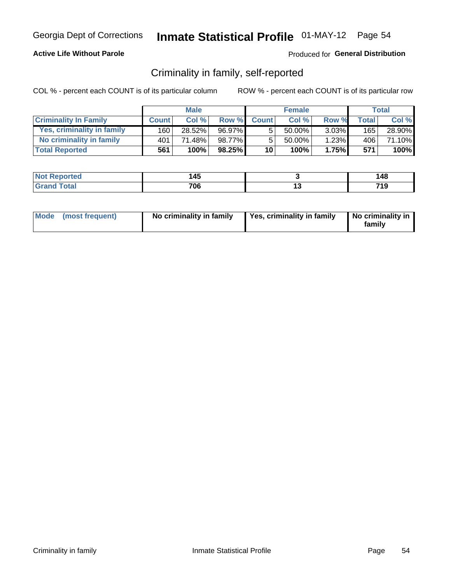## **Active Life Without Parole**

## Produced for General Distribution

# Criminality in family, self-reported

COL % - percent each COUNT is of its particular column

|                              |              | <b>Male</b> |        |                 | <b>Female</b> |          |       | Total  |
|------------------------------|--------------|-------------|--------|-----------------|---------------|----------|-------|--------|
| <b>Criminality In Family</b> | <b>Count</b> | Col%        | Row %  | <b>Count</b>    | Col %         | Row %    | Total | Col %  |
| Yes, criminality in family   | 160          | 28.52%      | 96.97% | 5               | $50.00\%$     | $3.03\%$ | 165   | 28.90% |
| No criminality in family     | 401          | 71.48%      | 98.77% | 5               | 50.00%        | 1.23%    | 406   | 71.10% |
| <b>Total Reported</b>        | 561          | 100%        | 98.25% | 10 <sup>1</sup> | 100%          | 1.75%    | 571   | 100%   |

| Reported<br>NOT | A E<br>47 | 148       |
|-----------------|-----------|-----------|
| <b>otal</b>     | 706       | 71 0<br>. |

|  | Mode (most frequent) | No criminality in family | Yes, criminality in family | No criminality in<br>family |
|--|----------------------|--------------------------|----------------------------|-----------------------------|
|--|----------------------|--------------------------|----------------------------|-----------------------------|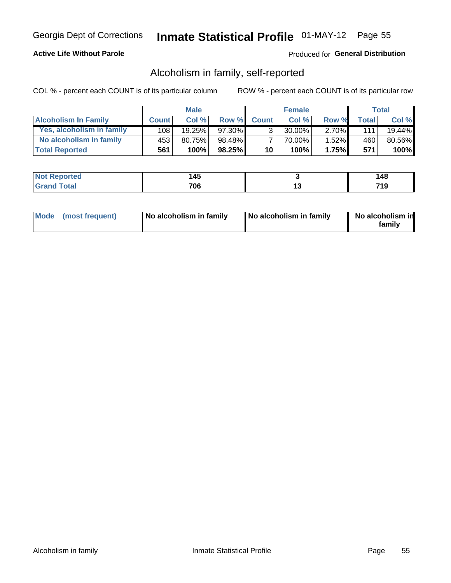# **Active Life Without Parole**

## Produced for General Distribution

# Alcoholism in family, self-reported

COL % - percent each COUNT is of its particular column

|                             |              | <b>Male</b> |        |                 | <b>Female</b> |          |              | Total     |
|-----------------------------|--------------|-------------|--------|-----------------|---------------|----------|--------------|-----------|
| <b>Alcoholism In Family</b> | <b>Count</b> | Col%        | Row %  | <b>Count</b>    | Col %         | Row %    | <b>Total</b> | Col %     |
| Yes, alcoholism in family   | 108          | $19.25\%$   | 97.30% | 2               | 30.00%        | $2.70\%$ | 1111         | $19.44\%$ |
| No alcoholism in family     | 453          | 80.75%      | 98.48% |                 | 70.00%        | $1.52\%$ | 460          | 80.56%    |
| <b>Total Reported</b>       | 561          | 100%        | 98.25% | 10 <sup>1</sup> | 100%          | 1.75%    | 571          | 100%      |

| <b>Not Reported</b> | . .<br><b>43</b> |     | . A S |
|---------------------|------------------|-----|-------|
| `otal<br>l Gran     | 706              | . . |       |

|  | Mode (most frequent) | No alcoholism in family | No alcoholism in family | No alcoholism in<br>family |
|--|----------------------|-------------------------|-------------------------|----------------------------|
|--|----------------------|-------------------------|-------------------------|----------------------------|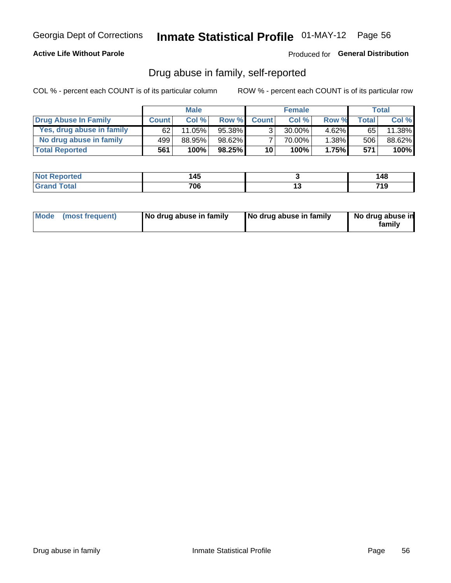## **Active Life Without Parole**

## Produced for General Distribution

# Drug abuse in family, self-reported

COL % - percent each COUNT is of its particular column

|                           |              | <b>Male</b> |           |                 | <b>Female</b> |          |       | Total   |
|---------------------------|--------------|-------------|-----------|-----------------|---------------|----------|-------|---------|
| Drug Abuse In Family      | <b>Count</b> | Col%        | Row %     | <b>Count</b>    | Col%          | Row %    | Total | Col %   |
| Yes, drug abuse in family | 62           | 11.05%      | 95.38%    | 3 <sub>1</sub>  | $30.00\%$     | $4.62\%$ | 65 I  | 11.38%  |
| No drug abuse in family   | 499          | 88.95%      | 98.62%    |                 | 70.00%        | 1.38%    | 506   | 88.62%  |
| <b>Total Reported</b>     | 561          | 100%        | $98.25\%$ | 10 <sub>1</sub> | 100%          | 1.75%    | 571   | $100\%$ |

| <b>Not Reported</b> | . .<br><b>43</b> |     | . A S |
|---------------------|------------------|-----|-------|
| `otal<br>l Gran     | 706              | . . |       |

|  | Mode (most frequent) | No drug abuse in family | No drug abuse in family | No drug abuse in<br>family |
|--|----------------------|-------------------------|-------------------------|----------------------------|
|--|----------------------|-------------------------|-------------------------|----------------------------|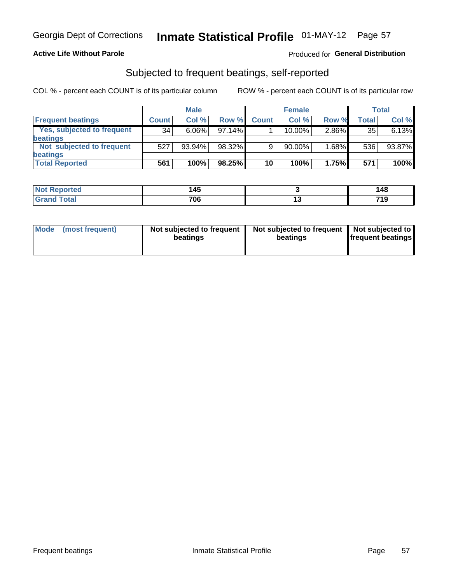## **Active Life Without Parole**

## Produced for General Distribution

# Subjected to frequent beatings, self-reported

COL % - percent each COUNT is of its particular column

|                            |              | <b>Male</b> |           |              | <b>Female</b> |       |       | Total  |
|----------------------------|--------------|-------------|-----------|--------------|---------------|-------|-------|--------|
| <b>Frequent beatings</b>   | <b>Count</b> | Col %       | Row %     | <b>Count</b> | Col %         | Row % | Total | Col %  |
| Yes, subjected to frequent | 34           | $6.06\%$    | 97.14%    |              | 10.00%        | 2.86% | 35    | 6.13%  |
| <b>beatings</b>            |              |             |           |              |               |       |       |        |
| Not subjected to frequent  | 527          | 93.94%      | 98.32%    | 9            | 90.00%        | 1.68% | 536   | 93.87% |
| <b>beatings</b>            |              |             |           |              |               |       |       |        |
| <b>Total Reported</b>      | 561          | 100%        | $98.25\%$ | 10           | 100%          | 1.75% | 571   | 100%   |

| <b>Not Reported</b>   | 145 |     | 148 |
|-----------------------|-----|-----|-----|
| <b>Total</b><br>Grand | 706 | . v | 719 |

| Mode (most frequent) | Not subjected to frequent<br>beatings | Not subjected to frequent<br>beatings | Not subjected to<br><b>frequent beatings</b> |
|----------------------|---------------------------------------|---------------------------------------|----------------------------------------------|
|                      |                                       |                                       |                                              |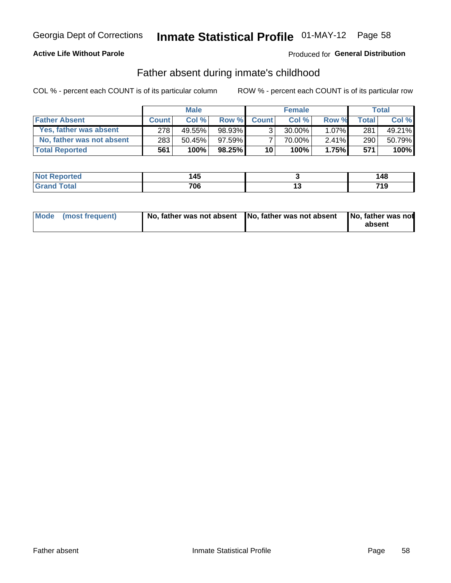# **Active Life Without Parole**

# **Produced for General Distribution**

# Father absent during inmate's childhood

COL % - percent each COUNT is of its particular column

|                           | <b>Male</b>  |           | <b>Female</b> |                |           | <b>Total</b> |              |        |
|---------------------------|--------------|-----------|---------------|----------------|-----------|--------------|--------------|--------|
| <b>Father Absent</b>      | <b>Count</b> | Col%      | Row %         | <b>Count</b>   | Col%      | Row %        | <b>Total</b> | Col %  |
| Yes, father was absent    | 278          | 49.55%    | 98.93%        | 3 <sub>1</sub> | $30.00\%$ | $1.07\%$     | 281          | 49.21% |
| No, father was not absent | 283          | $50.45\%$ | $97.59\%$     |                | 70.00%    | $2.41\%$     | 290          | 50.79% |
| <b>Total Reported</b>     | 561          | 100%      | $98.25\%$     | 10             | 100%      | 1.75%        | 571          | 100%   |

| Reported<br>NOT | A E<br>47 | 148       |
|-----------------|-----------|-----------|
| <b>otal</b>     | 706       | 71 0<br>. |

|  | Mode (most frequent) | No, father was not absent No, father was not absent |  | No, father was not<br>absent |
|--|----------------------|-----------------------------------------------------|--|------------------------------|
|--|----------------------|-----------------------------------------------------|--|------------------------------|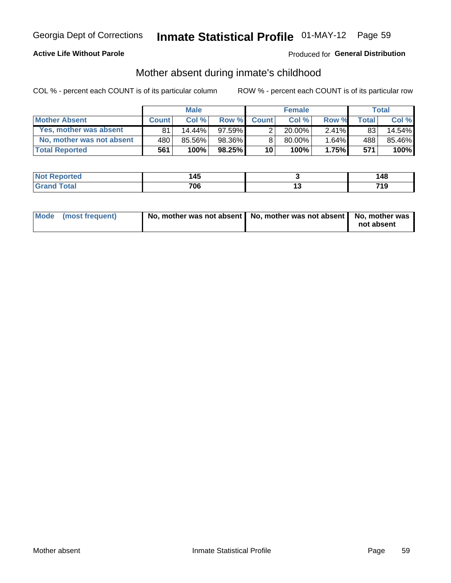# **Active Life Without Parole**

# **Produced for General Distribution**

# Mother absent during inmate's childhood

COL % - percent each COUNT is of its particular column

|                           |              | <b>Male</b> |           |                 | <b>Female</b> |          |       | Total  |
|---------------------------|--------------|-------------|-----------|-----------------|---------------|----------|-------|--------|
| <b>Mother Absent</b>      | <b>Count</b> | Col%        | Row %     | <b>Count</b>    | Col%          | Row %    | Total | Col %  |
| Yes, mother was absent    | 81           | 14.44%      | $97.59\%$ | 2               | $20.00\%$     | $2.41\%$ | 83    | 14.54% |
| No, mother was not absent | 480          | 85.56%      | 98.36%    | 8               | 80.00%        | 1.64%    | 488   | 85.46% |
| <b>Total Reported</b>     | 561          | 100%        | $98.25\%$ | 10 <sup>1</sup> | 100%          | 1.75%    | 571   | 100%   |

| <b>Not Reported</b>      | . .<br>14. |               | ٦۶.<br>.40    |
|--------------------------|------------|---------------|---------------|
| `otal<br>l Gran<br>_____ | 706        | . .<br>$\sim$ | 74 O<br>, , , |

| Mode (most frequent) | No, mother was not absent   No, mother was not absent   No, mother was | not absent |
|----------------------|------------------------------------------------------------------------|------------|
|----------------------|------------------------------------------------------------------------|------------|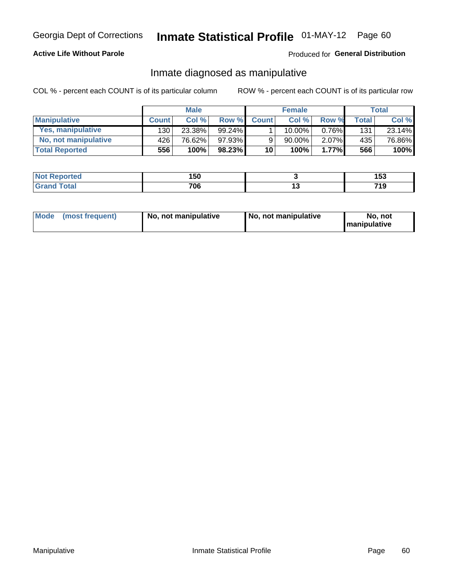## **Active Life Without Parole**

## Produced for General Distribution

# Inmate diagnosed as manipulative

COL % - percent each COUNT is of its particular column

|                          | <b>Male</b>  |        | <b>Female</b> |              |             | Total    |              |        |
|--------------------------|--------------|--------|---------------|--------------|-------------|----------|--------------|--------|
| <b>Manipulative</b>      | <b>Count</b> | Col %  | Row %         | <b>Count</b> | Col %       | Row %    | <b>Total</b> | Col %  |
| <b>Yes, manipulative</b> | 130 l        | 23.38% | $99.24\%$     |              | $10.00\%$ . | $0.76\%$ | 131          | 23.14% |
| No, not manipulative     | 426 l        | 76.62% | 97.93%        | 9            | 90.00%      | 2.07%    | 435          | 76.86% |
| <b>Total Reported</b>    | 556          | 100%   | 98.23%        | 10           | 100%        | 1.77%    | 566          | 100%   |

| <b>Not Reported</b>      | 150 |     | $\bullet$<br>נטו |
|--------------------------|-----|-----|------------------|
| <b>c</b> otal<br>' Grano | 706 | . . | 74 O<br>.        |

| Mode | (most frequent) | No, not manipulative | ∣ No. not manipulative | not<br>No.<br><b>I</b> manipulative |
|------|-----------------|----------------------|------------------------|-------------------------------------|
|------|-----------------|----------------------|------------------------|-------------------------------------|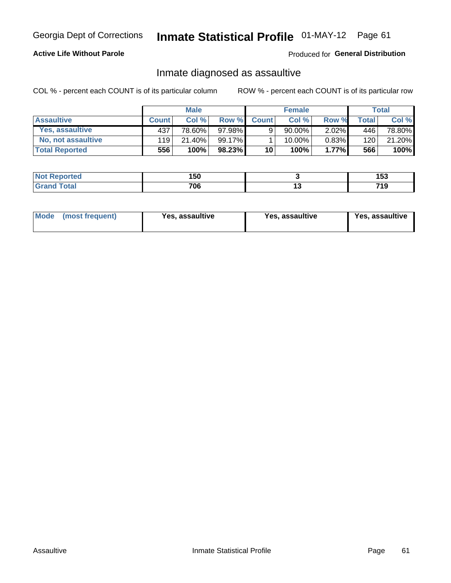# Inmate Statistical Profile 01-MAY-12 Page 61

# **Active Life Without Parole**

Produced for General Distribution

# Inmate diagnosed as assaultive

COL % - percent each COUNT is of its particular column

|                       | <b>Male</b>  |        | <b>Female</b> |                 |             | Total |              |        |
|-----------------------|--------------|--------|---------------|-----------------|-------------|-------|--------------|--------|
| <b>Assaultive</b>     | <b>Count</b> | Col%   | Row %         | <b>Count</b>    | Col %       | Row % | <b>Total</b> | Col %  |
| Yes, assaultive       | 437          | 78.60% | 97.98%        | 9               | $90.00\%$ , | 2.02% | 446          | 78.80% |
| No, not assaultive    | 119          | 21.40% | 99.17%        |                 | $10.00\%$ . | 0.83% | 120          | 21.20% |
| <b>Total Reported</b> | 556          | 100%   | $98.23\%$     | 10 <sup>1</sup> | 100%        | 1.77% | 566          | 100%   |

| <b>Not</b><br><b>Reported</b> | 150 |    | ניט |
|-------------------------------|-----|----|-----|
| <b>otal</b>                   | 706 | ıJ | ាទ  |

| Mode (most frequent)<br>Yes, assaultive | Yes, assaultive | <b>Yes, assaultive</b> |
|-----------------------------------------|-----------------|------------------------|
|-----------------------------------------|-----------------|------------------------|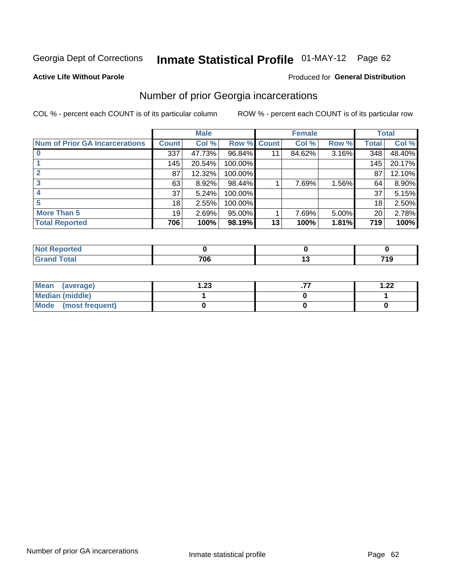# Inmate Statistical Profile 01-MAY-12 Page 62

#### **Active Life Without Parole**

#### Produced for General Distribution

# Number of prior Georgia incarcerations

COL % - percent each COUNT is of its particular column

|                                       |              | <b>Male</b> |                    |    | <b>Female</b> |          |       | <b>Total</b> |
|---------------------------------------|--------------|-------------|--------------------|----|---------------|----------|-------|--------------|
| <b>Num of Prior GA Incarcerations</b> | <b>Count</b> | Col %       | <b>Row % Count</b> |    | Col %         | Row %    | Total | Col %        |
|                                       | 337          | 47.73%      | 96.84%             |    | 84.62%        | 3.16%    | 348   | 48.40%       |
|                                       | 145          | 20.54%      | 100.00%            |    |               |          | 145   | 20.17%       |
|                                       | 87           | 12.32%      | 100.00%            |    |               |          | 87    | 12.10%       |
| 3                                     | 63           | 8.92%       | 98.44%             |    | 7.69%         | 1.56%    | 64    | 8.90%        |
|                                       | 37           | 5.24%       | 100.00%            |    |               |          | 37    | 5.15%        |
|                                       | 18           | 2.55%       | 100.00%            |    |               |          | 18    | 2.50%        |
| <b>More Than 5</b>                    | 19           | 2.69%       | 95.00%             |    | 7.69%         | $5.00\%$ | 20    | 2.78%        |
| <b>Total Reported</b>                 | 706          | 100%        | 98.19%             | 13 | 100%          | 1.81%    | 719   | 100%         |

| orted                           |     |            |
|---------------------------------|-----|------------|
| <b>otal</b><br>$\mathbf{v}$ and | 700 | 74 0<br>13 |

| Mean (average)       | 1.23 | 1.22 |
|----------------------|------|------|
| Median (middle)      |      |      |
| Mode (most frequent) |      |      |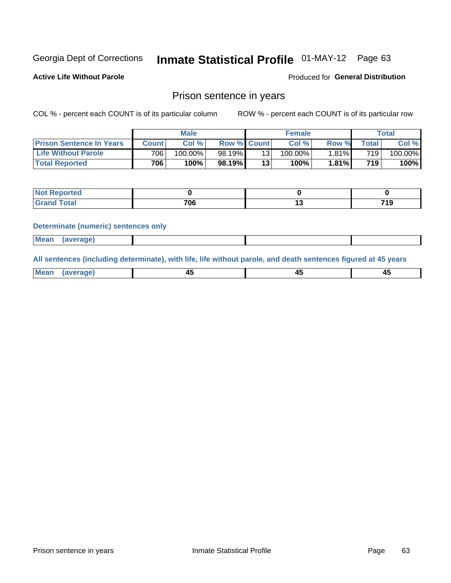# Inmate Statistical Profile 01-MAY-12 Page 63

**Active Life Without Parole** 

Produced for General Distribution

# Prison sentence in years

COL % - percent each COUNT is of its particular column

ROW % - percent each COUNT is of its particular row

|                                 |                  | <b>Male</b> |                    |                 | <b>Female</b> |       |             | Total   |
|---------------------------------|------------------|-------------|--------------------|-----------------|---------------|-------|-------------|---------|
| <b>Prison Sentence In Years</b> | Count l          | Col %       | <b>Row % Count</b> |                 | Col %         | Row % | $\tau$ otal | Col %   |
| <b>Life Without Parole</b>      | 706 <sub>1</sub> | $100.00\%$  | 98.19%             | 13              | $100.00\%$    | 1.81% | 719         | 100.00% |
| <b>Total Reported</b>           | 706              | 100%        | 98.19%             | 13 <sub>1</sub> | 100%          | 1.81% | 719         | 100%    |

| <b>Not Reported</b> |     |      |
|---------------------|-----|------|
| <b>otal</b>         | 706 | 74 C |

#### **Determinate (numeric) sentences only**

| <b>Mean</b><br><i>(average)</i> |  |
|---------------------------------|--|
|---------------------------------|--|

All sentences (including determinate), with life, life without parole, and death sentences figured at 45 years

| Me<br>.<br> | -- | -- |  |
|-------------|----|----|--|
|             |    |    |  |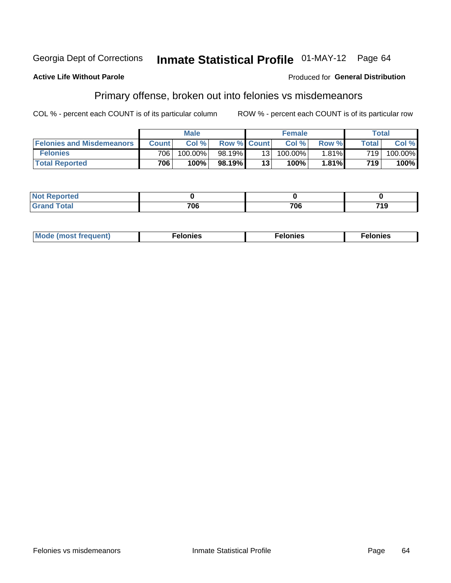#### **Active Life Without Parole**

#### Produced for General Distribution

# Primary offense, broken out into felonies vs misdemeanors

COL % - percent each COUNT is of its particular column

|                                  |              | <b>Male</b> |                    |     | <b>Female</b> |          |              | Total   |
|----------------------------------|--------------|-------------|--------------------|-----|---------------|----------|--------------|---------|
| <b>Felonies and Misdemeanors</b> | <b>Count</b> | Col %       | <b>Row % Count</b> |     | Col%          | Row %    | <b>Total</b> | Col %   |
| <b>Felonies</b>                  | 706          | 100.00%     | 98.19%             | 131 | 100.00%       | $1.81\%$ | 719          | 100.00% |
| <b>Total Reported</b>            | 706          | 100%        | 98.19%1            | 13  | 100%          | 1.81%    | 719          | 100%    |

| <b>Not Reported</b>         |           |     |     |
|-----------------------------|-----------|-----|-----|
| <b>Total</b><br>Gran<br>uuu | 700<br>vo | 706 | 719 |

| $Mc$<br>equent)<br>нез<br>$\sim$<br>. | onies<br>. | <b>onies</b><br>. |
|---------------------------------------|------------|-------------------|
|---------------------------------------|------------|-------------------|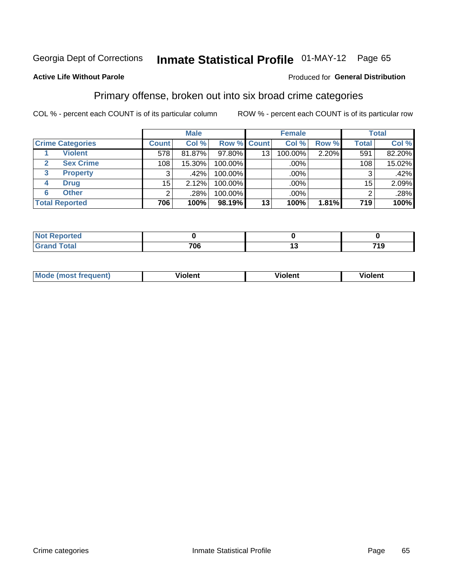# Inmate Statistical Profile 01-MAY-12 Page 65

### **Active Life Without Parole**

#### Produced for General Distribution

# Primary offense, broken out into six broad crime categories

COL % - percent each COUNT is of its particular column

|                         |              | <b>Male</b> |             |                 | <b>Female</b> |       |                 | <b>Total</b> |
|-------------------------|--------------|-------------|-------------|-----------------|---------------|-------|-----------------|--------------|
| <b>Crime Categories</b> | <b>Count</b> | Col %       | Row % Count |                 | Col %         | Row % | <b>Total</b>    | Col %        |
| <b>Violent</b>          | 578          | 81.87%      | 97.80%      | 13              | 100.00%       | 2.20% | 591             | 82.20%       |
| <b>Sex Crime</b>        | 108          | 15.30%      | 100.00%     |                 | .00%          |       | 108             | 15.02%       |
| 3<br><b>Property</b>    | 3            | .42%        | 100.00%     |                 | .00%          |       |                 | .42%         |
| <b>Drug</b><br>4        | 15           | 2.12%       | 100.00%     |                 | .00%          |       | 15 <sub>1</sub> | 2.09%        |
| <b>Other</b><br>6       | 2            | .28%        | 100.00%     |                 | $.00\%$       |       |                 | .28%         |
| <b>Total Reported</b>   | 706          | 100%        | 98.19%      | 13 <sub>1</sub> | 100%          | 1.81% | 719             | 100%         |

| <b>Not Reported</b> |     |     |
|---------------------|-----|-----|
| <b>Total</b>        | 706 | 719 |

| M | <br>. |  |
|---|-------|--|
|   |       |  |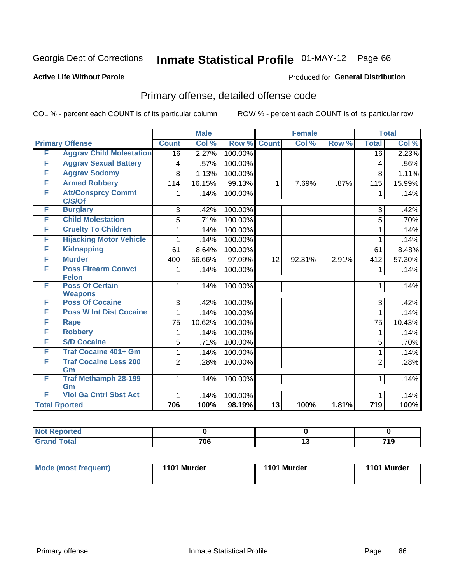# Inmate Statistical Profile 01-MAY-12 Page 66

#### **Active Life Without Parole**

#### Produced for General Distribution

# Primary offense, detailed offense code

COL % - percent each COUNT is of its particular column

|   |                                          |                 | <b>Male</b> |         | <b>Female</b>   |        |       | <b>Total</b>     |        |
|---|------------------------------------------|-----------------|-------------|---------|-----------------|--------|-------|------------------|--------|
|   | <b>Primary Offense</b>                   | <b>Count</b>    | Col %       | Row %   | <b>Count</b>    | Col %  | Row % | <b>Total</b>     | Col %  |
| F | <b>Aggrav Child Molestation</b>          | $\overline{16}$ | 2.27%       | 100.00% |                 |        |       | $\overline{16}$  | 2.23%  |
| F | <b>Aggrav Sexual Battery</b>             | 4               | .57%        | 100.00% |                 |        |       | 4                | .56%   |
| F | <b>Aggrav Sodomy</b>                     | 8               | 1.13%       | 100.00% |                 |        |       | 8                | 1.11%  |
| F | <b>Armed Robbery</b>                     | 114             | 16.15%      | 99.13%  | $\mathbf{1}$    | 7.69%  | .87%  | 115              | 15.99% |
| F | <b>Att/Consprcy Commt</b><br>C/S/Of      | 1.              | .14%        | 100.00% |                 |        |       | 1                | .14%   |
| F | <b>Burglary</b>                          | 3               | .42%        | 100.00% |                 |        |       | 3                | .42%   |
| F | <b>Child Molestation</b>                 | 5               | .71%        | 100.00% |                 |        |       | 5                | .70%   |
| F | <b>Cruelty To Children</b>               | 1               | .14%        | 100.00% |                 |        |       | 1                | .14%   |
| F | <b>Hijacking Motor Vehicle</b>           | 1               | .14%        | 100.00% |                 |        |       | 1                | .14%   |
| F | <b>Kidnapping</b>                        | 61              | 8.64%       | 100.00% |                 |        |       | 61               | 8.48%  |
| F | <b>Murder</b>                            | 400             | 56.66%      | 97.09%  | 12              | 92.31% | 2.91% | 412              | 57.30% |
| F | <b>Poss Firearm Convct</b>               | 1               | .14%        | 100.00% |                 |        |       | 1                | .14%   |
|   | <b>Felon</b>                             |                 |             |         |                 |        |       |                  |        |
| F | <b>Poss Of Certain</b><br><b>Weapons</b> | 1               | .14%        | 100.00% |                 |        |       | 1                | .14%   |
| F | <b>Poss Of Cocaine</b>                   | 3               | .42%        | 100.00% |                 |        |       | 3                | .42%   |
| F | <b>Poss W Int Dist Cocaine</b>           | 1               | .14%        | 100.00% |                 |        |       | 1                | .14%   |
| F | <b>Rape</b>                              | 75              | 10.62%      | 100.00% |                 |        |       | 75               | 10.43% |
| F | <b>Robbery</b>                           | 1               | .14%        | 100.00% |                 |        |       | 1                | .14%   |
| F | <b>S/D Cocaine</b>                       | 5               | .71%        | 100.00% |                 |        |       | 5                | .70%   |
| F | <b>Traf Cocaine 401+ Gm</b>              | 1               | .14%        | 100.00% |                 |        |       | 1                | .14%   |
| F | <b>Traf Cocaine Less 200</b>             | $\overline{2}$  | .28%        | 100.00% |                 |        |       | $\overline{2}$   | .28%   |
|   | Gm                                       |                 |             |         |                 |        |       |                  |        |
| F | <b>Traf Methamph 28-199</b>              | $\mathbf{1}$    | .14%        | 100.00% |                 |        |       | 1                | .14%   |
|   | Gm                                       |                 |             |         |                 |        |       |                  |        |
| F | <b>Viol Ga Cntrl Sbst Act</b>            | 1               | .14%        | 100.00% |                 |        |       | 1                | .14%   |
|   | <b>Total Rported</b>                     | 706             | 100%        | 98.19%  | $\overline{13}$ | 100%   | 1.81% | $\overline{719}$ | 100%   |

| oortea<br>w |                     |            |                       |
|-------------|---------------------|------------|-----------------------|
|             | <b>706</b><br>7 U O | <br>$\sim$ | 74 C<br>. .<br>$\sim$ |

| Mode (most frequent) | 1101 Murder | 1101 Murder | 1101 Murder |
|----------------------|-------------|-------------|-------------|
|                      |             |             |             |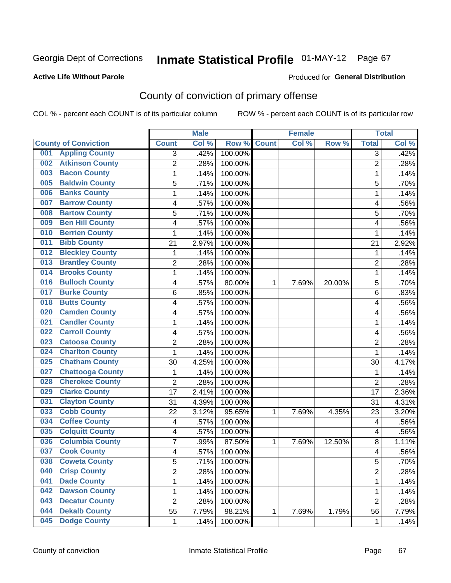### **Active Life Without Parole**

#### Produced for **General Distribution**

# County of conviction of primary offense

|                              |                         |                | <b>Male</b> |                  |              | <b>Female</b> |        |                | <b>Total</b> |
|------------------------------|-------------------------|----------------|-------------|------------------|--------------|---------------|--------|----------------|--------------|
| <b>County of Conviction</b>  |                         | <b>Count</b>   | Col %       | Row <sup>%</sup> | <b>Count</b> | Col %         | Row %  | <b>Total</b>   | Col %        |
| 001                          | <b>Appling County</b>   | 3              | .42%        | 100.00%          |              |               |        | 3              | .42%         |
| 002                          | <b>Atkinson County</b>  | $\overline{2}$ | .28%        | 100.00%          |              |               |        | $\overline{2}$ | .28%         |
| <b>Bacon County</b><br>003   |                         | 1              | .14%        | 100.00%          |              |               |        | $\mathbf{1}$   | .14%         |
| 005                          | <b>Baldwin County</b>   | 5              | .71%        | 100.00%          |              |               |        | 5              | .70%         |
| <b>Banks County</b><br>006   |                         | 1              | .14%        | 100.00%          |              |               |        | 1              | .14%         |
| 007                          | <b>Barrow County</b>    | 4              | .57%        | 100.00%          |              |               |        | 4              | .56%         |
| 008                          | <b>Bartow County</b>    | 5              | .71%        | 100.00%          |              |               |        | 5              | .70%         |
| 009                          | <b>Ben Hill County</b>  | 4              | .57%        | 100.00%          |              |               |        | 4              | .56%         |
| 010                          | <b>Berrien County</b>   | 1              | .14%        | 100.00%          |              |               |        | 1              | .14%         |
| <b>Bibb County</b><br>011    |                         | 21             | 2.97%       | 100.00%          |              |               |        | 21             | 2.92%        |
| 012                          | <b>Bleckley County</b>  | 1              | .14%        | 100.00%          |              |               |        | 1              | .14%         |
| 013                          | <b>Brantley County</b>  | $\overline{2}$ | .28%        | 100.00%          |              |               |        | $\overline{2}$ | .28%         |
| 014                          | <b>Brooks County</b>    | 1              | .14%        | 100.00%          |              |               |        | 1              | .14%         |
| 016                          | <b>Bulloch County</b>   | 4              | .57%        | 80.00%           | 1            | 7.69%         | 20.00% | 5              | .70%         |
| <b>Burke County</b><br>017   |                         | 6              | .85%        | 100.00%          |              |               |        | 6              | .83%         |
| <b>Butts County</b><br>018   |                         | 4              | .57%        | 100.00%          |              |               |        | 4              | .56%         |
| 020                          | <b>Camden County</b>    | 4              | .57%        | 100.00%          |              |               |        | 4              | .56%         |
| 021                          | <b>Candler County</b>   | 1              | .14%        | 100.00%          |              |               |        | 1              | .14%         |
| <b>Carroll County</b><br>022 |                         | 4              | .57%        | 100.00%          |              |               |        | 4              | .56%         |
| 023                          | <b>Catoosa County</b>   | $\overline{2}$ | .28%        | 100.00%          |              |               |        | $\overline{2}$ | .28%         |
| 024                          | <b>Charlton County</b>  | 1              | .14%        | 100.00%          |              |               |        | 1              | .14%         |
| 025                          | <b>Chatham County</b>   | 30             | 4.25%       | 100.00%          |              |               |        | 30             | 4.17%        |
| 027                          | <b>Chattooga County</b> | 1              | .14%        | 100.00%          |              |               |        | 1              | .14%         |
| 028                          | <b>Cherokee County</b>  | $\overline{2}$ | .28%        | 100.00%          |              |               |        | $\overline{2}$ | .28%         |
| <b>Clarke County</b><br>029  |                         | 17             | 2.41%       | 100.00%          |              |               |        | 17             | 2.36%        |
| 031                          | <b>Clayton County</b>   | 31             | 4.39%       | 100.00%          |              |               |        | 31             | 4.31%        |
| <b>Cobb County</b><br>033    |                         | 22             | 3.12%       | 95.65%           | 1            | 7.69%         | 4.35%  | 23             | 3.20%        |
| <b>Coffee County</b><br>034  |                         | 4              | .57%        | 100.00%          |              |               |        | 4              | .56%         |
| 035                          | <b>Colquitt County</b>  | 4              | .57%        | 100.00%          |              |               |        | 4              | .56%         |
| 036                          | <b>Columbia County</b>  | 7              | .99%        | 87.50%           | 1            | 7.69%         | 12.50% | 8              | 1.11%        |
| <b>Cook County</b><br>037    |                         | 4              | .57%        | 100.00%          |              |               |        | 4              | .56%         |
| 038                          | <b>Coweta County</b>    | 5              | .71%        | 100.00%          |              |               |        | 5              | .70%         |
| <b>Crisp County</b><br>040   |                         | $\overline{2}$ | .28%        | 100.00%          |              |               |        | $\overline{2}$ | .28%         |
| <b>Dade County</b><br>041    |                         | 1              | .14%        | 100.00%          |              |               |        | 1              | .14%         |
| 042                          | <b>Dawson County</b>    | 1              | .14%        | 100.00%          |              |               |        | 1              | .14%         |
| 043                          | <b>Decatur County</b>   | $\overline{2}$ | .28%        | 100.00%          |              |               |        | $\overline{2}$ | .28%         |
| 044                          | <b>Dekalb County</b>    | 55             | 7.79%       | 98.21%           | 1            | 7.69%         | 1.79%  | 56             | 7.79%        |
| <b>Dodge County</b><br>045   |                         | 1              | .14%        | 100.00%          |              |               |        | $\mathbf{1}$   | .14%         |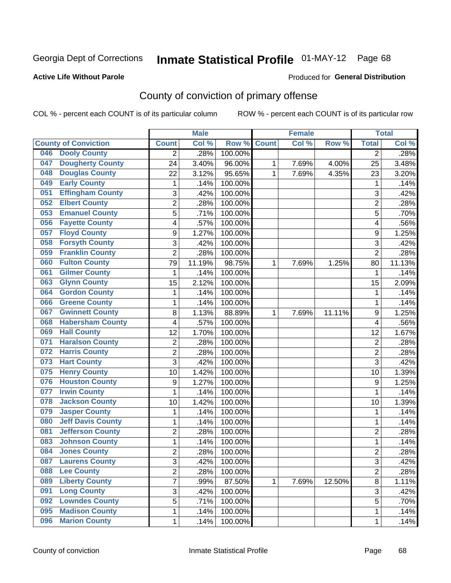## **Active Life Without Parole**

#### Produced for **General Distribution**

# County of conviction of primary offense

|                                 |                | <b>Male</b> |         |              | <b>Female</b> |        |                | <b>Total</b> |
|---------------------------------|----------------|-------------|---------|--------------|---------------|--------|----------------|--------------|
| <b>County of Conviction</b>     | <b>Count</b>   | Col %       | Row %   | <b>Count</b> | Col %         | Row %  | <b>Total</b>   | Col %        |
| <b>Dooly County</b><br>046      | 2              | .28%        | 100.00% |              |               |        | 2              | .28%         |
| <b>Dougherty County</b><br>047  | 24             | 3.40%       | 96.00%  | 1            | 7.69%         | 4.00%  | 25             | 3.48%        |
| <b>Douglas County</b><br>048    | 22             | 3.12%       | 95.65%  | 1            | 7.69%         | 4.35%  | 23             | 3.20%        |
| <b>Early County</b><br>049      | 1              | .14%        | 100.00% |              |               |        | $\mathbf 1$    | .14%         |
| <b>Effingham County</b><br>051  | 3              | .42%        | 100.00% |              |               |        | 3              | .42%         |
| <b>Elbert County</b><br>052     | $\overline{2}$ | .28%        | 100.00% |              |               |        | $\overline{2}$ | .28%         |
| <b>Emanuel County</b><br>053    | 5              | .71%        | 100.00% |              |               |        | 5              | .70%         |
| <b>Fayette County</b><br>056    | 4              | .57%        | 100.00% |              |               |        | 4              | .56%         |
| <b>Floyd County</b><br>057      | 9              | 1.27%       | 100.00% |              |               |        | 9              | 1.25%        |
| <b>Forsyth County</b><br>058    | 3              | .42%        | 100.00% |              |               |        | 3              | .42%         |
| <b>Franklin County</b><br>059   | $\overline{2}$ | .28%        | 100.00% |              |               |        | $\overline{2}$ | .28%         |
| <b>Fulton County</b><br>060     | 79             | 11.19%      | 98.75%  | 1            | 7.69%         | 1.25%  | 80             | 11.13%       |
| <b>Gilmer County</b><br>061     | $\mathbf 1$    | .14%        | 100.00% |              |               |        | 1              | .14%         |
| <b>Glynn County</b><br>063      | 15             | 2.12%       | 100.00% |              |               |        | 15             | 2.09%        |
| <b>Gordon County</b><br>064     | 1              | .14%        | 100.00% |              |               |        | 1              | .14%         |
| <b>Greene County</b><br>066     | 1              | .14%        | 100.00% |              |               |        | 1              | .14%         |
| <b>Gwinnett County</b><br>067   | 8              | 1.13%       | 88.89%  | 1            | 7.69%         | 11.11% | 9              | 1.25%        |
| <b>Habersham County</b><br>068  | 4              | .57%        | 100.00% |              |               |        | 4              | .56%         |
| <b>Hall County</b><br>069       | 12             | 1.70%       | 100.00% |              |               |        | 12             | 1.67%        |
| <b>Haralson County</b><br>071   | $\mathbf 2$    | .28%        | 100.00% |              |               |        | $\overline{2}$ | .28%         |
| <b>Harris County</b><br>072     | 2              | .28%        | 100.00% |              |               |        | 2              | .28%         |
| <b>Hart County</b><br>073       | 3              | .42%        | 100.00% |              |               |        | 3              | .42%         |
| <b>Henry County</b><br>075      | 10             | 1.42%       | 100.00% |              |               |        | 10             | 1.39%        |
| <b>Houston County</b><br>076    | 9              | 1.27%       | 100.00% |              |               |        | 9              | 1.25%        |
| <b>Irwin County</b><br>077      | 1              | .14%        | 100.00% |              |               |        | 1              | .14%         |
| <b>Jackson County</b><br>078    | 10             | 1.42%       | 100.00% |              |               |        | 10             | 1.39%        |
| <b>Jasper County</b><br>079     | 1              | .14%        | 100.00% |              |               |        | 1              | .14%         |
| <b>Jeff Davis County</b><br>080 | 1              | .14%        | 100.00% |              |               |        | 1              | .14%         |
| <b>Jefferson County</b><br>081  | $\overline{c}$ | .28%        | 100.00% |              |               |        | $\overline{2}$ | .28%         |
| <b>Johnson County</b><br>083    | 1              | .14%        | 100.00% |              |               |        | $\mathbf{1}$   | .14%         |
| <b>Jones County</b><br>084      | $\overline{2}$ | .28%        | 100.00% |              |               |        | $\overline{2}$ | .28%         |
| 087<br><b>Laurens County</b>    | 3              | .42%        | 100.00% |              |               |        | 3              | .42%         |
| <b>Lee County</b><br>088        | $\overline{2}$ | .28%        | 100.00% |              |               |        | $\overline{2}$ | .28%         |
| <b>Liberty County</b><br>089    | $\overline{7}$ | .99%        | 87.50%  | 1            | 7.69%         | 12.50% | 8              | 1.11%        |
| <b>Long County</b><br>091       | 3              | .42%        | 100.00% |              |               |        | 3              | .42%         |
| <b>Lowndes County</b><br>092    | 5              | .71%        | 100.00% |              |               |        | 5              | .70%         |
| <b>Madison County</b><br>095    | 1              | .14%        | 100.00% |              |               |        | $\mathbf{1}$   | .14%         |
| <b>Marion County</b><br>096     | $\mathbf 1$    | .14%        | 100.00% |              |               |        | $\mathbf 1$    | .14%         |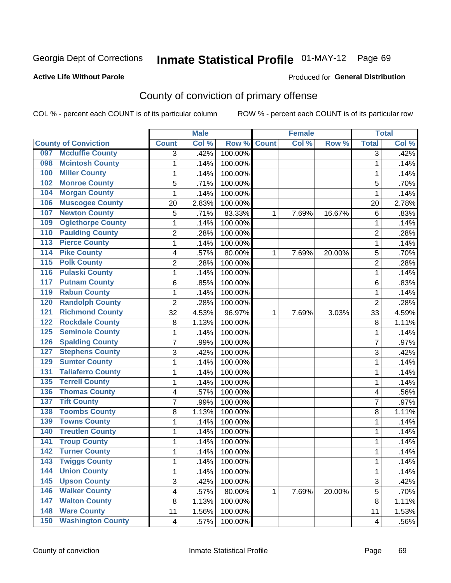#### **Active Life Without Parole**

#### Produced for **General Distribution**

# County of conviction of primary offense

|                  |                             |                         | <b>Male</b> |         |              | <b>Female</b> |        |                | <b>Total</b>        |
|------------------|-----------------------------|-------------------------|-------------|---------|--------------|---------------|--------|----------------|---------------------|
|                  | <b>County of Conviction</b> | <b>Count</b>            | Col %       | Row %   | <b>Count</b> | Col %         | Row %  | <b>Total</b>   | Col %               |
| 097              | <b>Mcduffie County</b>      | 3                       | .42%        | 100.00% |              |               |        | $\overline{3}$ | .42%                |
| 098              | <b>Mcintosh County</b>      | 1                       | .14%        | 100.00% |              |               |        | $\mathbf{1}$   | .14%                |
| 100              | <b>Miller County</b>        | $\mathbf{1}$            | .14%        | 100.00% |              |               |        | 1              | .14%                |
| 102              | <b>Monroe County</b>        | 5                       | .71%        | 100.00% |              |               |        | 5              | .70%                |
| 104              | <b>Morgan County</b>        | 1                       | .14%        | 100.00% |              |               |        | 1              | .14%                |
| 106              | <b>Muscogee County</b>      | 20                      | 2.83%       | 100.00% |              |               |        | 20             | 2.78%               |
| 107              | <b>Newton County</b>        | 5                       | .71%        | 83.33%  | 1            | 7.69%         | 16.67% | 6              | .83%                |
| 109              | <b>Oglethorpe County</b>    | 1                       | .14%        | 100.00% |              |               |        | 1              | .14%                |
| 110              | <b>Paulding County</b>      | 2                       | .28%        | 100.00% |              |               |        | $\overline{2}$ | .28%                |
| $\overline{113}$ | <b>Pierce County</b>        | 1                       | .14%        | 100.00% |              |               |        | 1              | .14%                |
| $\overline{114}$ | <b>Pike County</b>          | 4                       | .57%        | 80.00%  | 1            | 7.69%         | 20.00% | 5              | .70%                |
| $\overline{115}$ | <b>Polk County</b>          | $\overline{2}$          | .28%        | 100.00% |              |               |        | $\overline{2}$ | .28%                |
| 116              | <b>Pulaski County</b>       | 1                       | .14%        | 100.00% |              |               |        | $\mathbf 1$    | .14%                |
| 117              | <b>Putnam County</b>        | 6                       | .85%        | 100.00% |              |               |        | 6              | .83%                |
| 119              | <b>Rabun County</b>         | 1                       | .14%        | 100.00% |              |               |        | $\mathbf 1$    | .14%                |
| 120              | <b>Randolph County</b>      | $\overline{2}$          | .28%        | 100.00% |              |               |        | $\overline{2}$ | .28%                |
| 121              | <b>Richmond County</b>      | 32                      | 4.53%       | 96.97%  | 1            | 7.69%         | 3.03%  | 33             | 4.59%               |
| 122              | <b>Rockdale County</b>      | 8                       | 1.13%       | 100.00% |              |               |        | 8              | 1.11%               |
| 125              | <b>Seminole County</b>      | 1                       | .14%        | 100.00% |              |               |        | 1              | .14%                |
| 126              | <b>Spalding County</b>      | $\overline{7}$          | .99%        | 100.00% |              |               |        | $\overline{7}$ | .97%                |
| 127              | <b>Stephens County</b>      | 3                       | .42%        | 100.00% |              |               |        | 3              | .42%                |
| 129              | <b>Sumter County</b>        | 1                       | .14%        | 100.00% |              |               |        | 1              | .14%                |
| 131              | <b>Taliaferro County</b>    | 1                       | .14%        | 100.00% |              |               |        | 1              | .14%                |
| 135              | <b>Terrell County</b>       | 1                       | .14%        | 100.00% |              |               |        | 1              | .14%                |
| 136              | <b>Thomas County</b>        | 4                       | .57%        | 100.00% |              |               |        | 4              | .56%                |
| 137              | <b>Tift County</b>          | 7                       | .99%        | 100.00% |              |               |        | $\overline{7}$ | .97%                |
| 138              | <b>Toombs County</b>        | 8                       | 1.13%       | 100.00% |              |               |        | 8              | 1.11%               |
| 139              | <b>Towns County</b>         | 1                       | .14%        | 100.00% |              |               |        | 1              | .14%                |
| 140              | <b>Treutlen County</b>      | 1                       | .14%        | 100.00% |              |               |        | $\mathbf 1$    | .14%                |
| 141              | <b>Troup County</b>         | 1                       | .14%        | 100.00% |              |               |        | 1              | .14%                |
| $\overline{142}$ | <b>Turner County</b>        | 1                       | .14%        | 100.00% |              |               |        | 1              | .14%                |
| 143              | Twiggs County               | 1                       | .14%        | 100.00% |              |               |        | 1              | .14%                |
| 144              | <b>Union County</b>         | 1                       | .14%        | 100.00% |              |               |        | $\mathbf{1}$   | .14%                |
| $\overline{145}$ | <b>Upson County</b>         | 3                       | .42%        | 100.00% |              |               |        | 3              | .42%                |
| 146              | <b>Walker County</b>        | 4                       | .57%        | 80.00%  | 1            | 7.69%         | 20.00% | $\overline{5}$ | .70%                |
| 147              | <b>Walton County</b>        | 8                       | 1.13%       | 100.00% |              |               |        | 8              | $\overline{1.11\%}$ |
| 148              | <b>Ware County</b>          | 11                      | 1.56%       | 100.00% |              |               |        | 11             | 1.53%               |
| 150              | <b>Washington County</b>    | $\overline{\mathbf{4}}$ | .57%        | 100.00% |              |               |        | 4              | .56%                |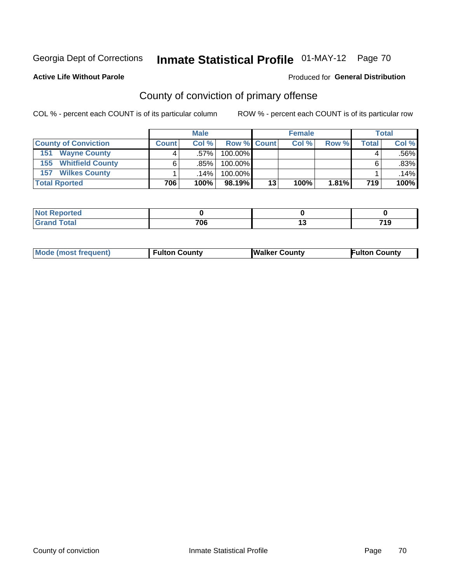Produced for **General Distribution**

# **Active Life Without Parole**

# County of conviction of primary offense

|                             | <b>Male</b>  |         |                    | <b>Female</b> |       |       | <b>Total</b> |         |
|-----------------------------|--------------|---------|--------------------|---------------|-------|-------|--------------|---------|
| <b>County of Conviction</b> | <b>Count</b> | Col %   | <b>Row % Count</b> |               | Col % | Row % | Total .      | Col %   |
| 151<br><b>Wayne County</b>  |              | $.57\%$ | 100.00%            |               |       |       |              | $.56\%$ |
| <b>155 Whitfield County</b> |              | .85%    | 100.00%            |               |       |       |              | $.83\%$ |
| <b>Wilkes County</b><br>157 |              | .14%    | 100.00%            |               |       |       |              | .14%    |
| <b>Total Rported</b>        | 706          | 100%    | 98.19%             | 13            | 100%  | 1.81% | 719          | 100%    |

| ported                  |     |    |             |
|-------------------------|-----|----|-------------|
| <b>c</b> otal<br>$\sim$ | 706 | '' | 74 O<br>. . |

| <b>Mode (most frequent)</b> | Fulton County | <b>Walker County</b> | <b>Eulton County</b> |
|-----------------------------|---------------|----------------------|----------------------|
|                             |               |                      |                      |
|                             |               |                      |                      |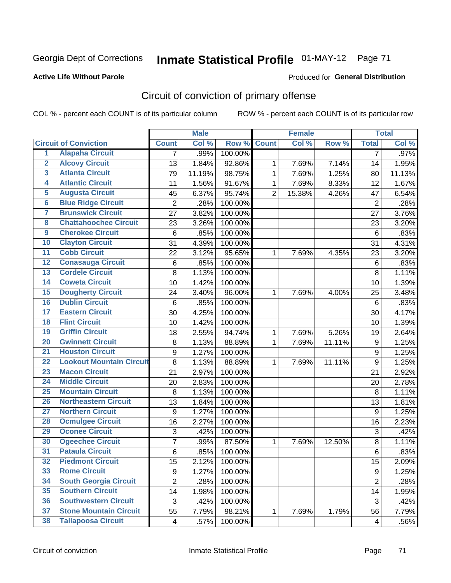## **Active Life Without Parole**

#### Produced for **General Distribution**

# Circuit of conviction of primary offense

|                         |                                 |                | <b>Male</b> |         |                | <b>Female</b> |        |                  | <b>Total</b> |
|-------------------------|---------------------------------|----------------|-------------|---------|----------------|---------------|--------|------------------|--------------|
|                         | <b>Circuit of Conviction</b>    | <b>Count</b>   | Col %       | Row %   | <b>Count</b>   | Col%          | Row %  | <b>Total</b>     | Col %        |
| 1                       | <b>Alapaha Circuit</b>          | 7              | .99%        | 100.00% |                |               |        | 7                | $.97\%$      |
| $\overline{2}$          | <b>Alcovy Circuit</b>           | 13             | 1.84%       | 92.86%  | 1              | 7.69%         | 7.14%  | 14               | 1.95%        |
| $\overline{\mathbf{3}}$ | <b>Atlanta Circuit</b>          | 79             | 11.19%      | 98.75%  | $\mathbf{1}$   | 7.69%         | 1.25%  | 80               | 11.13%       |
| 4                       | <b>Atlantic Circuit</b>         | 11             | 1.56%       | 91.67%  | $\mathbf 1$    | 7.69%         | 8.33%  | 12               | 1.67%        |
| 5                       | <b>Augusta Circuit</b>          | 45             | 6.37%       | 95.74%  | $\overline{2}$ | 15.38%        | 4.26%  | 47               | 6.54%        |
| $\overline{6}$          | <b>Blue Ridge Circuit</b>       | $\overline{c}$ | .28%        | 100.00% |                |               |        | $\overline{2}$   | .28%         |
| $\overline{\mathbf{7}}$ | <b>Brunswick Circuit</b>        | 27             | 3.82%       | 100.00% |                |               |        | 27               | 3.76%        |
| $\overline{\mathbf{8}}$ | <b>Chattahoochee Circuit</b>    | 23             | 3.26%       | 100.00% |                |               |        | 23               | 3.20%        |
| $\overline{9}$          | <b>Cherokee Circuit</b>         | 6              | .85%        | 100.00% |                |               |        | $6\phantom{1}6$  | .83%         |
| 10                      | <b>Clayton Circuit</b>          | 31             | 4.39%       | 100.00% |                |               |        | 31               | 4.31%        |
| $\overline{11}$         | <b>Cobb Circuit</b>             | 22             | 3.12%       | 95.65%  | 1              | 7.69%         | 4.35%  | 23               | 3.20%        |
| $\overline{12}$         | <b>Conasauga Circuit</b>        | 6              | .85%        | 100.00% |                |               |        | $\,6$            | .83%         |
| 13                      | <b>Cordele Circuit</b>          | 8              | 1.13%       | 100.00% |                |               |        | 8                | 1.11%        |
| 14                      | <b>Coweta Circuit</b>           | 10             | 1.42%       | 100.00% |                |               |        | 10               | 1.39%        |
| 15                      | <b>Dougherty Circuit</b>        | 24             | 3.40%       | 96.00%  | $\mathbf 1$    | 7.69%         | 4.00%  | 25               | 3.48%        |
| 16                      | <b>Dublin Circuit</b>           | $\,6$          | .85%        | 100.00% |                |               |        | 6                | .83%         |
| 17                      | <b>Eastern Circuit</b>          | 30             | 4.25%       | 100.00% |                |               |        | 30               | 4.17%        |
| 18                      | <b>Flint Circuit</b>            | 10             | 1.42%       | 100.00% |                |               |        | 10               | 1.39%        |
| 19                      | <b>Griffin Circuit</b>          | 18             | 2.55%       | 94.74%  | 1              | 7.69%         | 5.26%  | 19               | 2.64%        |
| 20                      | <b>Gwinnett Circuit</b>         | 8              | 1.13%       | 88.89%  | 1              | 7.69%         | 11.11% | 9                | 1.25%        |
| $\overline{21}$         | <b>Houston Circuit</b>          | 9              | 1.27%       | 100.00% |                |               |        | $\boldsymbol{9}$ | 1.25%        |
| $\overline{22}$         | <b>Lookout Mountain Circuit</b> | 8              | 1.13%       | 88.89%  | 1              | 7.69%         | 11.11% | $\boldsymbol{9}$ | 1.25%        |
| 23                      | <b>Macon Circuit</b>            | 21             | 2.97%       | 100.00% |                |               |        | 21               | 2.92%        |
| $\overline{24}$         | <b>Middle Circuit</b>           | 20             | 2.83%       | 100.00% |                |               |        | 20               | 2.78%        |
| $\overline{25}$         | <b>Mountain Circuit</b>         | 8              | 1.13%       | 100.00% |                |               |        | 8                | 1.11%        |
| 26                      | <b>Northeastern Circuit</b>     | 13             | 1.84%       | 100.00% |                |               |        | 13               | 1.81%        |
| $\overline{27}$         | <b>Northern Circuit</b>         | 9              | 1.27%       | 100.00% |                |               |        | 9                | 1.25%        |
| 28                      | <b>Ocmulgee Circuit</b>         | 16             | 2.27%       | 100.00% |                |               |        | 16               | 2.23%        |
| 29                      | <b>Oconee Circuit</b>           | 3              | .42%        | 100.00% |                |               |        | 3                | .42%         |
| 30                      | <b>Ogeechee Circuit</b>         | 7              | .99%        | 87.50%  | $\mathbf 1$    | 7.69%         | 12.50% | 8                | 1.11%        |
| $\overline{31}$         | <b>Pataula Circuit</b>          | 6              | .85%        | 100.00% |                |               |        | 6                | .83%         |
| 32                      | <b>Piedmont Circuit</b>         | 15             | 2.12%       | 100.00% |                |               |        | 15               | 2.09%        |
| 33                      | <b>Rome Circuit</b>             | 9              | 1.27%       | 100.00% |                |               |        | 9                | 1.25%        |
| 34                      | <b>South Georgia Circuit</b>    | $\overline{2}$ | .28%        | 100.00% |                |               |        | $\overline{2}$   | .28%         |
| 35                      | <b>Southern Circuit</b>         | 14             | 1.98%       | 100.00% |                |               |        | 14               | 1.95%        |
| 36                      | <b>Southwestern Circuit</b>     | 3              | .42%        | 100.00% |                |               |        | 3                | .42%         |
| 37                      | <b>Stone Mountain Circuit</b>   | 55             | 7.79%       | 98.21%  | 1              | 7.69%         | 1.79%  | 56               | 7.79%        |
| 38                      | <b>Tallapoosa Circuit</b>       | 4              | .57%        | 100.00% |                |               |        | 4                | .56%         |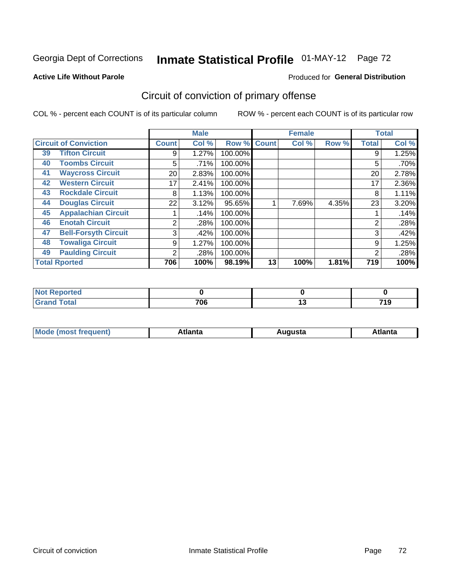#### **Active Life Without Parole**

#### Produced for **General Distribution**

# Circuit of conviction of primary offense

|    |                              | <b>Male</b><br><b>Female</b> |       |         |              | <b>Total</b> |       |              |       |
|----|------------------------------|------------------------------|-------|---------|--------------|--------------|-------|--------------|-------|
|    | <b>Circuit of Conviction</b> | <b>Count</b>                 | Col % | Row %   | <b>Count</b> | Col %        | Row % | <b>Total</b> | Col % |
| 39 | <b>Tifton Circuit</b>        | 9                            | 1.27% | 100.00% |              |              |       | 9            | 1.25% |
| 40 | <b>Toombs Circuit</b>        | 5                            | .71%  | 100.00% |              |              |       | 5            | .70%  |
| 41 | <b>Waycross Circuit</b>      | 20                           | 2.83% | 100.00% |              |              |       | 20           | 2.78% |
| 42 | <b>Western Circuit</b>       | 17                           | 2.41% | 100.00% |              |              |       | 17           | 2.36% |
| 43 | <b>Rockdale Circuit</b>      | 8                            | 1.13% | 100.00% |              |              |       | 8            | 1.11% |
| 44 | <b>Douglas Circuit</b>       | 22                           | 3.12% | 95.65%  |              | 7.69%        | 4.35% | 23           | 3.20% |
| 45 | <b>Appalachian Circuit</b>   |                              | .14%  | 100.00% |              |              |       |              | .14%  |
| 46 | <b>Enotah Circuit</b>        | 2                            | .28%  | 100.00% |              |              |       | 2            | .28%  |
| 47 | <b>Bell-Forsyth Circuit</b>  | 3                            | .42%  | 100.00% |              |              |       | 3            | .42%  |
| 48 | <b>Towaliga Circuit</b>      | 9                            | 1.27% | 100.00% |              |              |       | 9            | 1.25% |
| 49 | <b>Paulding Circuit</b>      | 2                            | .28%  | 100.00% |              |              |       | 2            | .28%  |
|    | <b>Total Rported</b>         | 706                          | 100%  | 98.19%  | 13           | 100%         | 1.81% | 719          | 100%  |

| .<br>rtea             |     |              |
|-----------------------|-----|--------------|
| <b>otal</b><br>$\sim$ | 706 | - - -<br>, , |

| М<br>. Innás<br>.<br>.<br>wanta<br>Πū<br>31.<br>$\sim$ $\sim$ $\sim$ |
|----------------------------------------------------------------------|
|----------------------------------------------------------------------|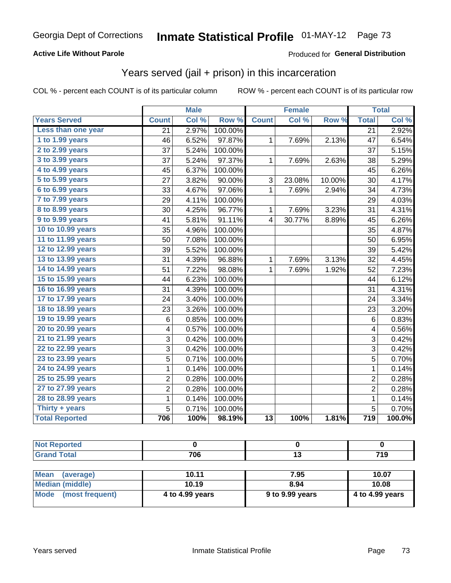### **Active Life Without Parole**

### Produced for **General Distribution**

## Years served (jail + prison) in this incarceration

|                       | <b>Male</b>    |       | Female  |                 |        | <b>Total</b> |                         |        |
|-----------------------|----------------|-------|---------|-----------------|--------|--------------|-------------------------|--------|
| <b>Years Served</b>   | <b>Count</b>   | Col % | Row %   | <b>Count</b>    | Col %  | Row %        | <b>Total</b>            | Col %  |
| Less than one year    | 21             | 2.97% | 100.00% |                 |        |              | $\overline{21}$         | 2.92%  |
| 1 to 1.99 years       | 46             | 6.52% | 97.87%  | 1               | 7.69%  | 2.13%        | 47                      | 6.54%  |
| 2 to 2.99 years       | 37             | 5.24% | 100.00% |                 |        |              | 37                      | 5.15%  |
| 3 to 3.99 years       | 37             | 5.24% | 97.37%  | $\mathbf 1$     | 7.69%  | 2.63%        | 38                      | 5.29%  |
| 4 to 4.99 years       | 45             | 6.37% | 100.00% |                 |        |              | 45                      | 6.26%  |
| 5 to 5.99 years       | 27             | 3.82% | 90.00%  | 3               | 23.08% | 10.00%       | 30                      | 4.17%  |
| 6 to 6.99 years       | 33             | 4.67% | 97.06%  | 1               | 7.69%  | 2.94%        | 34                      | 4.73%  |
| 7 to 7.99 years       | 29             | 4.11% | 100.00% |                 |        |              | 29                      | 4.03%  |
| 8 to 8.99 years       | 30             | 4.25% | 96.77%  | 1               | 7.69%  | 3.23%        | 31                      | 4.31%  |
| 9 to 9.99 years       | 41             | 5.81% | 91.11%  | 4               | 30.77% | 8.89%        | 45                      | 6.26%  |
| 10 to 10.99 years     | 35             | 4.96% | 100.00% |                 |        |              | 35                      | 4.87%  |
| 11 to 11.99 years     | 50             | 7.08% | 100.00% |                 |        |              | 50                      | 6.95%  |
| 12 to 12.99 years     | 39             | 5.52% | 100.00% |                 |        |              | 39                      | 5.42%  |
| 13 to 13.99 years     | 31             | 4.39% | 96.88%  | 1               | 7.69%  | 3.13%        | 32                      | 4.45%  |
| 14 to 14.99 years     | 51             | 7.22% | 98.08%  | 1               | 7.69%  | 1.92%        | 52                      | 7.23%  |
| 15 to 15.99 years     | 44             | 6.23% | 100.00% |                 |        |              | 44                      | 6.12%  |
| 16 to 16.99 years     | 31             | 4.39% | 100.00% |                 |        |              | 31                      | 4.31%  |
| 17 to 17.99 years     | 24             | 3.40% | 100.00% |                 |        |              | 24                      | 3.34%  |
| 18 to 18.99 years     | 23             | 3.26% | 100.00% |                 |        |              | 23                      | 3.20%  |
| 19 to 19.99 years     | 6              | 0.85% | 100.00% |                 |        |              | 6                       | 0.83%  |
| 20 to 20.99 years     | 4              | 0.57% | 100.00% |                 |        |              | $\overline{\mathbf{4}}$ | 0.56%  |
| 21 to 21.99 years     | 3              | 0.42% | 100.00% |                 |        |              | $\mathfrak{B}$          | 0.42%  |
| 22 to 22.99 years     | $\overline{3}$ | 0.42% | 100.00% |                 |        |              | $\overline{3}$          | 0.42%  |
| 23 to 23.99 years     | 5              | 0.71% | 100.00% |                 |        |              | $\overline{5}$          | 0.70%  |
| 24 to 24.99 years     | $\mathbf 1$    | 0.14% | 100.00% |                 |        |              | $\mathbf 1$             | 0.14%  |
| 25 to 25.99 years     | $\overline{c}$ | 0.28% | 100.00% |                 |        |              | $\overline{c}$          | 0.28%  |
| 27 to 27.99 years     | $\overline{c}$ | 0.28% | 100.00% |                 |        |              | $\overline{2}$          | 0.28%  |
| 28 to 28.99 years     | 1              | 0.14% | 100.00% |                 |        |              | 1                       | 0.14%  |
| Thirty + years        | 5              | 0.71% | 100.00% |                 |        |              | 5                       | 0.70%  |
| <b>Total Reported</b> | 706            | 100%  | 98.19%  | $\overline{13}$ | 100%   | 1.81%        | $\overline{719}$        | 100.0% |

| <b>Not Reported</b>      |                 |                 |                 |
|--------------------------|-----------------|-----------------|-----------------|
| <b>Grand Total</b>       | 706             | 13              | 719             |
|                          |                 |                 |                 |
| <b>Mean</b><br>(average) | 10.11           | 7.95            | 10.07           |
| Median (middle)          | 10.19           | 8.94            | 10.08           |
| Mode<br>(most frequent)  | 4 to 4.99 years | 9 to 9.99 years | 4 to 4.99 years |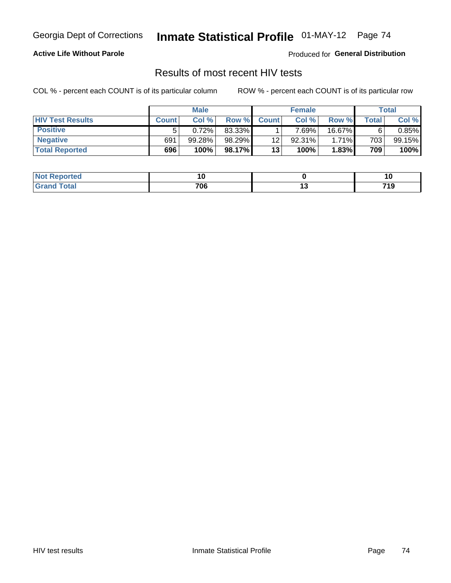### **Active Life Without Parole**

Produced for **General Distribution**

## Results of most recent HIV tests

|                         | <b>Male</b>  |        |        | <b>Female</b> |        |        | Total |           |
|-------------------------|--------------|--------|--------|---------------|--------|--------|-------|-----------|
| <b>HIV Test Results</b> | <b>Count</b> | Col%   | Row %I | <b>Count</b>  | Col%   | Row %  | Total | Col %     |
| <b>Positive</b>         | 5            | 0.72%  | 83.33% |               | 7.69%  | 16.67% |       | $0.85\%$  |
| <b>Negative</b>         | 691          | 99.28% | 98.29% | 12            | 92.31% | 1.71%  | 703   | $99.15\%$ |
| <b>Total Reported</b>   | 696          | 100%   | 98.17% | 13            | 100%   | 1.83%  | 709   | 100%      |

| <b>Not Reported</b> | . . |        |                         |
|---------------------|-----|--------|-------------------------|
| <b>Fotal</b>        | 706 | $\sim$ | 74 C<br>, , ,<br>$\sim$ |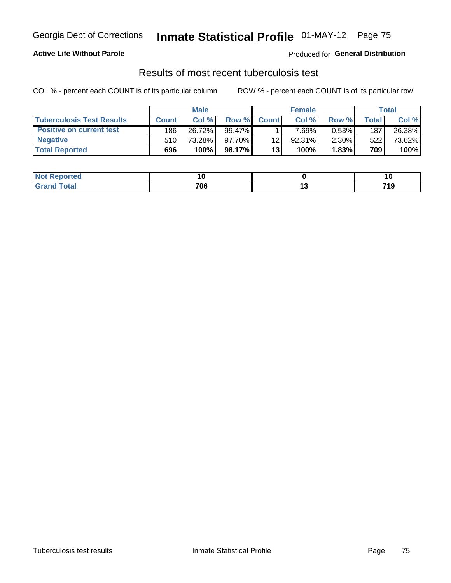### **Active Life Without Parole**

Produced for **General Distribution**

## Results of most recent tuberculosis test

|                                  | <b>Male</b>      |        |           | <b>Female</b> |        |          | Total   |        |
|----------------------------------|------------------|--------|-----------|---------------|--------|----------|---------|--------|
| <b>Tuberculosis Test Results</b> | <b>Count</b>     | Col%   | Row %I    | <b>Count</b>  | Col %  | Row %    | Total I | Col %  |
| <b>Positive on current test</b>  | 186              | 26.72% | $99.47\%$ |               | 7.69%」 | $0.53\%$ | 187     | 26.38% |
| <b>Negative</b>                  | 510 <sup>1</sup> | 73.28% | $97.70\%$ | 12            | 92.31% | $2.30\%$ | 522     | 73.62% |
| <b>Total Reported</b>            | 696              | 100%   | 98.17%    | 13            | 100%   | 1.83%    | 709     | 100%   |

| <b>Not Reported</b> | . v             | 10                     |
|---------------------|-----------------|------------------------|
| <b>Total</b>        | 700<br>w.<br>__ | 74 C<br>- 10<br>$\sim$ |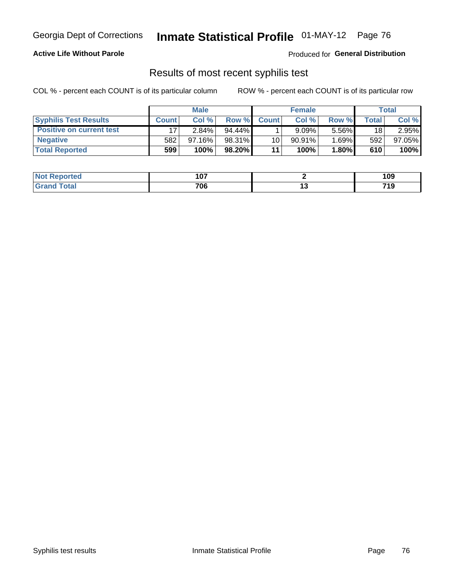### **Active Life Without Parole**

Produced for **General Distribution**

### Results of most recent syphilis test

|                                 | <b>Male</b>  |           |           | <b>Female</b> |           |          | Total |        |
|---------------------------------|--------------|-----------|-----------|---------------|-----------|----------|-------|--------|
| <b>Syphilis Test Results</b>    | <b>Count</b> | Col %     | Row %     | <b>Count</b>  | Col %     | Row %I   | Total | Col %  |
| <b>Positive on current test</b> |              | $2.84\%$  | $94.44\%$ |               | 9.09%     | $5.56\%$ | 18    | 2.95%  |
| <b>Negative</b>                 | 582          | $97.16\%$ | 98.31%    | 10            | $90.91\%$ | $1.69\%$ | 592   | 97.05% |
| <b>Total Reported</b>           | 599          | 100%      | 98.20%    | 11            | 100%      | 1.80%    | 610   | 100%   |

| <b>Not Reported</b> | 107 | 109             |
|---------------------|-----|-----------------|
| Total               | 706 | <br>719<br>____ |